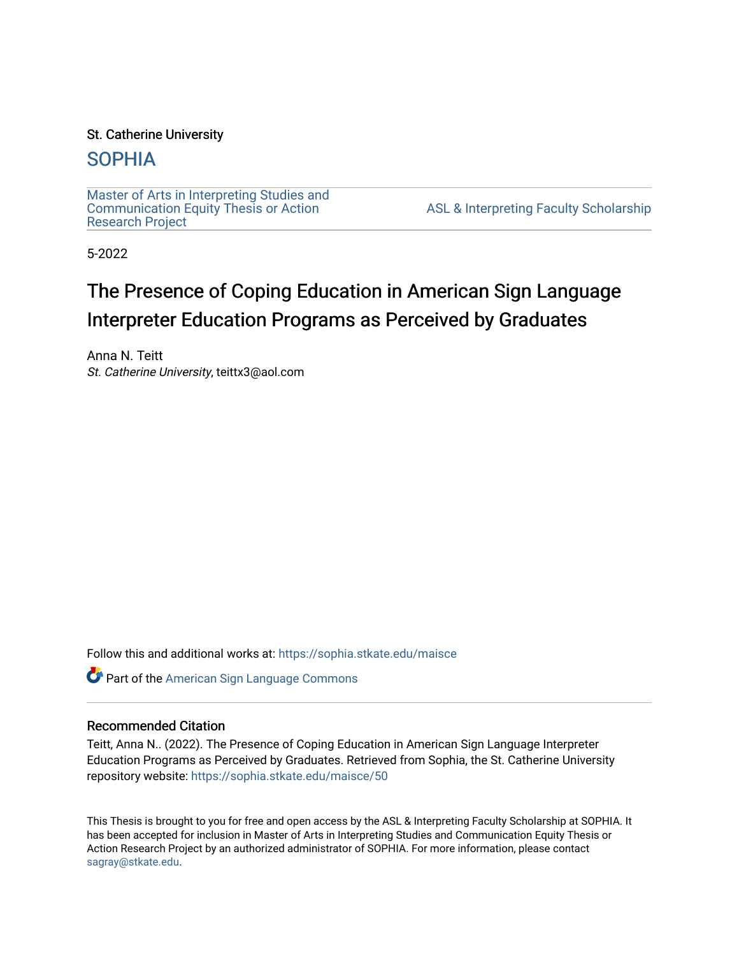# St. Catherine University

# [SOPHIA](https://sophia.stkate.edu/)

[Master of Arts in Interpreting Studies and](https://sophia.stkate.edu/maisce) [Communication Equity Thesis or Action](https://sophia.stkate.edu/maisce)  [Research Project](https://sophia.stkate.edu/maisce) 

[ASL & Interpreting Faculty Scholarship](https://sophia.stkate.edu/asl_fac) 

5-2022

# The Presence of Coping Education in American Sign Language Interpreter Education Programs as Perceived by Graduates

Anna N. Teitt St. Catherine University, teittx3@aol.com

Follow this and additional works at: [https://sophia.stkate.edu/maisce](https://sophia.stkate.edu/maisce?utm_source=sophia.stkate.edu%2Fmaisce%2F50&utm_medium=PDF&utm_campaign=PDFCoverPages) 

Part of the [American Sign Language Commons](https://network.bepress.com/hgg/discipline/1402?utm_source=sophia.stkate.edu%2Fmaisce%2F50&utm_medium=PDF&utm_campaign=PDFCoverPages) 

# Recommended Citation

Teitt, Anna N.. (2022). The Presence of Coping Education in American Sign Language Interpreter Education Programs as Perceived by Graduates. Retrieved from Sophia, the St. Catherine University repository website: [https://sophia.stkate.edu/maisce/50](https://sophia.stkate.edu/maisce/50?utm_source=sophia.stkate.edu%2Fmaisce%2F50&utm_medium=PDF&utm_campaign=PDFCoverPages) 

This Thesis is brought to you for free and open access by the ASL & Interpreting Faculty Scholarship at SOPHIA. It has been accepted for inclusion in Master of Arts in Interpreting Studies and Communication Equity Thesis or Action Research Project by an authorized administrator of SOPHIA. For more information, please contact [sagray@stkate.edu.](mailto:sagray@stkate.edu)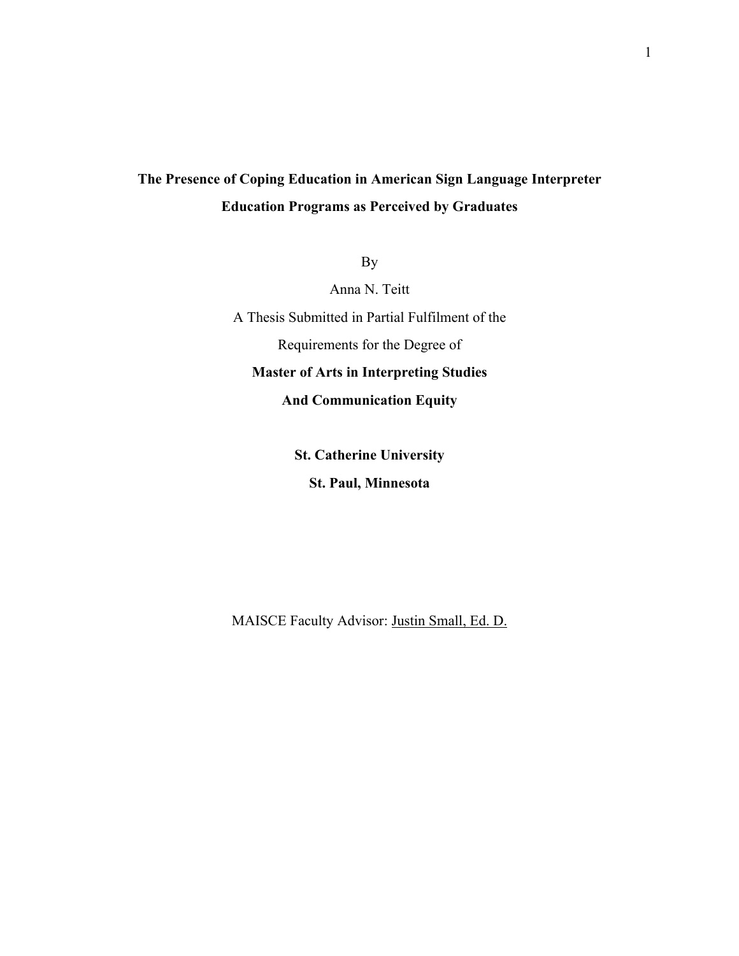# **The Presence of Coping Education in American Sign Language Interpreter Education Programs as Perceived by Graduates**

By

Anna N. Teitt

A Thesis Submitted in Partial Fulfilment of the

Requirements for the Degree of

**Master of Arts in Interpreting Studies**

**And Communication Equity**

**St. Catherine University**

**St. Paul, Minnesota**

MAISCE Faculty Advisor: Justin Small, Ed. D.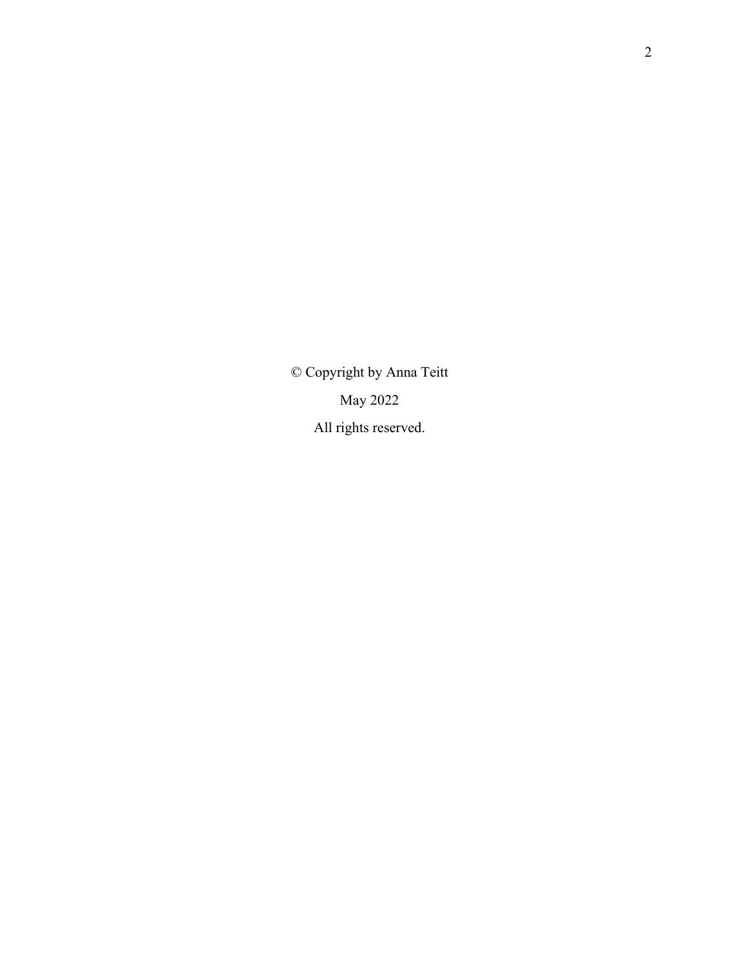© Copyright by Anna Teitt May 2022 All rights reserved.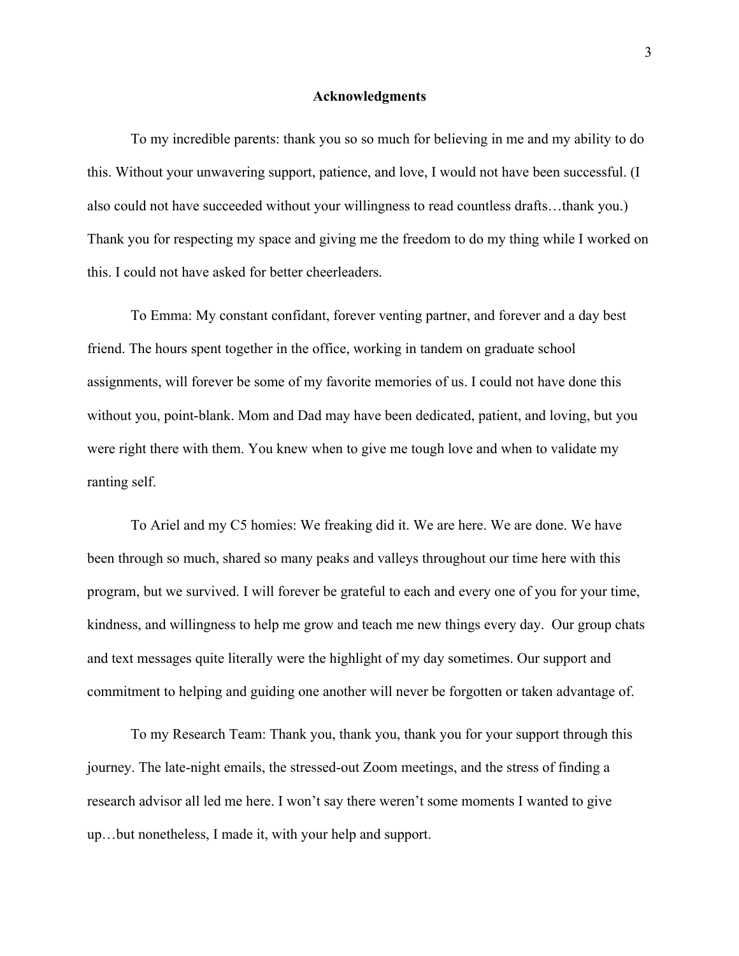#### **Acknowledgments**

To my incredible parents: thank you so so much for believing in me and my ability to do this. Without your unwavering support, patience, and love, I would not have been successful. (I also could not have succeeded without your willingness to read countless drafts…thank you.) Thank you for respecting my space and giving me the freedom to do my thing while I worked on this. I could not have asked for better cheerleaders.

To Emma: My constant confidant, forever venting partner, and forever and a day best friend. The hours spent together in the office, working in tandem on graduate school assignments, will forever be some of my favorite memories of us. I could not have done this without you, point-blank. Mom and Dad may have been dedicated, patient, and loving, but you were right there with them. You knew when to give me tough love and when to validate my ranting self.

To Ariel and my C5 homies: We freaking did it. We are here. We are done. We have been through so much, shared so many peaks and valleys throughout our time here with this program, but we survived. I will forever be grateful to each and every one of you for your time, kindness, and willingness to help me grow and teach me new things every day. Our group chats and text messages quite literally were the highlight of my day sometimes. Our support and commitment to helping and guiding one another will never be forgotten or taken advantage of.

To my Research Team: Thank you, thank you, thank you for your support through this journey. The late-night emails, the stressed-out Zoom meetings, and the stress of finding a research advisor all led me here. I won't say there weren't some moments I wanted to give up…but nonetheless, I made it, with your help and support.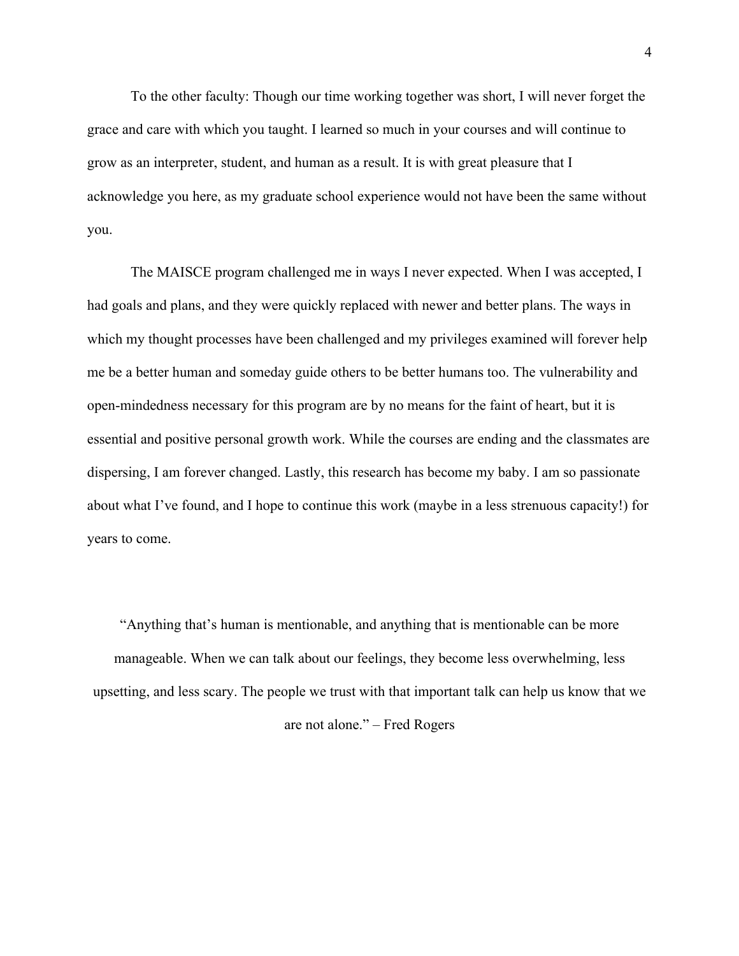To the other faculty: Though our time working together was short, I will never forget the grace and care with which you taught. I learned so much in your courses and will continue to grow as an interpreter, student, and human as a result. It is with great pleasure that I acknowledge you here, as my graduate school experience would not have been the same without you.

The MAISCE program challenged me in ways I never expected. When I was accepted, I had goals and plans, and they were quickly replaced with newer and better plans. The ways in which my thought processes have been challenged and my privileges examined will forever help me be a better human and someday guide others to be better humans too. The vulnerability and open-mindedness necessary for this program are by no means for the faint of heart, but it is essential and positive personal growth work. While the courses are ending and the classmates are dispersing, I am forever changed. Lastly, this research has become my baby. I am so passionate about what I've found, and I hope to continue this work (maybe in a less strenuous capacity!) for years to come.

"Anything that's human is mentionable, and anything that is mentionable can be more manageable. When we can talk about our feelings, they become less overwhelming, less upsetting, and less scary. The people we trust with that important talk can help us know that we are not alone." – Fred Rogers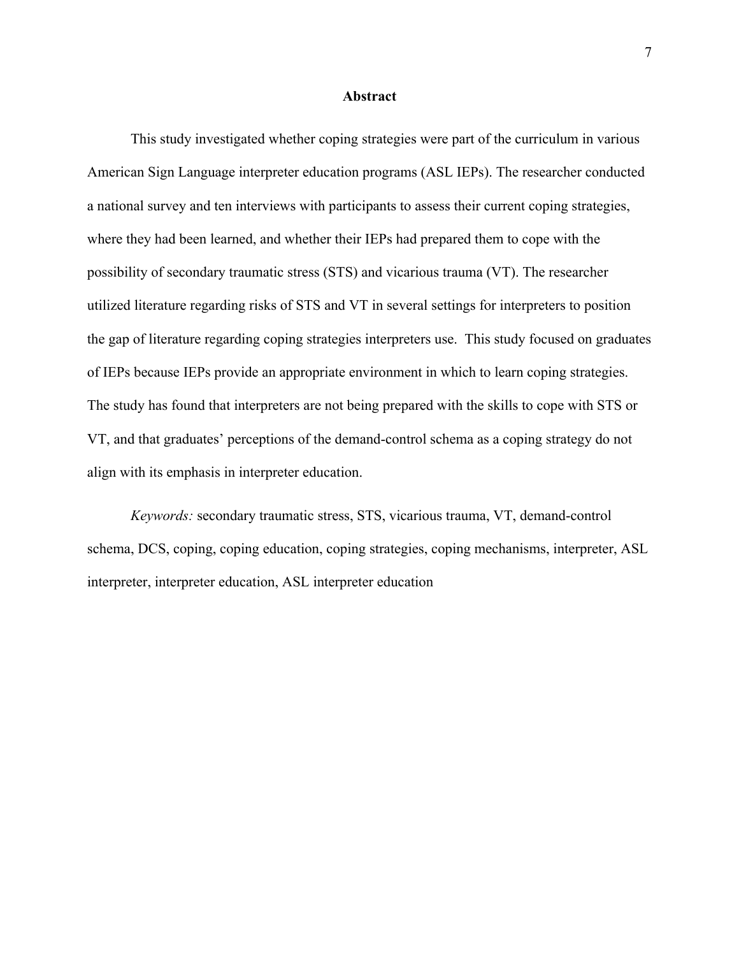#### **Abstract**

This study investigated whether coping strategies were part of the curriculum in various American Sign Language interpreter education programs (ASL IEPs). The researcher conducted a national survey and ten interviews with participants to assess their current coping strategies, where they had been learned, and whether their IEPs had prepared them to cope with the possibility of secondary traumatic stress (STS) and vicarious trauma (VT). The researcher utilized literature regarding risks of STS and VT in several settings for interpreters to position the gap of literature regarding coping strategies interpreters use. This study focused on graduates of IEPs because IEPs provide an appropriate environment in which to learn coping strategies. The study has found that interpreters are not being prepared with the skills to cope with STS or VT, and that graduates' perceptions of the demand-control schema as a coping strategy do not align with its emphasis in interpreter education.

*Keywords:* secondary traumatic stress, STS, vicarious trauma, VT, demand-control schema, DCS, coping, coping education, coping strategies, coping mechanisms, interpreter, ASL interpreter, interpreter education, ASL interpreter education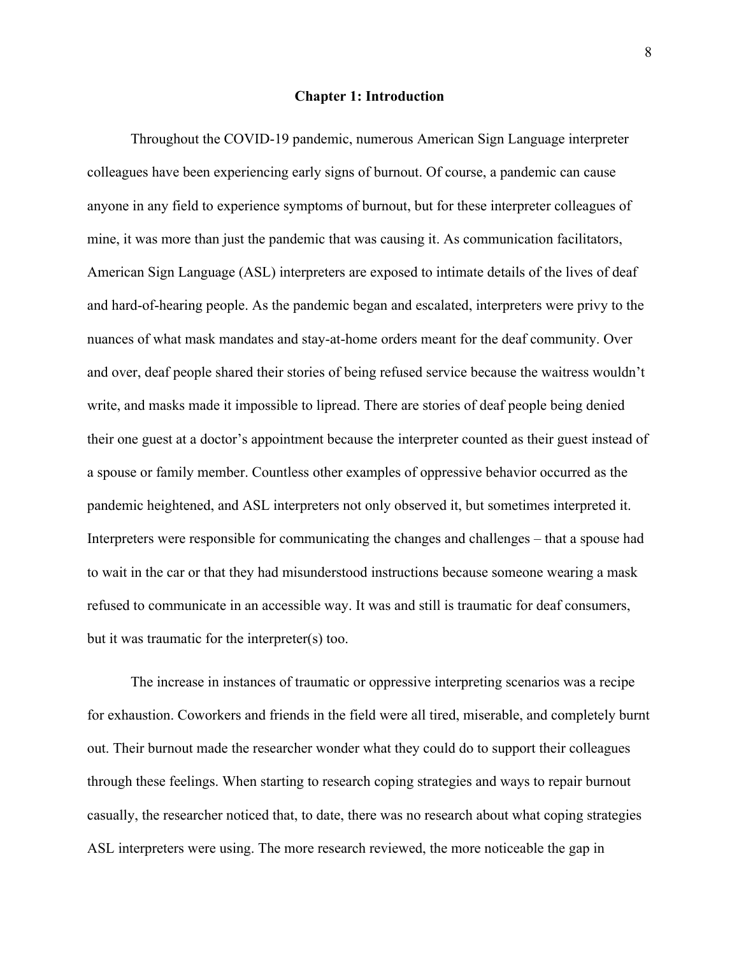#### **Chapter 1: Introduction**

Throughout the COVID-19 pandemic, numerous American Sign Language interpreter colleagues have been experiencing early signs of burnout. Of course, a pandemic can cause anyone in any field to experience symptoms of burnout, but for these interpreter colleagues of mine, it was more than just the pandemic that was causing it. As communication facilitators, American Sign Language (ASL) interpreters are exposed to intimate details of the lives of deaf and hard-of-hearing people. As the pandemic began and escalated, interpreters were privy to the nuances of what mask mandates and stay-at-home orders meant for the deaf community. Over and over, deaf people shared their stories of being refused service because the waitress wouldn't write, and masks made it impossible to lipread. There are stories of deaf people being denied their one guest at a doctor's appointment because the interpreter counted as their guest instead of a spouse or family member. Countless other examples of oppressive behavior occurred as the pandemic heightened, and ASL interpreters not only observed it, but sometimes interpreted it. Interpreters were responsible for communicating the changes and challenges – that a spouse had to wait in the car or that they had misunderstood instructions because someone wearing a mask refused to communicate in an accessible way. It was and still is traumatic for deaf consumers, but it was traumatic for the interpreter(s) too.

The increase in instances of traumatic or oppressive interpreting scenarios was a recipe for exhaustion. Coworkers and friends in the field were all tired, miserable, and completely burnt out. Their burnout made the researcher wonder what they could do to support their colleagues through these feelings. When starting to research coping strategies and ways to repair burnout casually, the researcher noticed that, to date, there was no research about what coping strategies ASL interpreters were using. The more research reviewed, the more noticeable the gap in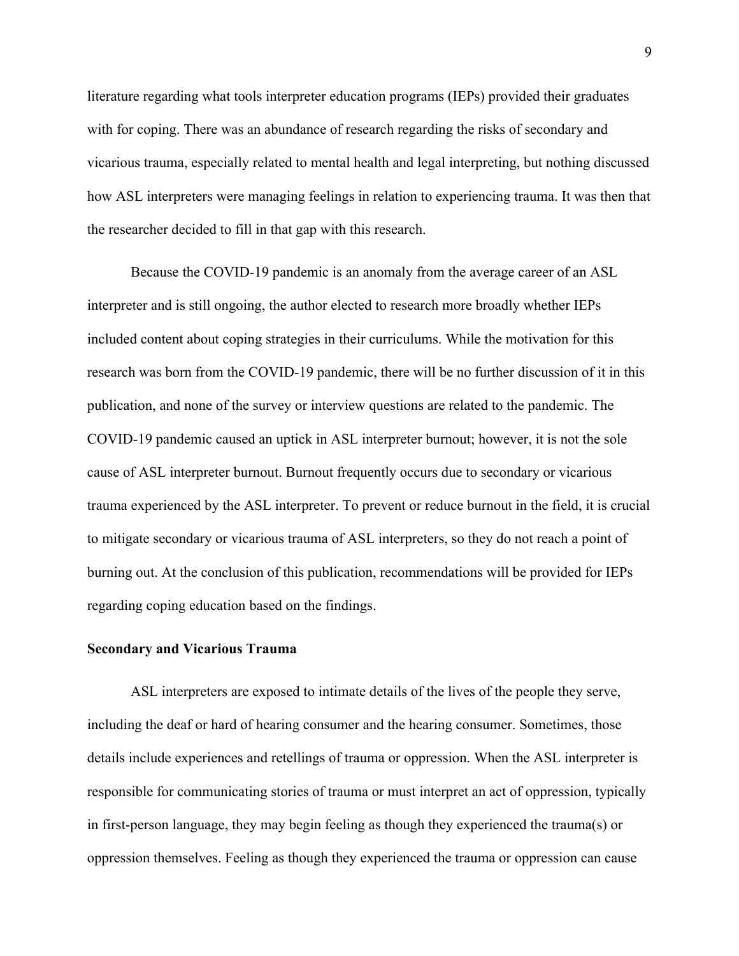literature regarding what tools interpreter education programs (IEPs) provided their graduates with for coping. There was an abundance of research regarding the risks of secondary and vicarious trauma, especially related to mental health and legal interpreting, but nothing discussed how ASL interpreters were managing feelings in relation to experiencing trauma. It was then that the researcher decided to fill in that gap with this research.

Because the COVID-19 pandemic is an anomaly from the average career of an ASL interpreter and is still ongoing, the author elected to research more broadly whether IEPs included content about coping strategies in their curriculums. While the motivation for this research was born from the COVID-19 pandemic, there will be no further discussion of it in this publication, and none of the survey or interview questions are related to the pandemic. The COVID-19 pandemic caused an uptick in ASL interpreter burnout; however, it is not the sole cause of ASL interpreter burnout. Burnout frequently occurs due to secondary or vicarious trauma experienced by the ASL interpreter. To prevent or reduce burnout in the field, it is crucial to mitigate secondary or vicarious trauma of ASL interpreters, so they do not reach a point of burning out. At the conclusion of this publication, recommendations will be provided for IEPs regarding coping education based on the findings.

#### **Secondary and Vicarious Trauma**

ASL interpreters are exposed to intimate details of the lives of the people they serve, including the deaf or hard of hearing consumer and the hearing consumer. Sometimes, those details include experiences and retellings of trauma or oppression. When the ASL interpreter is responsible for communicating stories of trauma or must interpret an act of oppression, typically in first-person language, they may begin feeling as though they experienced the trauma(s) or oppression themselves. Feeling as though they experienced the trauma or oppression can cause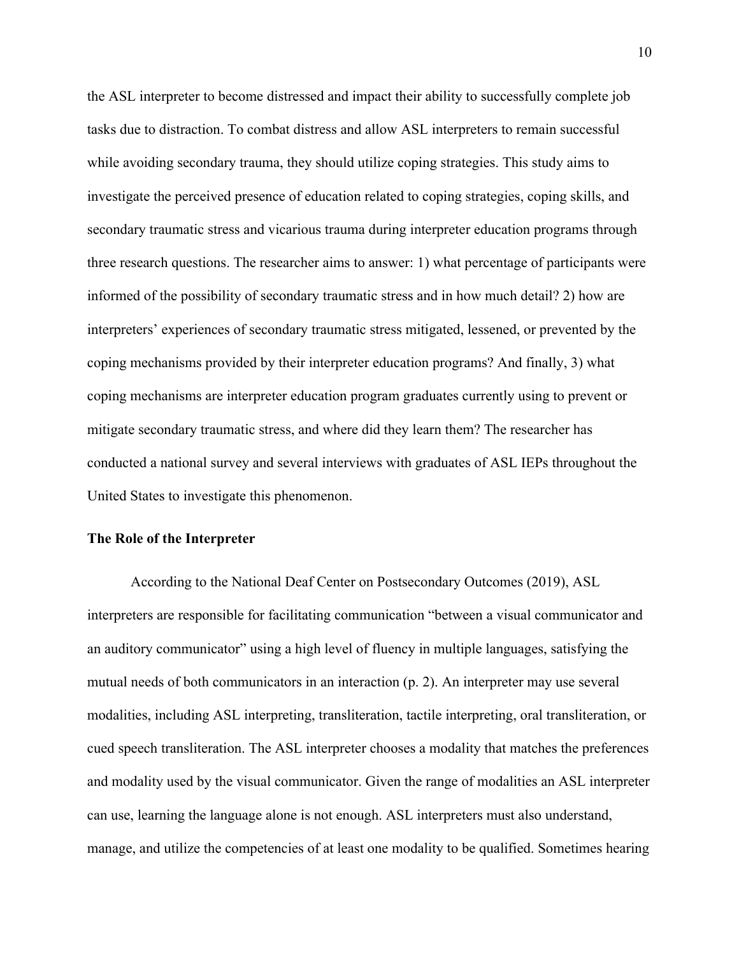the ASL interpreter to become distressed and impact their ability to successfully complete job tasks due to distraction. To combat distress and allow ASL interpreters to remain successful while avoiding secondary trauma, they should utilize coping strategies. This study aims to investigate the perceived presence of education related to coping strategies, coping skills, and secondary traumatic stress and vicarious trauma during interpreter education programs through three research questions. The researcher aims to answer: 1) what percentage of participants were informed of the possibility of secondary traumatic stress and in how much detail? 2) how are interpreters' experiences of secondary traumatic stress mitigated, lessened, or prevented by the coping mechanisms provided by their interpreter education programs? And finally, 3) what coping mechanisms are interpreter education program graduates currently using to prevent or mitigate secondary traumatic stress, and where did they learn them? The researcher has conducted a national survey and several interviews with graduates of ASL IEPs throughout the United States to investigate this phenomenon.

# **The Role of the Interpreter**

According to the National Deaf Center on Postsecondary Outcomes (2019), ASL interpreters are responsible for facilitating communication "between a visual communicator and an auditory communicator" using a high level of fluency in multiple languages, satisfying the mutual needs of both communicators in an interaction (p. 2). An interpreter may use several modalities, including ASL interpreting, transliteration, tactile interpreting, oral transliteration, or cued speech transliteration. The ASL interpreter chooses a modality that matches the preferences and modality used by the visual communicator. Given the range of modalities an ASL interpreter can use, learning the language alone is not enough. ASL interpreters must also understand, manage, and utilize the competencies of at least one modality to be qualified. Sometimes hearing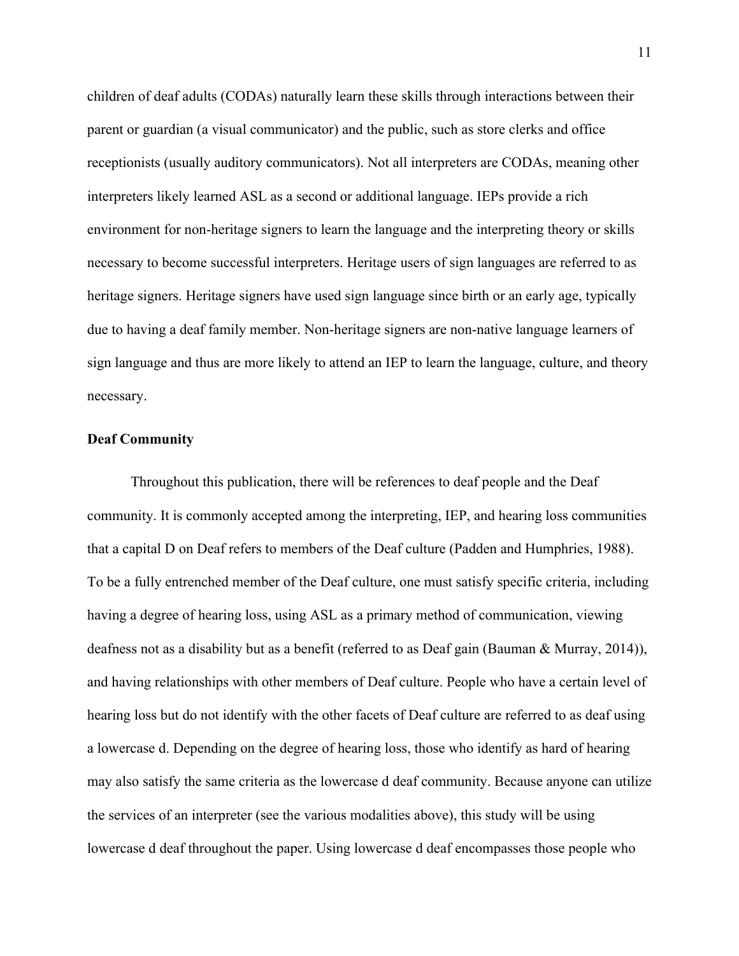children of deaf adults (CODAs) naturally learn these skills through interactions between their parent or guardian (a visual communicator) and the public, such as store clerks and office receptionists (usually auditory communicators). Not all interpreters are CODAs, meaning other interpreters likely learned ASL as a second or additional language. IEPs provide a rich environment for non-heritage signers to learn the language and the interpreting theory or skills necessary to become successful interpreters. Heritage users of sign languages are referred to as heritage signers. Heritage signers have used sign language since birth or an early age, typically due to having a deaf family member. Non-heritage signers are non-native language learners of sign language and thus are more likely to attend an IEP to learn the language, culture, and theory necessary.

# **Deaf Community**

Throughout this publication, there will be references to deaf people and the Deaf community. It is commonly accepted among the interpreting, IEP, and hearing loss communities that a capital D on Deaf refers to members of the Deaf culture (Padden and Humphries, 1988). To be a fully entrenched member of the Deaf culture, one must satisfy specific criteria, including having a degree of hearing loss, using ASL as a primary method of communication, viewing deafness not as a disability but as a benefit (referred to as Deaf gain (Bauman & Murray, 2014)), and having relationships with other members of Deaf culture. People who have a certain level of hearing loss but do not identify with the other facets of Deaf culture are referred to as deaf using a lowercase d. Depending on the degree of hearing loss, those who identify as hard of hearing may also satisfy the same criteria as the lowercase d deaf community. Because anyone can utilize the services of an interpreter (see the various modalities above), this study will be using lowercase d deaf throughout the paper. Using lowercase d deaf encompasses those people who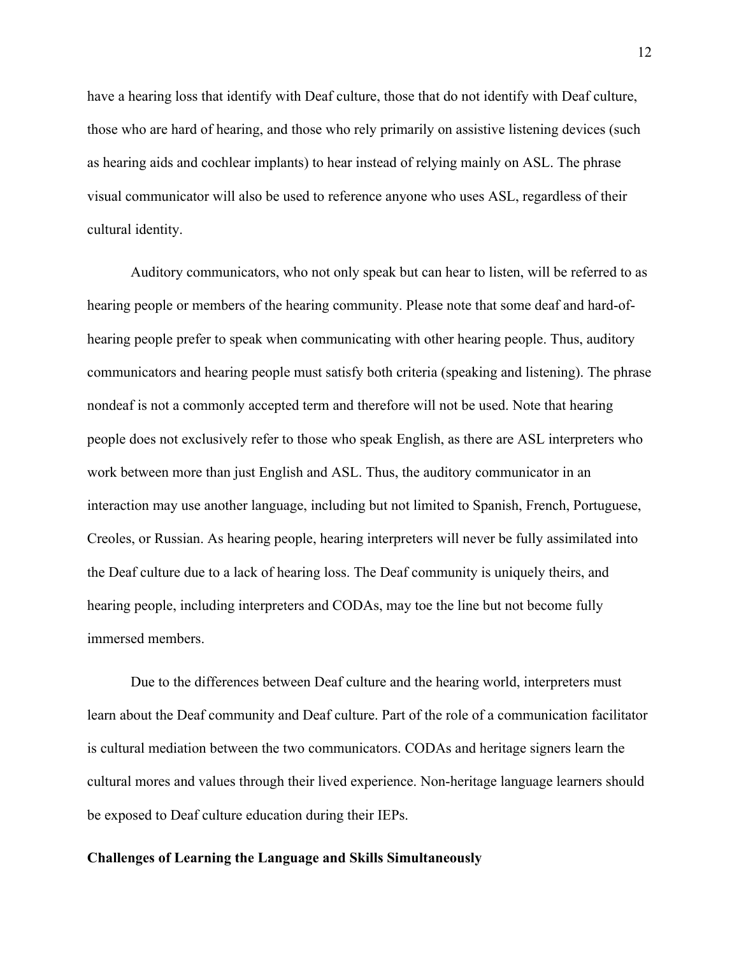have a hearing loss that identify with Deaf culture, those that do not identify with Deaf culture, those who are hard of hearing, and those who rely primarily on assistive listening devices (such as hearing aids and cochlear implants) to hear instead of relying mainly on ASL. The phrase visual communicator will also be used to reference anyone who uses ASL, regardless of their cultural identity.

Auditory communicators, who not only speak but can hear to listen, will be referred to as hearing people or members of the hearing community. Please note that some deaf and hard-ofhearing people prefer to speak when communicating with other hearing people. Thus, auditory communicators and hearing people must satisfy both criteria (speaking and listening). The phrase nondeaf is not a commonly accepted term and therefore will not be used. Note that hearing people does not exclusively refer to those who speak English, as there are ASL interpreters who work between more than just English and ASL. Thus, the auditory communicator in an interaction may use another language, including but not limited to Spanish, French, Portuguese, Creoles, or Russian. As hearing people, hearing interpreters will never be fully assimilated into the Deaf culture due to a lack of hearing loss. The Deaf community is uniquely theirs, and hearing people, including interpreters and CODAs, may toe the line but not become fully immersed members.

Due to the differences between Deaf culture and the hearing world, interpreters must learn about the Deaf community and Deaf culture. Part of the role of a communication facilitator is cultural mediation between the two communicators. CODAs and heritage signers learn the cultural mores and values through their lived experience. Non-heritage language learners should be exposed to Deaf culture education during their IEPs.

#### **Challenges of Learning the Language and Skills Simultaneously**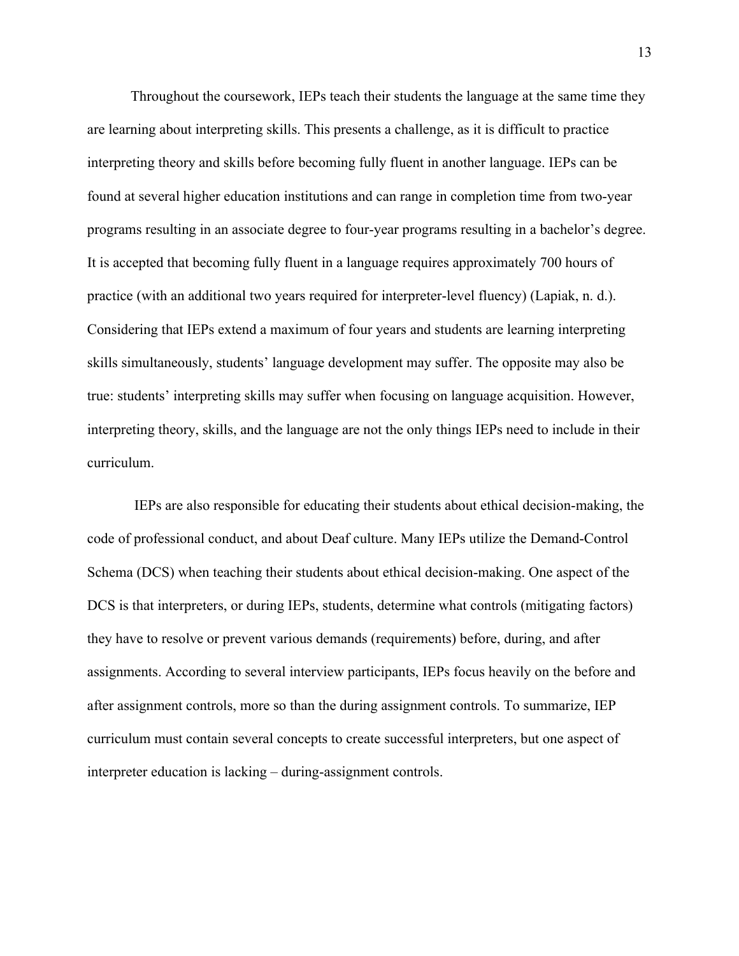Throughout the coursework, IEPs teach their students the language at the same time they are learning about interpreting skills. This presents a challenge, as it is difficult to practice interpreting theory and skills before becoming fully fluent in another language. IEPs can be found at several higher education institutions and can range in completion time from two-year programs resulting in an associate degree to four-year programs resulting in a bachelor's degree. It is accepted that becoming fully fluent in a language requires approximately 700 hours of practice (with an additional two years required for interpreter-level fluency) (Lapiak, n. d.). Considering that IEPs extend a maximum of four years and students are learning interpreting skills simultaneously, students' language development may suffer. The opposite may also be true: students' interpreting skills may suffer when focusing on language acquisition. However, interpreting theory, skills, and the language are not the only things IEPs need to include in their curriculum.

IEPs are also responsible for educating their students about ethical decision-making, the code of professional conduct, and about Deaf culture. Many IEPs utilize the Demand-Control Schema (DCS) when teaching their students about ethical decision-making. One aspect of the DCS is that interpreters, or during IEPs, students, determine what controls (mitigating factors) they have to resolve or prevent various demands (requirements) before, during, and after assignments. According to several interview participants, IEPs focus heavily on the before and after assignment controls, more so than the during assignment controls. To summarize, IEP curriculum must contain several concepts to create successful interpreters, but one aspect of interpreter education is lacking – during-assignment controls.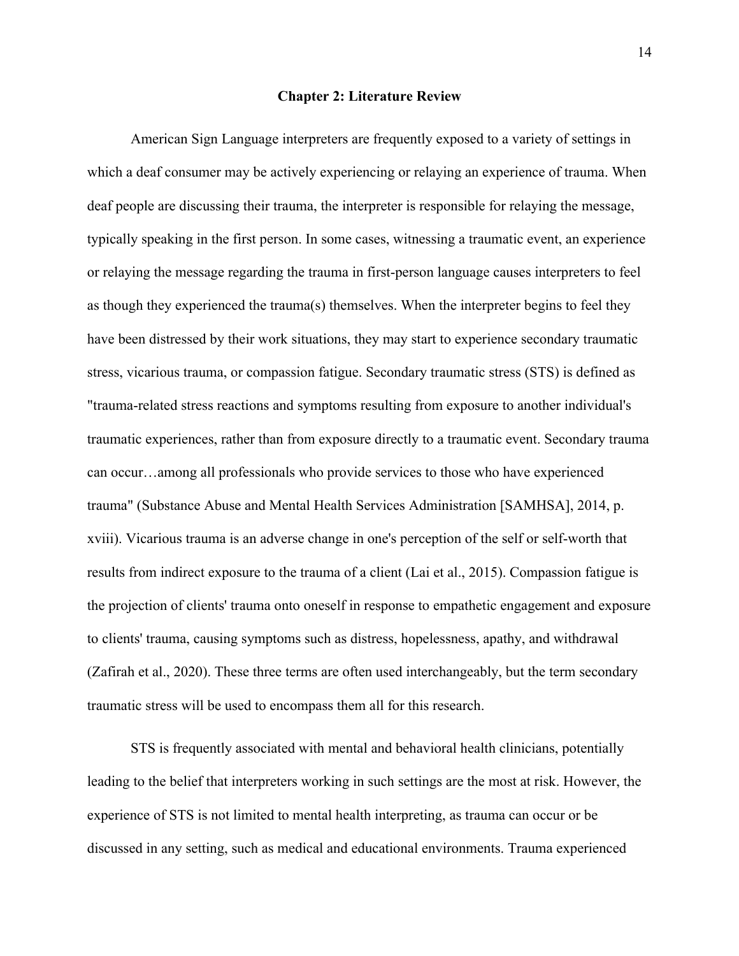#### **Chapter 2: Literature Review**

American Sign Language interpreters are frequently exposed to a variety of settings in which a deaf consumer may be actively experiencing or relaying an experience of trauma. When deaf people are discussing their trauma, the interpreter is responsible for relaying the message, typically speaking in the first person. In some cases, witnessing a traumatic event, an experience or relaying the message regarding the trauma in first-person language causes interpreters to feel as though they experienced the trauma(s) themselves. When the interpreter begins to feel they have been distressed by their work situations, they may start to experience secondary traumatic stress, vicarious trauma, or compassion fatigue. Secondary traumatic stress (STS) is defined as "trauma-related stress reactions and symptoms resulting from exposure to another individual's traumatic experiences, rather than from exposure directly to a traumatic event. Secondary trauma can occur…among all professionals who provide services to those who have experienced trauma" (Substance Abuse and Mental Health Services Administration [SAMHSA], 2014, p. xviii). Vicarious trauma is an adverse change in one's perception of the self or self-worth that results from indirect exposure to the trauma of a client (Lai et al., 2015). Compassion fatigue is the projection of clients' trauma onto oneself in response to empathetic engagement and exposure to clients' trauma, causing symptoms such as distress, hopelessness, apathy, and withdrawal (Zafirah et al., 2020). These three terms are often used interchangeably, but the term secondary traumatic stress will be used to encompass them all for this research.

STS is frequently associated with mental and behavioral health clinicians, potentially leading to the belief that interpreters working in such settings are the most at risk. However, the experience of STS is not limited to mental health interpreting, as trauma can occur or be discussed in any setting, such as medical and educational environments. Trauma experienced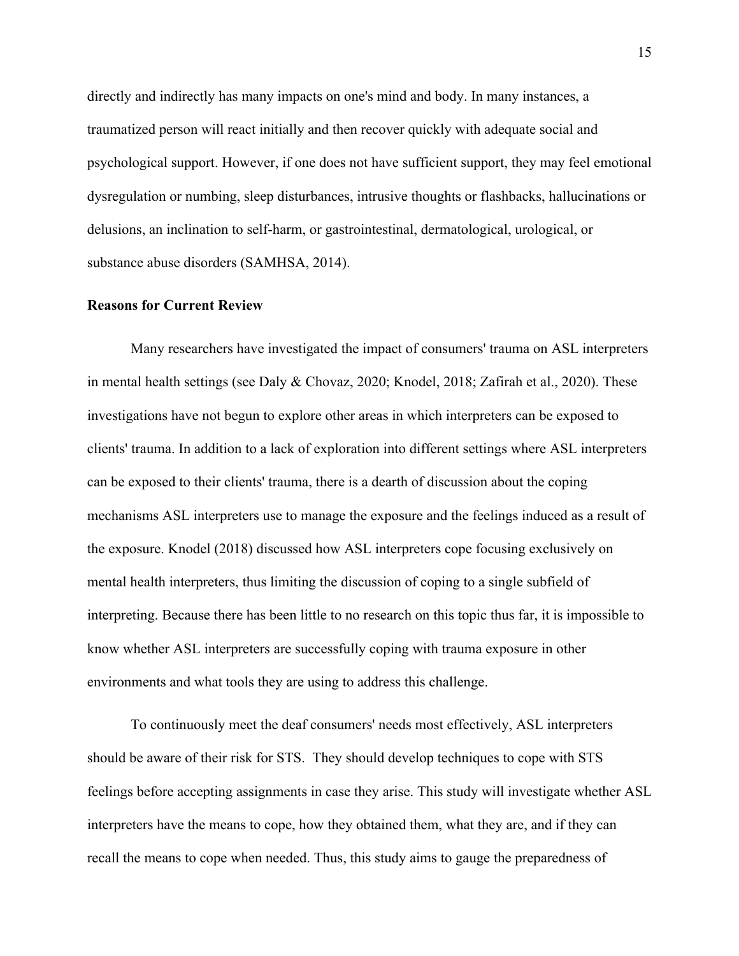directly and indirectly has many impacts on one's mind and body. In many instances, a traumatized person will react initially and then recover quickly with adequate social and psychological support. However, if one does not have sufficient support, they may feel emotional dysregulation or numbing, sleep disturbances, intrusive thoughts or flashbacks, hallucinations or delusions, an inclination to self-harm, or gastrointestinal, dermatological, urological, or substance abuse disorders (SAMHSA, 2014).

#### **Reasons for Current Review**

Many researchers have investigated the impact of consumers' trauma on ASL interpreters in mental health settings (see Daly & Chovaz, 2020; Knodel, 2018; Zafirah et al., 2020). These investigations have not begun to explore other areas in which interpreters can be exposed to clients' trauma. In addition to a lack of exploration into different settings where ASL interpreters can be exposed to their clients' trauma, there is a dearth of discussion about the coping mechanisms ASL interpreters use to manage the exposure and the feelings induced as a result of the exposure. Knodel (2018) discussed how ASL interpreters cope focusing exclusively on mental health interpreters, thus limiting the discussion of coping to a single subfield of interpreting. Because there has been little to no research on this topic thus far, it is impossible to know whether ASL interpreters are successfully coping with trauma exposure in other environments and what tools they are using to address this challenge.

To continuously meet the deaf consumers' needs most effectively, ASL interpreters should be aware of their risk for STS. They should develop techniques to cope with STS feelings before accepting assignments in case they arise. This study will investigate whether ASL interpreters have the means to cope, how they obtained them, what they are, and if they can recall the means to cope when needed. Thus, this study aims to gauge the preparedness of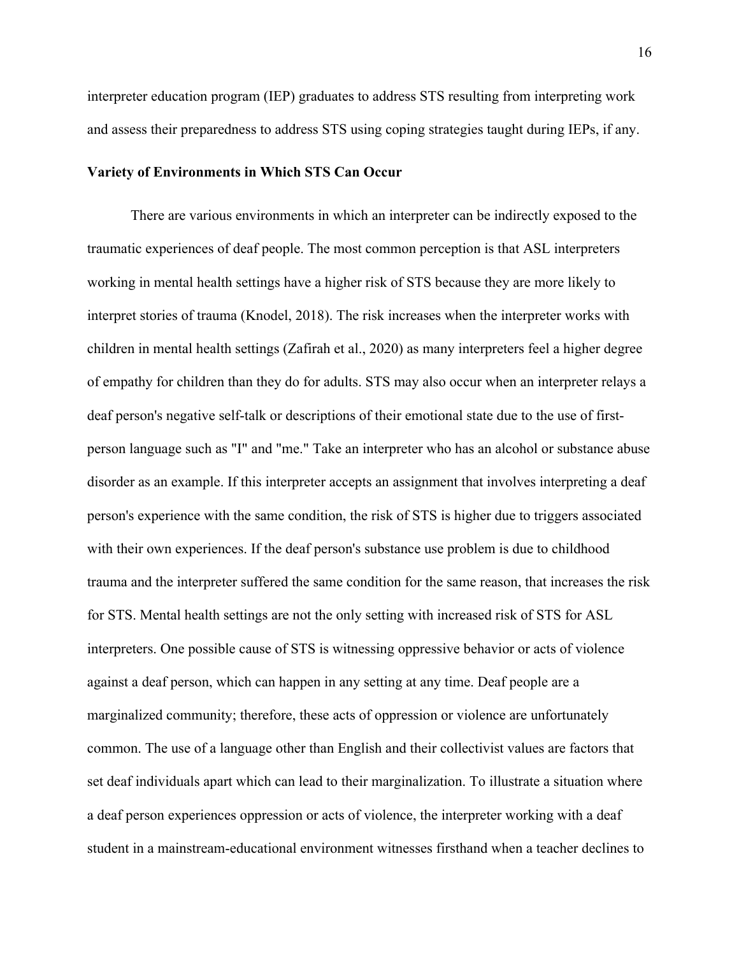interpreter education program (IEP) graduates to address STS resulting from interpreting work and assess their preparedness to address STS using coping strategies taught during IEPs, if any.

# **Variety of Environments in Which STS Can Occur**

There are various environments in which an interpreter can be indirectly exposed to the traumatic experiences of deaf people. The most common perception is that ASL interpreters working in mental health settings have a higher risk of STS because they are more likely to interpret stories of trauma (Knodel, 2018). The risk increases when the interpreter works with children in mental health settings (Zafirah et al., 2020) as many interpreters feel a higher degree of empathy for children than they do for adults. STS may also occur when an interpreter relays a deaf person's negative self-talk or descriptions of their emotional state due to the use of firstperson language such as "I" and "me." Take an interpreter who has an alcohol or substance abuse disorder as an example. If this interpreter accepts an assignment that involves interpreting a deaf person's experience with the same condition, the risk of STS is higher due to triggers associated with their own experiences. If the deaf person's substance use problem is due to childhood trauma and the interpreter suffered the same condition for the same reason, that increases the risk for STS. Mental health settings are not the only setting with increased risk of STS for ASL interpreters. One possible cause of STS is witnessing oppressive behavior or acts of violence against a deaf person, which can happen in any setting at any time. Deaf people are a marginalized community; therefore, these acts of oppression or violence are unfortunately common. The use of a language other than English and their collectivist values are factors that set deaf individuals apart which can lead to their marginalization. To illustrate a situation where a deaf person experiences oppression or acts of violence, the interpreter working with a deaf student in a mainstream-educational environment witnesses firsthand when a teacher declines to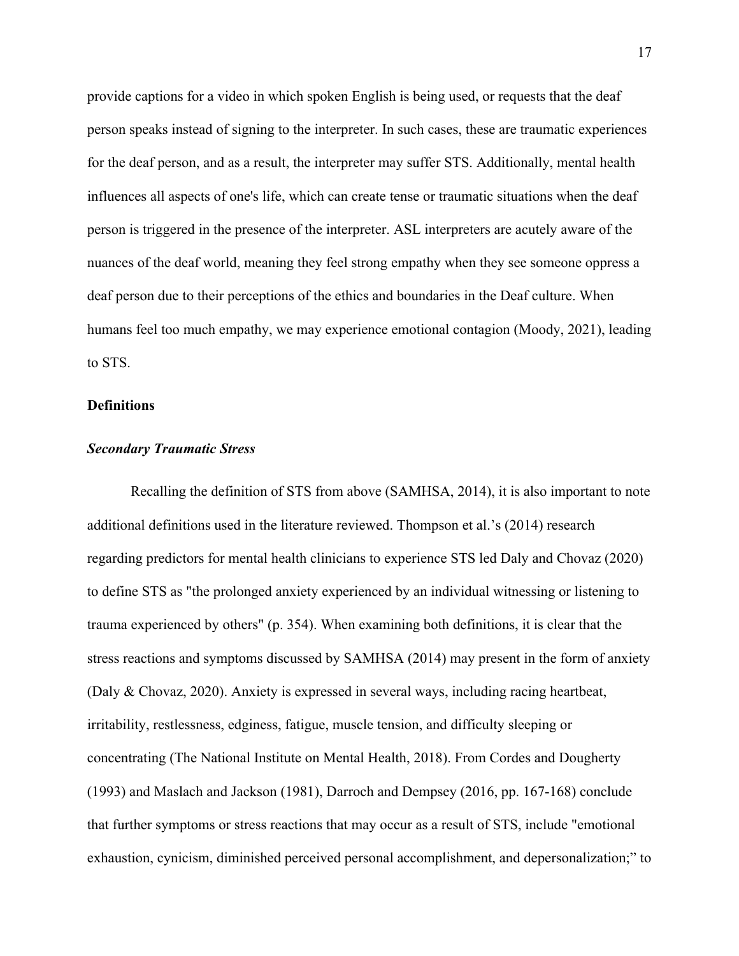provide captions for a video in which spoken English is being used, or requests that the deaf person speaks instead of signing to the interpreter. In such cases, these are traumatic experiences for the deaf person, and as a result, the interpreter may suffer STS. Additionally, mental health influences all aspects of one's life, which can create tense or traumatic situations when the deaf person is triggered in the presence of the interpreter. ASL interpreters are acutely aware of the nuances of the deaf world, meaning they feel strong empathy when they see someone oppress a deaf person due to their perceptions of the ethics and boundaries in the Deaf culture. When humans feel too much empathy, we may experience emotional contagion (Moody, 2021), leading to STS.

# **Definitions**

# *Secondary Traumatic Stress*

Recalling the definition of STS from above (SAMHSA, 2014), it is also important to note additional definitions used in the literature reviewed. Thompson et al.'s (2014) research regarding predictors for mental health clinicians to experience STS led Daly and Chovaz (2020) to define STS as "the prolonged anxiety experienced by an individual witnessing or listening to trauma experienced by others" (p. 354). When examining both definitions, it is clear that the stress reactions and symptoms discussed by SAMHSA (2014) may present in the form of anxiety (Daly & Chovaz, 2020). Anxiety is expressed in several ways, including racing heartbeat, irritability, restlessness, edginess, fatigue, muscle tension, and difficulty sleeping or concentrating (The National Institute on Mental Health, 2018). From Cordes and Dougherty (1993) and Maslach and Jackson (1981), Darroch and Dempsey (2016, pp. 167-168) conclude that further symptoms or stress reactions that may occur as a result of STS, include "emotional exhaustion, cynicism, diminished perceived personal accomplishment, and depersonalization;" to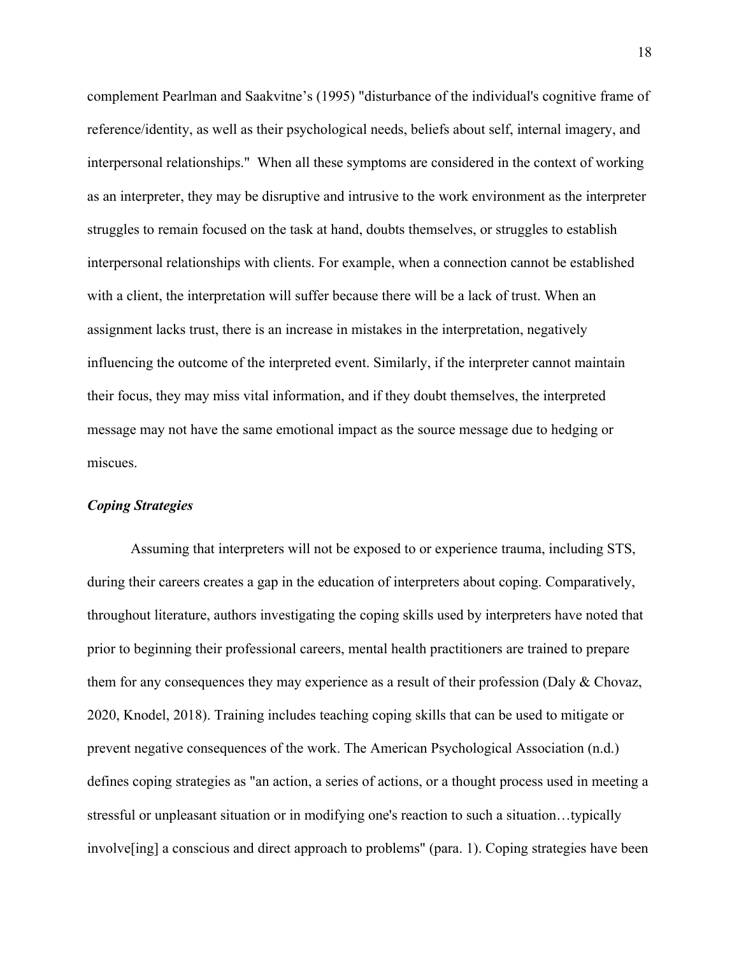complement Pearlman and Saakvitne's (1995) "disturbance of the individual's cognitive frame of reference/identity, as well as their psychological needs, beliefs about self, internal imagery, and interpersonal relationships." When all these symptoms are considered in the context of working as an interpreter, they may be disruptive and intrusive to the work environment as the interpreter struggles to remain focused on the task at hand, doubts themselves, or struggles to establish interpersonal relationships with clients. For example, when a connection cannot be established with a client, the interpretation will suffer because there will be a lack of trust. When an assignment lacks trust, there is an increase in mistakes in the interpretation, negatively influencing the outcome of the interpreted event. Similarly, if the interpreter cannot maintain their focus, they may miss vital information, and if they doubt themselves, the interpreted message may not have the same emotional impact as the source message due to hedging or miscues.

# *Coping Strategies*

Assuming that interpreters will not be exposed to or experience trauma, including STS, during their careers creates a gap in the education of interpreters about coping. Comparatively, throughout literature, authors investigating the coping skills used by interpreters have noted that prior to beginning their professional careers, mental health practitioners are trained to prepare them for any consequences they may experience as a result of their profession (Daly & Chovaz, 2020, Knodel, 2018). Training includes teaching coping skills that can be used to mitigate or prevent negative consequences of the work. The American Psychological Association (n.d.) defines coping strategies as "an action, a series of actions, or a thought process used in meeting a stressful or unpleasant situation or in modifying one's reaction to such a situation…typically involve[ing] a conscious and direct approach to problems" (para. 1). Coping strategies have been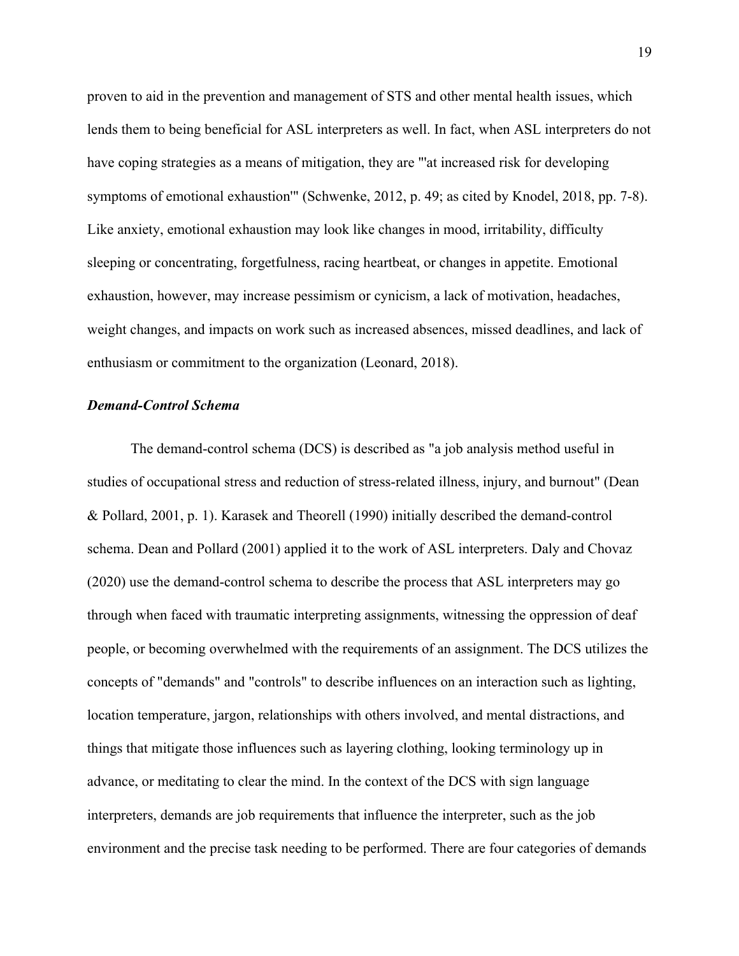proven to aid in the prevention and management of STS and other mental health issues, which lends them to being beneficial for ASL interpreters as well. In fact, when ASL interpreters do not have coping strategies as a means of mitigation, they are "'at increased risk for developing symptoms of emotional exhaustion'" (Schwenke, 2012, p. 49; as cited by Knodel, 2018, pp. 7-8). Like anxiety, emotional exhaustion may look like changes in mood, irritability, difficulty sleeping or concentrating, forgetfulness, racing heartbeat, or changes in appetite. Emotional exhaustion, however, may increase pessimism or cynicism, a lack of motivation, headaches, weight changes, and impacts on work such as increased absences, missed deadlines, and lack of enthusiasm or commitment to the organization (Leonard, 2018).

#### *Demand-Control Schema*

The demand-control schema (DCS) is described as "a job analysis method useful in studies of occupational stress and reduction of stress-related illness, injury, and burnout" (Dean & Pollard, 2001, p. 1). Karasek and Theorell (1990) initially described the demand-control schema. Dean and Pollard (2001) applied it to the work of ASL interpreters. Daly and Chovaz (2020) use the demand-control schema to describe the process that ASL interpreters may go through when faced with traumatic interpreting assignments, witnessing the oppression of deaf people, or becoming overwhelmed with the requirements of an assignment. The DCS utilizes the concepts of "demands" and "controls" to describe influences on an interaction such as lighting, location temperature, jargon, relationships with others involved, and mental distractions, and things that mitigate those influences such as layering clothing, looking terminology up in advance, or meditating to clear the mind. In the context of the DCS with sign language interpreters, demands are job requirements that influence the interpreter, such as the job environment and the precise task needing to be performed. There are four categories of demands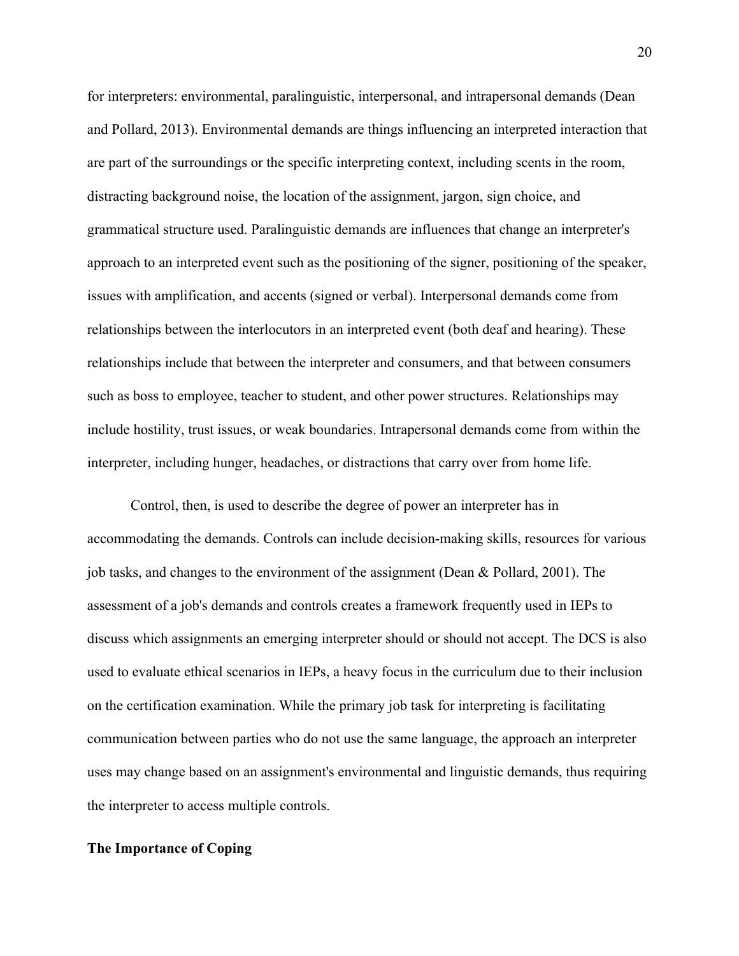for interpreters: environmental, paralinguistic, interpersonal, and intrapersonal demands (Dean and Pollard, 2013). Environmental demands are things influencing an interpreted interaction that are part of the surroundings or the specific interpreting context, including scents in the room, distracting background noise, the location of the assignment, jargon, sign choice, and grammatical structure used. Paralinguistic demands are influences that change an interpreter's approach to an interpreted event such as the positioning of the signer, positioning of the speaker, issues with amplification, and accents (signed or verbal). Interpersonal demands come from relationships between the interlocutors in an interpreted event (both deaf and hearing). These relationships include that between the interpreter and consumers, and that between consumers such as boss to employee, teacher to student, and other power structures. Relationships may include hostility, trust issues, or weak boundaries. Intrapersonal demands come from within the interpreter, including hunger, headaches, or distractions that carry over from home life.

Control, then, is used to describe the degree of power an interpreter has in accommodating the demands. Controls can include decision-making skills, resources for various job tasks, and changes to the environment of the assignment (Dean & Pollard, 2001). The assessment of a job's demands and controls creates a framework frequently used in IEPs to discuss which assignments an emerging interpreter should or should not accept. The DCS is also used to evaluate ethical scenarios in IEPs, a heavy focus in the curriculum due to their inclusion on the certification examination. While the primary job task for interpreting is facilitating communication between parties who do not use the same language, the approach an interpreter uses may change based on an assignment's environmental and linguistic demands, thus requiring the interpreter to access multiple controls.

#### **The Importance of Coping**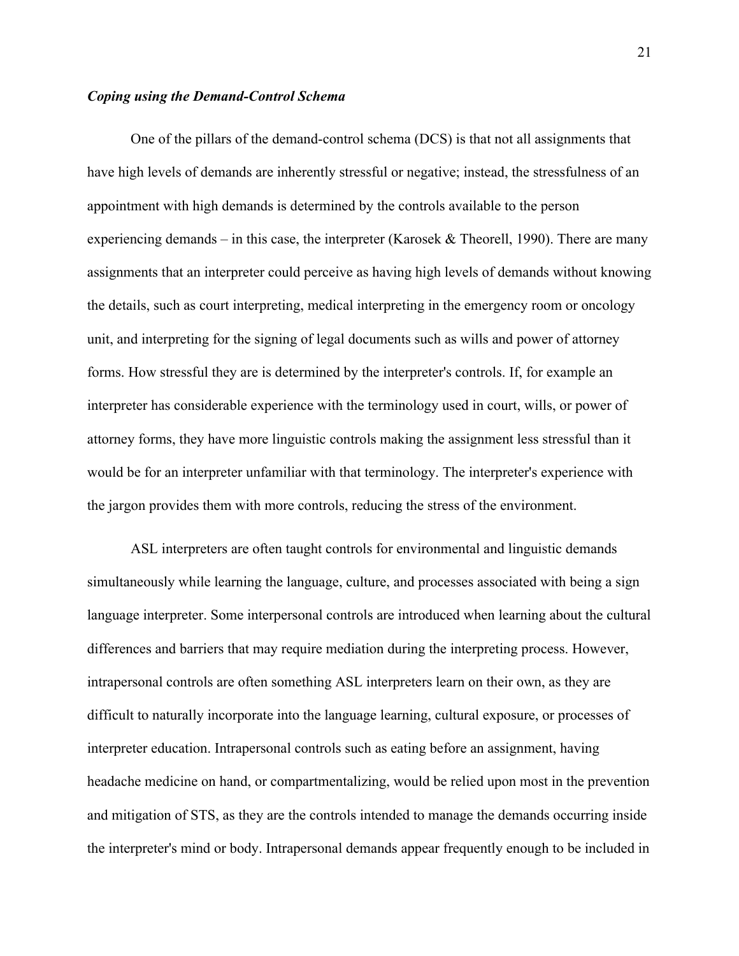# *Coping using the Demand-Control Schema*

One of the pillars of the demand-control schema (DCS) is that not all assignments that have high levels of demands are inherently stressful or negative; instead, the stressfulness of an appointment with high demands is determined by the controls available to the person experiencing demands – in this case, the interpreter (Karosek & Theorell, 1990). There are many assignments that an interpreter could perceive as having high levels of demands without knowing the details, such as court interpreting, medical interpreting in the emergency room or oncology unit, and interpreting for the signing of legal documents such as wills and power of attorney forms. How stressful they are is determined by the interpreter's controls. If, for example an interpreter has considerable experience with the terminology used in court, wills, or power of attorney forms, they have more linguistic controls making the assignment less stressful than it would be for an interpreter unfamiliar with that terminology. The interpreter's experience with the jargon provides them with more controls, reducing the stress of the environment.

ASL interpreters are often taught controls for environmental and linguistic demands simultaneously while learning the language, culture, and processes associated with being a sign language interpreter. Some interpersonal controls are introduced when learning about the cultural differences and barriers that may require mediation during the interpreting process. However, intrapersonal controls are often something ASL interpreters learn on their own, as they are difficult to naturally incorporate into the language learning, cultural exposure, or processes of interpreter education. Intrapersonal controls such as eating before an assignment, having headache medicine on hand, or compartmentalizing, would be relied upon most in the prevention and mitigation of STS, as they are the controls intended to manage the demands occurring inside the interpreter's mind or body. Intrapersonal demands appear frequently enough to be included in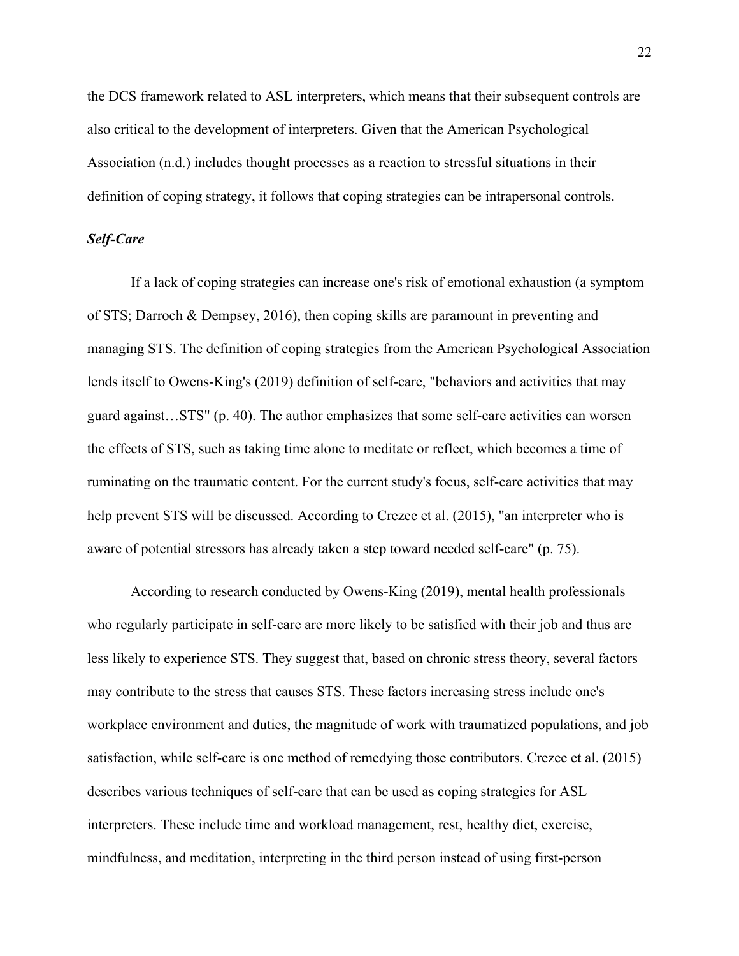the DCS framework related to ASL interpreters, which means that their subsequent controls are also critical to the development of interpreters. Given that the American Psychological Association (n.d.) includes thought processes as a reaction to stressful situations in their definition of coping strategy, it follows that coping strategies can be intrapersonal controls.

# *Self-Care*

If a lack of coping strategies can increase one's risk of emotional exhaustion (a symptom of STS; Darroch & Dempsey, 2016), then coping skills are paramount in preventing and managing STS. The definition of coping strategies from the American Psychological Association lends itself to Owens-King's (2019) definition of self-care, "behaviors and activities that may guard against…STS" (p. 40). The author emphasizes that some self-care activities can worsen the effects of STS, such as taking time alone to meditate or reflect, which becomes a time of ruminating on the traumatic content. For the current study's focus, self-care activities that may help prevent STS will be discussed. According to Crezee et al. (2015), "an interpreter who is aware of potential stressors has already taken a step toward needed self-care" (p. 75).

According to research conducted by Owens-King (2019), mental health professionals who regularly participate in self-care are more likely to be satisfied with their job and thus are less likely to experience STS. They suggest that, based on chronic stress theory, several factors may contribute to the stress that causes STS. These factors increasing stress include one's workplace environment and duties, the magnitude of work with traumatized populations, and job satisfaction, while self-care is one method of remedying those contributors. Crezee et al. (2015) describes various techniques of self-care that can be used as coping strategies for ASL interpreters. These include time and workload management, rest, healthy diet, exercise, mindfulness, and meditation, interpreting in the third person instead of using first-person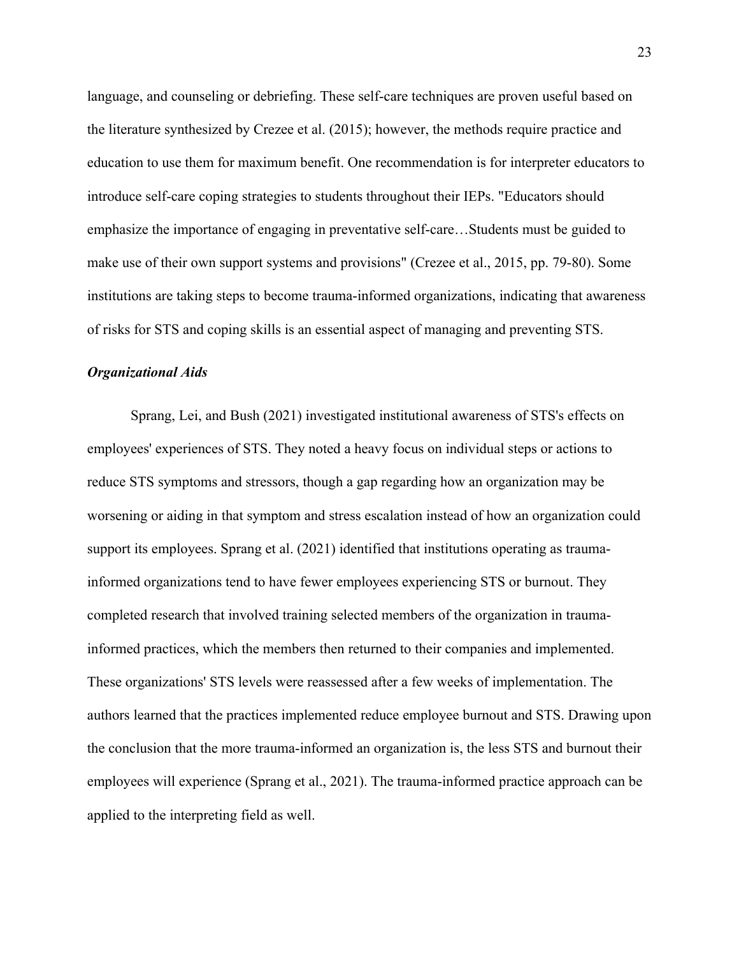language, and counseling or debriefing. These self-care techniques are proven useful based on the literature synthesized by Crezee et al. (2015); however, the methods require practice and education to use them for maximum benefit. One recommendation is for interpreter educators to introduce self-care coping strategies to students throughout their IEPs. "Educators should emphasize the importance of engaging in preventative self-care…Students must be guided to make use of their own support systems and provisions" (Crezee et al., 2015, pp. 79-80). Some institutions are taking steps to become trauma-informed organizations, indicating that awareness of risks for STS and coping skills is an essential aspect of managing and preventing STS.

# *Organizational Aids*

Sprang, Lei, and Bush (2021) investigated institutional awareness of STS's effects on employees' experiences of STS. They noted a heavy focus on individual steps or actions to reduce STS symptoms and stressors, though a gap regarding how an organization may be worsening or aiding in that symptom and stress escalation instead of how an organization could support its employees. Sprang et al. (2021) identified that institutions operating as traumainformed organizations tend to have fewer employees experiencing STS or burnout. They completed research that involved training selected members of the organization in traumainformed practices, which the members then returned to their companies and implemented. These organizations' STS levels were reassessed after a few weeks of implementation. The authors learned that the practices implemented reduce employee burnout and STS. Drawing upon the conclusion that the more trauma-informed an organization is, the less STS and burnout their employees will experience (Sprang et al., 2021). The trauma-informed practice approach can be applied to the interpreting field as well.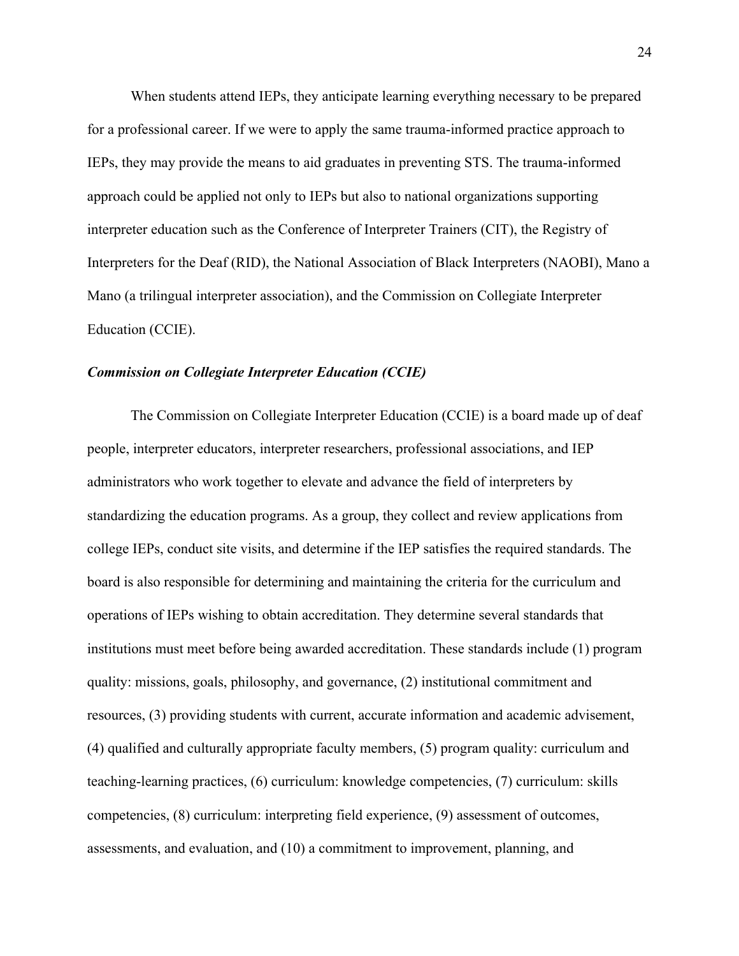When students attend IEPs, they anticipate learning everything necessary to be prepared for a professional career. If we were to apply the same trauma-informed practice approach to IEPs, they may provide the means to aid graduates in preventing STS. The trauma-informed approach could be applied not only to IEPs but also to national organizations supporting interpreter education such as the Conference of Interpreter Trainers (CIT), the Registry of Interpreters for the Deaf (RID), the National Association of Black Interpreters (NAOBI), Mano a Mano (a trilingual interpreter association), and the Commission on Collegiate Interpreter Education (CCIE).

# *Commission on Collegiate Interpreter Education (CCIE)*

The Commission on Collegiate Interpreter Education (CCIE) is a board made up of deaf people, interpreter educators, interpreter researchers, professional associations, and IEP administrators who work together to elevate and advance the field of interpreters by standardizing the education programs. As a group, they collect and review applications from college IEPs, conduct site visits, and determine if the IEP satisfies the required standards. The board is also responsible for determining and maintaining the criteria for the curriculum and operations of IEPs wishing to obtain accreditation. They determine several standards that institutions must meet before being awarded accreditation. These standards include (1) program quality: missions, goals, philosophy, and governance, (2) institutional commitment and resources, (3) providing students with current, accurate information and academic advisement, (4) qualified and culturally appropriate faculty members, (5) program quality: curriculum and teaching-learning practices, (6) curriculum: knowledge competencies, (7) curriculum: skills competencies, (8) curriculum: interpreting field experience, (9) assessment of outcomes, assessments, and evaluation, and (10) a commitment to improvement, planning, and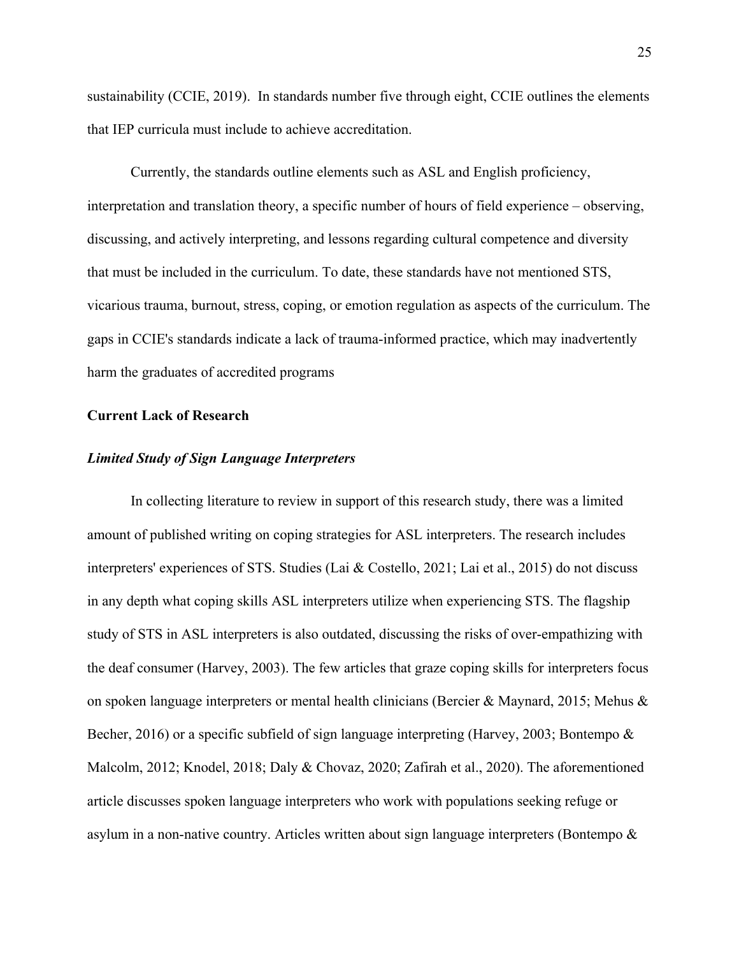sustainability (CCIE, 2019). In standards number five through eight, CCIE outlines the elements that IEP curricula must include to achieve accreditation.

Currently, the standards outline elements such as ASL and English proficiency, interpretation and translation theory, a specific number of hours of field experience – observing, discussing, and actively interpreting, and lessons regarding cultural competence and diversity that must be included in the curriculum. To date, these standards have not mentioned STS, vicarious trauma, burnout, stress, coping, or emotion regulation as aspects of the curriculum. The gaps in CCIE's standards indicate a lack of trauma-informed practice, which may inadvertently harm the graduates of accredited programs

# **Current Lack of Research**

# *Limited Study of Sign Language Interpreters*

In collecting literature to review in support of this research study, there was a limited amount of published writing on coping strategies for ASL interpreters. The research includes interpreters' experiences of STS. Studies (Lai & Costello, 2021; Lai et al., 2015) do not discuss in any depth what coping skills ASL interpreters utilize when experiencing STS. The flagship study of STS in ASL interpreters is also outdated, discussing the risks of over-empathizing with the deaf consumer (Harvey, 2003). The few articles that graze coping skills for interpreters focus on spoken language interpreters or mental health clinicians (Bercier & Maynard, 2015; Mehus & Becher, 2016) or a specific subfield of sign language interpreting (Harvey, 2003; Bontempo & Malcolm, 2012; Knodel, 2018; Daly & Chovaz, 2020; Zafirah et al., 2020). The aforementioned article discusses spoken language interpreters who work with populations seeking refuge or asylum in a non-native country. Articles written about sign language interpreters (Bontempo &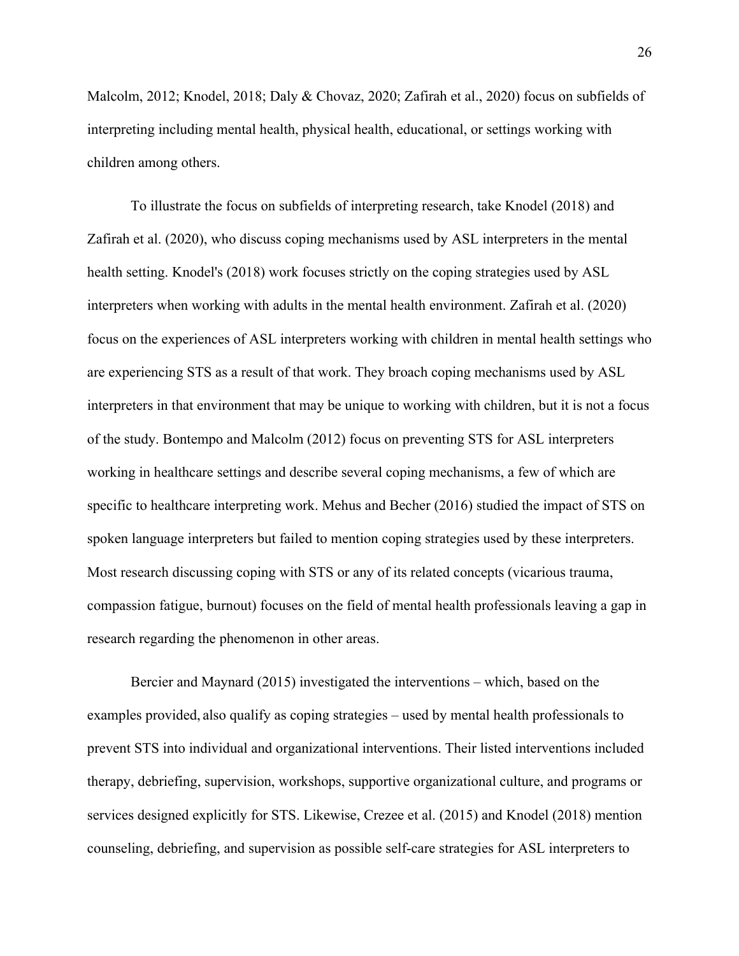Malcolm, 2012; Knodel, 2018; Daly & Chovaz, 2020; Zafirah et al., 2020) focus on subfields of interpreting including mental health, physical health, educational, or settings working with children among others.

To illustrate the focus on subfields of interpreting research, take Knodel (2018) and Zafirah et al. (2020), who discuss coping mechanisms used by ASL interpreters in the mental health setting. Knodel's (2018) work focuses strictly on the coping strategies used by ASL interpreters when working with adults in the mental health environment. Zafirah et al. (2020) focus on the experiences of ASL interpreters working with children in mental health settings who are experiencing STS as a result of that work. They broach coping mechanisms used by ASL interpreters in that environment that may be unique to working with children, but it is not a focus of the study. Bontempo and Malcolm (2012) focus on preventing STS for ASL interpreters working in healthcare settings and describe several coping mechanisms, a few of which are specific to healthcare interpreting work. Mehus and Becher (2016) studied the impact of STS on spoken language interpreters but failed to mention coping strategies used by these interpreters. Most research discussing coping with STS or any of its related concepts (vicarious trauma, compassion fatigue, burnout) focuses on the field of mental health professionals leaving a gap in research regarding the phenomenon in other areas.

Bercier and Maynard (2015) investigated the interventions – which, based on the examples provided, also qualify as coping strategies – used by mental health professionals to prevent STS into individual and organizational interventions. Their listed interventions included therapy, debriefing, supervision, workshops, supportive organizational culture, and programs or services designed explicitly for STS. Likewise, Crezee et al. (2015) and Knodel (2018) mention counseling, debriefing, and supervision as possible self-care strategies for ASL interpreters to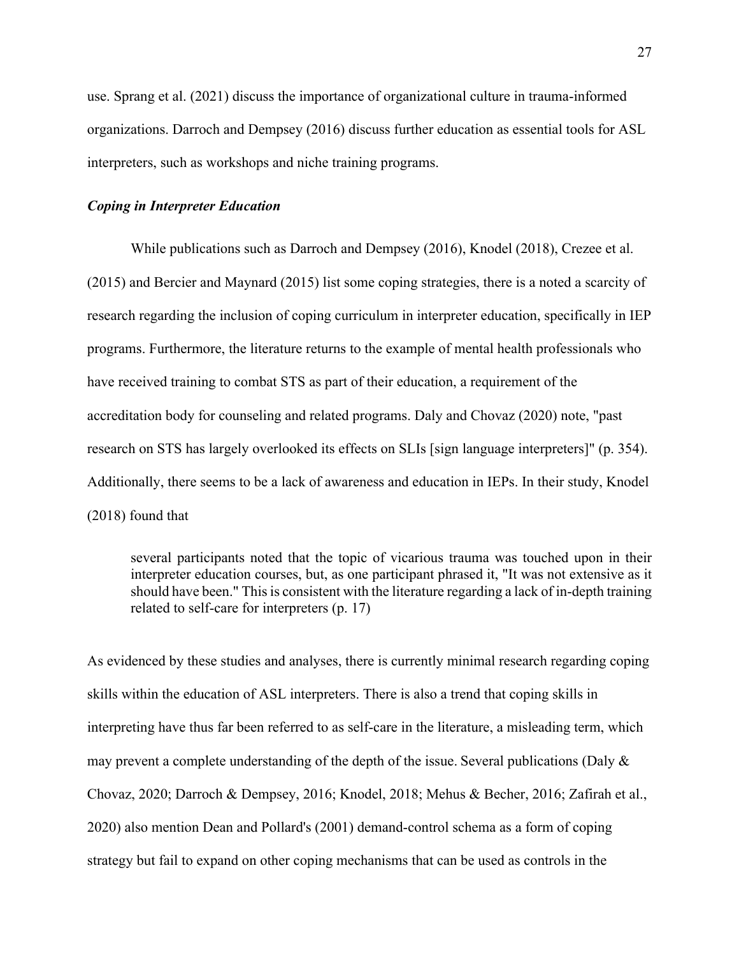use. Sprang et al. (2021) discuss the importance of organizational culture in trauma-informed organizations. Darroch and Dempsey (2016) discuss further education as essential tools for ASL interpreters, such as workshops and niche training programs.

# *Coping in Interpreter Education*

While publications such as Darroch and Dempsey (2016), Knodel (2018), Crezee et al. (2015) and Bercier and Maynard (2015) list some coping strategies, there is a noted a scarcity of research regarding the inclusion of coping curriculum in interpreter education, specifically in IEP programs. Furthermore, the literature returns to the example of mental health professionals who have received training to combat STS as part of their education, a requirement of the accreditation body for counseling and related programs. Daly and Chovaz (2020) note, "past research on STS has largely overlooked its effects on SLIs [sign language interpreters]" (p. 354). Additionally, there seems to be a lack of awareness and education in IEPs. In their study, Knodel (2018) found that

several participants noted that the topic of vicarious trauma was touched upon in their interpreter education courses, but, as one participant phrased it, "It was not extensive as it should have been." This is consistent with the literature regarding a lack of in-depth training related to self-care for interpreters (p. 17)

As evidenced by these studies and analyses, there is currently minimal research regarding coping skills within the education of ASL interpreters. There is also a trend that coping skills in interpreting have thus far been referred to as self-care in the literature, a misleading term, which may prevent a complete understanding of the depth of the issue. Several publications (Daly & Chovaz, 2020; Darroch & Dempsey, 2016; Knodel, 2018; Mehus & Becher, 2016; Zafirah et al., 2020) also mention Dean and Pollard's (2001) demand-control schema as a form of coping strategy but fail to expand on other coping mechanisms that can be used as controls in the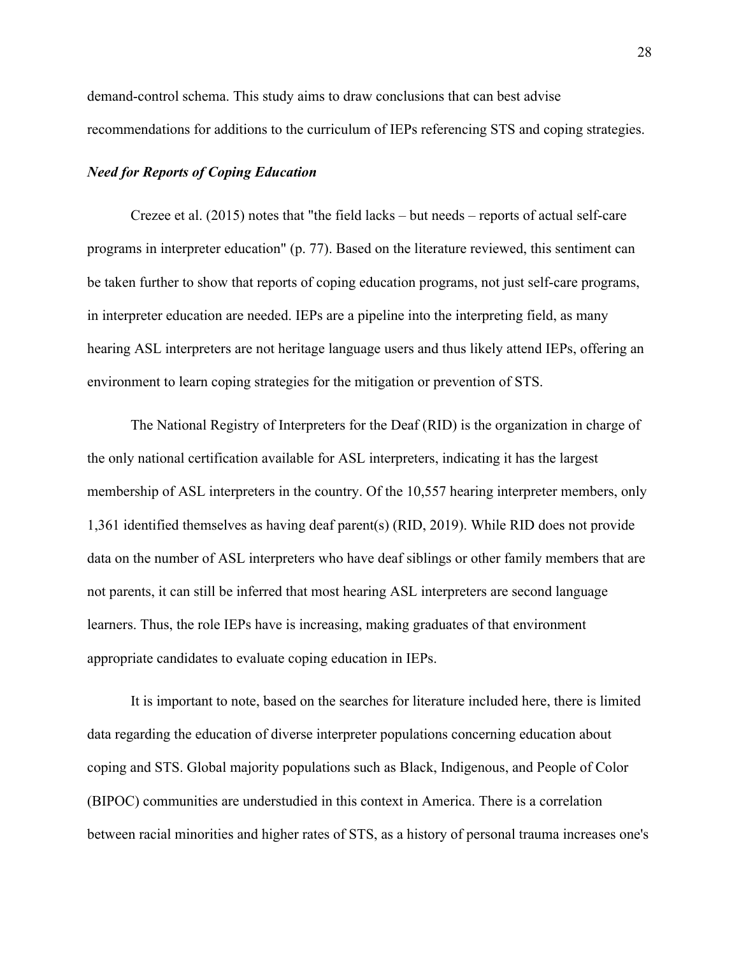demand-control schema. This study aims to draw conclusions that can best advise recommendations for additions to the curriculum of IEPs referencing STS and coping strategies.

# *Need for Reports of Coping Education*

Crezee et al. (2015) notes that "the field lacks – but needs – reports of actual self-care programs in interpreter education" (p. 77). Based on the literature reviewed, this sentiment can be taken further to show that reports of coping education programs, not just self-care programs, in interpreter education are needed. IEPs are a pipeline into the interpreting field, as many hearing ASL interpreters are not heritage language users and thus likely attend IEPs, offering an environment to learn coping strategies for the mitigation or prevention of STS.

The National Registry of Interpreters for the Deaf (RID) is the organization in charge of the only national certification available for ASL interpreters, indicating it has the largest membership of ASL interpreters in the country. Of the 10,557 hearing interpreter members, only 1,361 identified themselves as having deaf parent(s) (RID, 2019). While RID does not provide data on the number of ASL interpreters who have deaf siblings or other family members that are not parents, it can still be inferred that most hearing ASL interpreters are second language learners. Thus, the role IEPs have is increasing, making graduates of that environment appropriate candidates to evaluate coping education in IEPs.

It is important to note, based on the searches for literature included here, there is limited data regarding the education of diverse interpreter populations concerning education about coping and STS. Global majority populations such as Black, Indigenous, and People of Color (BIPOC) communities are understudied in this context in America. There is a correlation between racial minorities and higher rates of STS, as a history of personal trauma increases one's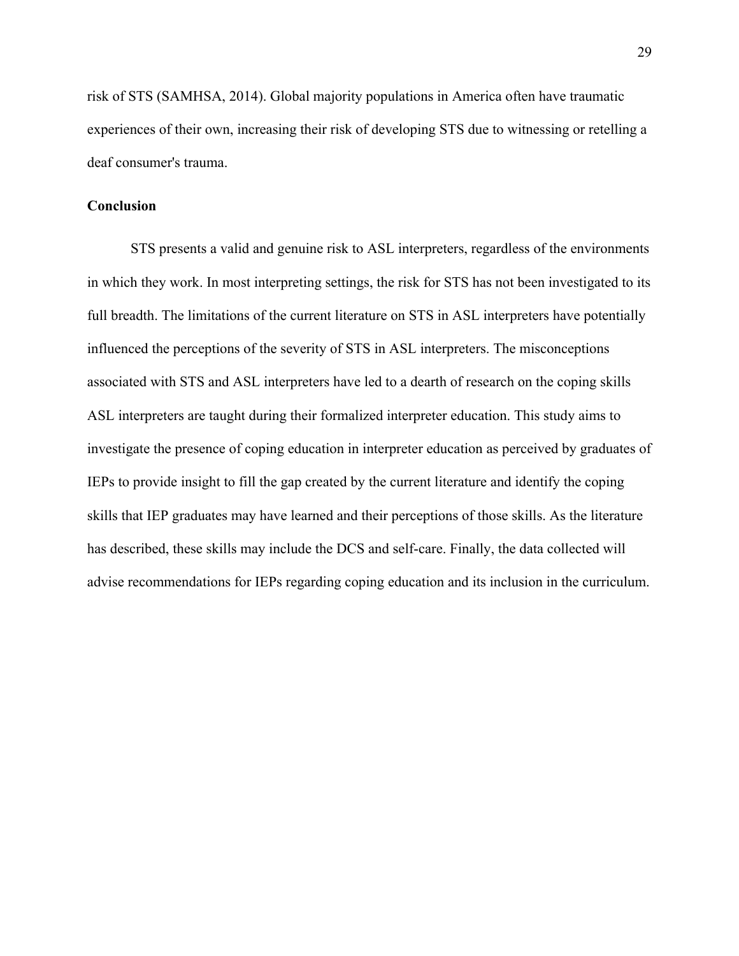risk of STS (SAMHSA, 2014). Global majority populations in America often have traumatic experiences of their own, increasing their risk of developing STS due to witnessing or retelling a deaf consumer's trauma.

# **Conclusion**

STS presents a valid and genuine risk to ASL interpreters, regardless of the environments in which they work. In most interpreting settings, the risk for STS has not been investigated to its full breadth. The limitations of the current literature on STS in ASL interpreters have potentially influenced the perceptions of the severity of STS in ASL interpreters. The misconceptions associated with STS and ASL interpreters have led to a dearth of research on the coping skills ASL interpreters are taught during their formalized interpreter education. This study aims to investigate the presence of coping education in interpreter education as perceived by graduates of IEPs to provide insight to fill the gap created by the current literature and identify the coping skills that IEP graduates may have learned and their perceptions of those skills. As the literature has described, these skills may include the DCS and self-care. Finally, the data collected will advise recommendations for IEPs regarding coping education and its inclusion in the curriculum.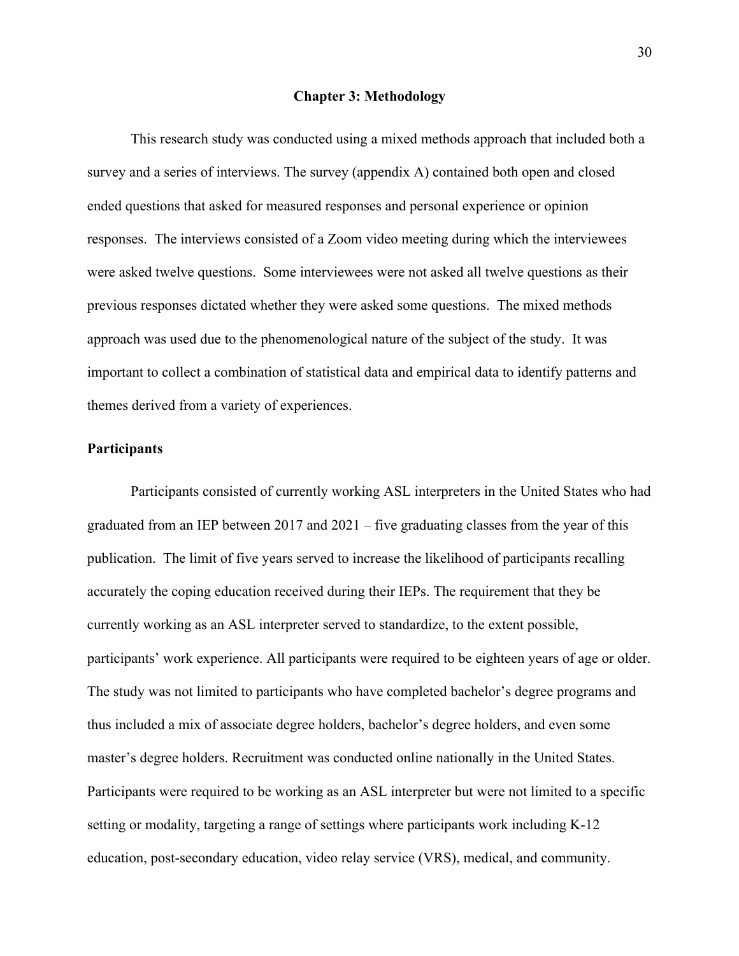#### **Chapter 3: Methodology**

This research study was conducted using a mixed methods approach that included both a survey and a series of interviews. The survey (appendix A) contained both open and closed ended questions that asked for measured responses and personal experience or opinion responses. The interviews consisted of a Zoom video meeting during which the interviewees were asked twelve questions. Some interviewees were not asked all twelve questions as their previous responses dictated whether they were asked some questions. The mixed methods approach was used due to the phenomenological nature of the subject of the study. It was important to collect a combination of statistical data and empirical data to identify patterns and themes derived from a variety of experiences.

#### **Participants**

Participants consisted of currently working ASL interpreters in the United States who had graduated from an IEP between  $2017$  and  $2021$  – five graduating classes from the year of this publication. The limit of five years served to increase the likelihood of participants recalling accurately the coping education received during their IEPs. The requirement that they be currently working as an ASL interpreter served to standardize, to the extent possible, participants' work experience. All participants were required to be eighteen years of age or older. The study was not limited to participants who have completed bachelor's degree programs and thus included a mix of associate degree holders, bachelor's degree holders, and even some master's degree holders. Recruitment was conducted online nationally in the United States. Participants were required to be working as an ASL interpreter but were not limited to a specific setting or modality, targeting a range of settings where participants work including K-12 education, post-secondary education, video relay service (VRS), medical, and community.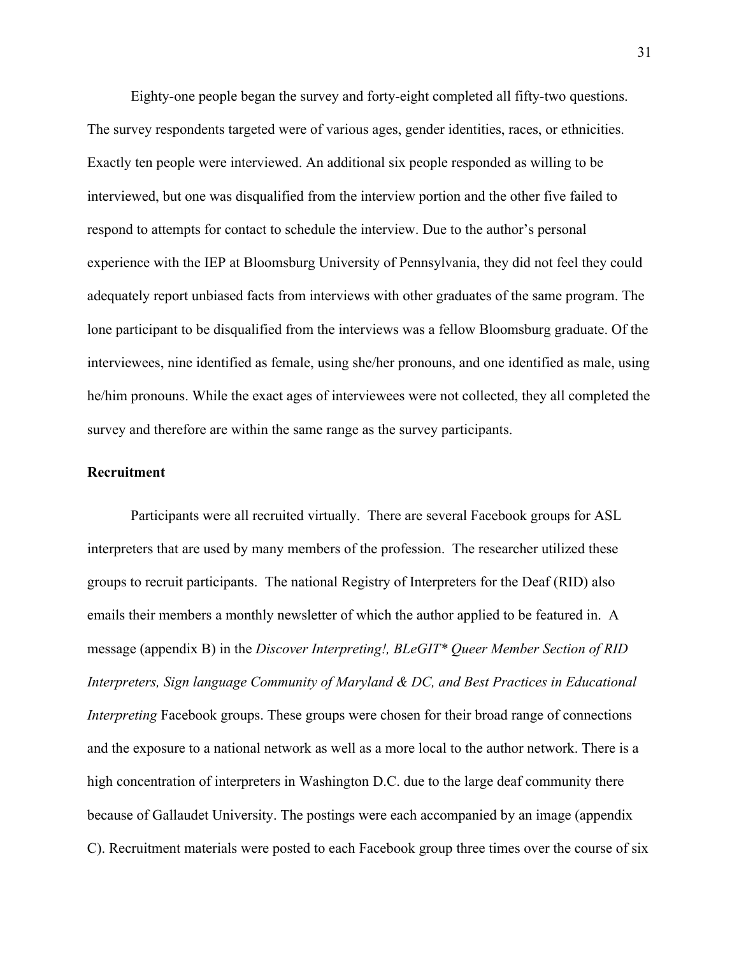Eighty-one people began the survey and forty-eight completed all fifty-two questions. The survey respondents targeted were of various ages, gender identities, races, or ethnicities. Exactly ten people were interviewed. An additional six people responded as willing to be interviewed, but one was disqualified from the interview portion and the other five failed to respond to attempts for contact to schedule the interview. Due to the author's personal experience with the IEP at Bloomsburg University of Pennsylvania, they did not feel they could adequately report unbiased facts from interviews with other graduates of the same program. The lone participant to be disqualified from the interviews was a fellow Bloomsburg graduate. Of the interviewees, nine identified as female, using she/her pronouns, and one identified as male, using he/him pronouns. While the exact ages of interviewees were not collected, they all completed the survey and therefore are within the same range as the survey participants.

## **Recruitment**

Participants were all recruited virtually. There are several Facebook groups for ASL interpreters that are used by many members of the profession. The researcher utilized these groups to recruit participants. The national Registry of Interpreters for the Deaf (RID) also emails their members a monthly newsletter of which the author applied to be featured in. A message (appendix B) in the *Discover Interpreting!, BLeGIT\* Queer Member Section of RID Interpreters, Sign language Community of Maryland & DC, and Best Practices in Educational Interpreting* Facebook groups. These groups were chosen for their broad range of connections and the exposure to a national network as well as a more local to the author network. There is a high concentration of interpreters in Washington D.C. due to the large deaf community there because of Gallaudet University. The postings were each accompanied by an image (appendix C). Recruitment materials were posted to each Facebook group three times over the course of six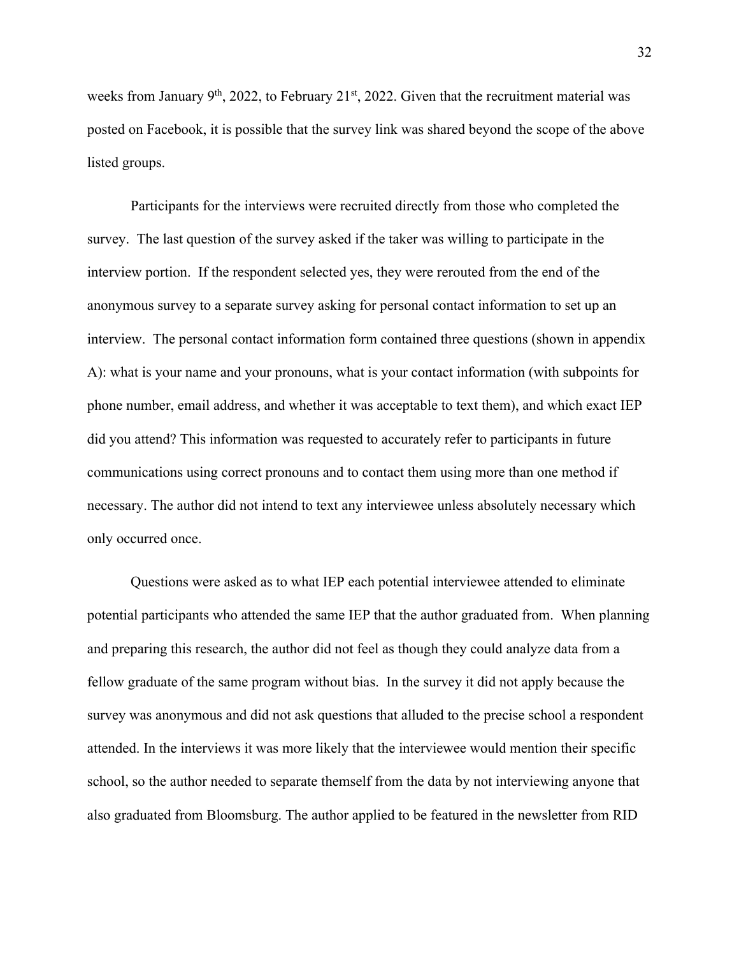weeks from January  $9<sup>th</sup>$ , 2022, to February 21<sup>st</sup>, 2022. Given that the recruitment material was posted on Facebook, it is possible that the survey link was shared beyond the scope of the above listed groups.

Participants for the interviews were recruited directly from those who completed the survey. The last question of the survey asked if the taker was willing to participate in the interview portion. If the respondent selected yes, they were rerouted from the end of the anonymous survey to a separate survey asking for personal contact information to set up an interview. The personal contact information form contained three questions (shown in appendix A): what is your name and your pronouns, what is your contact information (with subpoints for phone number, email address, and whether it was acceptable to text them), and which exact IEP did you attend? This information was requested to accurately refer to participants in future communications using correct pronouns and to contact them using more than one method if necessary. The author did not intend to text any interviewee unless absolutely necessary which only occurred once.

Questions were asked as to what IEP each potential interviewee attended to eliminate potential participants who attended the same IEP that the author graduated from. When planning and preparing this research, the author did not feel as though they could analyze data from a fellow graduate of the same program without bias. In the survey it did not apply because the survey was anonymous and did not ask questions that alluded to the precise school a respondent attended. In the interviews it was more likely that the interviewee would mention their specific school, so the author needed to separate themself from the data by not interviewing anyone that also graduated from Bloomsburg. The author applied to be featured in the newsletter from RID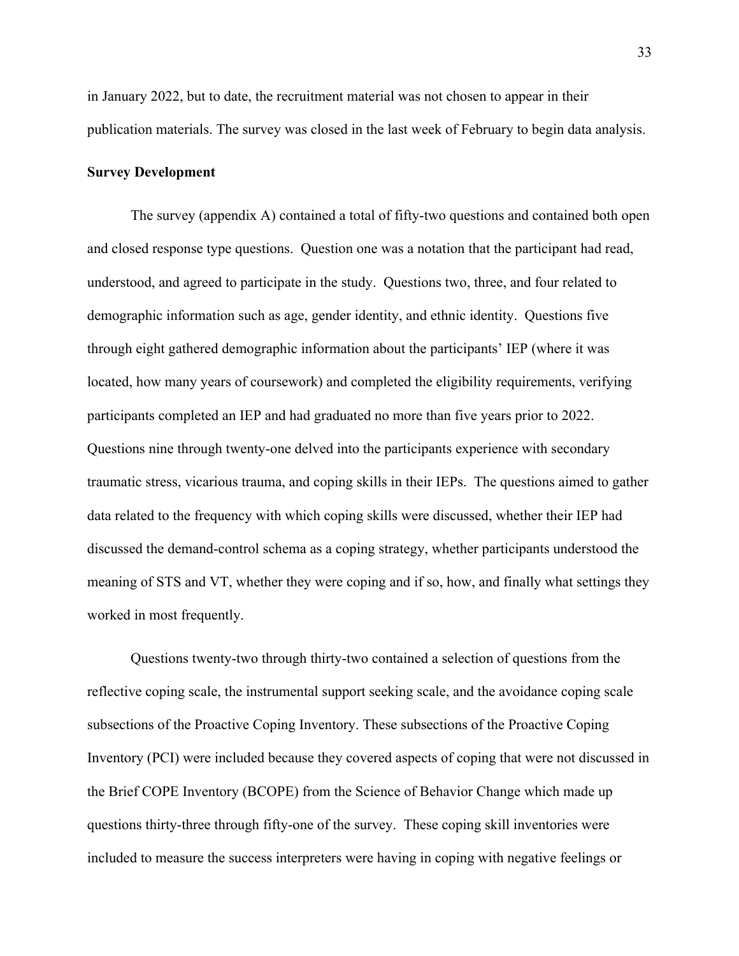in January 2022, but to date, the recruitment material was not chosen to appear in their publication materials. The survey was closed in the last week of February to begin data analysis.

#### **Survey Development**

The survey (appendix A) contained a total of fifty-two questions and contained both open and closed response type questions. Question one was a notation that the participant had read, understood, and agreed to participate in the study. Questions two, three, and four related to demographic information such as age, gender identity, and ethnic identity. Questions five through eight gathered demographic information about the participants' IEP (where it was located, how many years of coursework) and completed the eligibility requirements, verifying participants completed an IEP and had graduated no more than five years prior to 2022. Questions nine through twenty-one delved into the participants experience with secondary traumatic stress, vicarious trauma, and coping skills in their IEPs. The questions aimed to gather data related to the frequency with which coping skills were discussed, whether their IEP had discussed the demand-control schema as a coping strategy, whether participants understood the meaning of STS and VT, whether they were coping and if so, how, and finally what settings they worked in most frequently.

Questions twenty-two through thirty-two contained a selection of questions from the reflective coping scale, the instrumental support seeking scale, and the avoidance coping scale subsections of the Proactive Coping Inventory. These subsections of the Proactive Coping Inventory (PCI) were included because they covered aspects of coping that were not discussed in the Brief COPE Inventory (BCOPE) from the Science of Behavior Change which made up questions thirty-three through fifty-one of the survey. These coping skill inventories were included to measure the success interpreters were having in coping with negative feelings or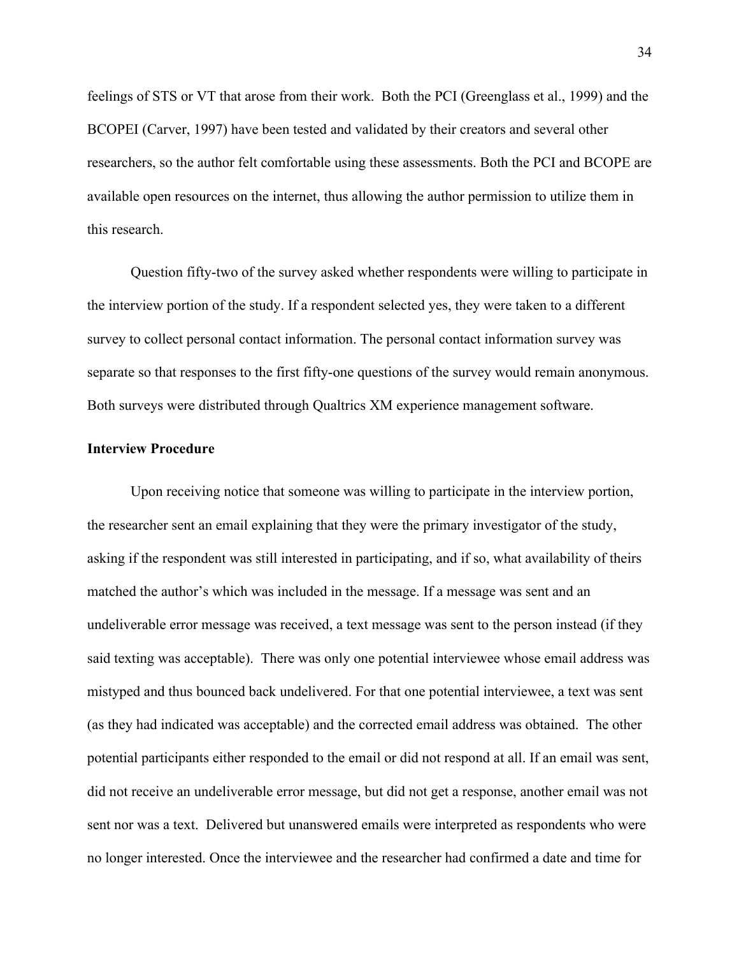feelings of STS or VT that arose from their work. Both the PCI (Greenglass et al., 1999) and the BCOPEI (Carver, 1997) have been tested and validated by their creators and several other researchers, so the author felt comfortable using these assessments. Both the PCI and BCOPE are available open resources on the internet, thus allowing the author permission to utilize them in this research.

Question fifty-two of the survey asked whether respondents were willing to participate in the interview portion of the study. If a respondent selected yes, they were taken to a different survey to collect personal contact information. The personal contact information survey was separate so that responses to the first fifty-one questions of the survey would remain anonymous. Both surveys were distributed through Qualtrics XM experience management software.

#### **Interview Procedure**

Upon receiving notice that someone was willing to participate in the interview portion, the researcher sent an email explaining that they were the primary investigator of the study, asking if the respondent was still interested in participating, and if so, what availability of theirs matched the author's which was included in the message. If a message was sent and an undeliverable error message was received, a text message was sent to the person instead (if they said texting was acceptable). There was only one potential interviewee whose email address was mistyped and thus bounced back undelivered. For that one potential interviewee, a text was sent (as they had indicated was acceptable) and the corrected email address was obtained. The other potential participants either responded to the email or did not respond at all. If an email was sent, did not receive an undeliverable error message, but did not get a response, another email was not sent nor was a text. Delivered but unanswered emails were interpreted as respondents who were no longer interested. Once the interviewee and the researcher had confirmed a date and time for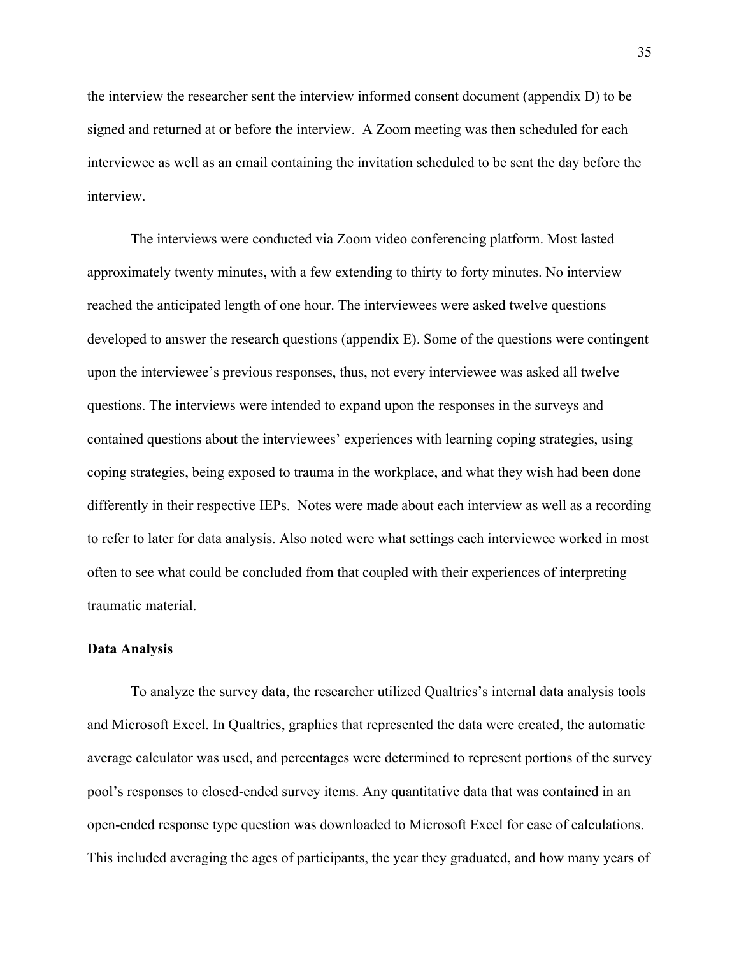the interview the researcher sent the interview informed consent document (appendix D) to be signed and returned at or before the interview. A Zoom meeting was then scheduled for each interviewee as well as an email containing the invitation scheduled to be sent the day before the interview.

The interviews were conducted via Zoom video conferencing platform. Most lasted approximately twenty minutes, with a few extending to thirty to forty minutes. No interview reached the anticipated length of one hour. The interviewees were asked twelve questions developed to answer the research questions (appendix E). Some of the questions were contingent upon the interviewee's previous responses, thus, not every interviewee was asked all twelve questions. The interviews were intended to expand upon the responses in the surveys and contained questions about the interviewees' experiences with learning coping strategies, using coping strategies, being exposed to trauma in the workplace, and what they wish had been done differently in their respective IEPs. Notes were made about each interview as well as a recording to refer to later for data analysis. Also noted were what settings each interviewee worked in most often to see what could be concluded from that coupled with their experiences of interpreting traumatic material.

#### **Data Analysis**

To analyze the survey data, the researcher utilized Qualtrics's internal data analysis tools and Microsoft Excel. In Qualtrics, graphics that represented the data were created, the automatic average calculator was used, and percentages were determined to represent portions of the survey pool's responses to closed-ended survey items. Any quantitative data that was contained in an open-ended response type question was downloaded to Microsoft Excel for ease of calculations. This included averaging the ages of participants, the year they graduated, and how many years of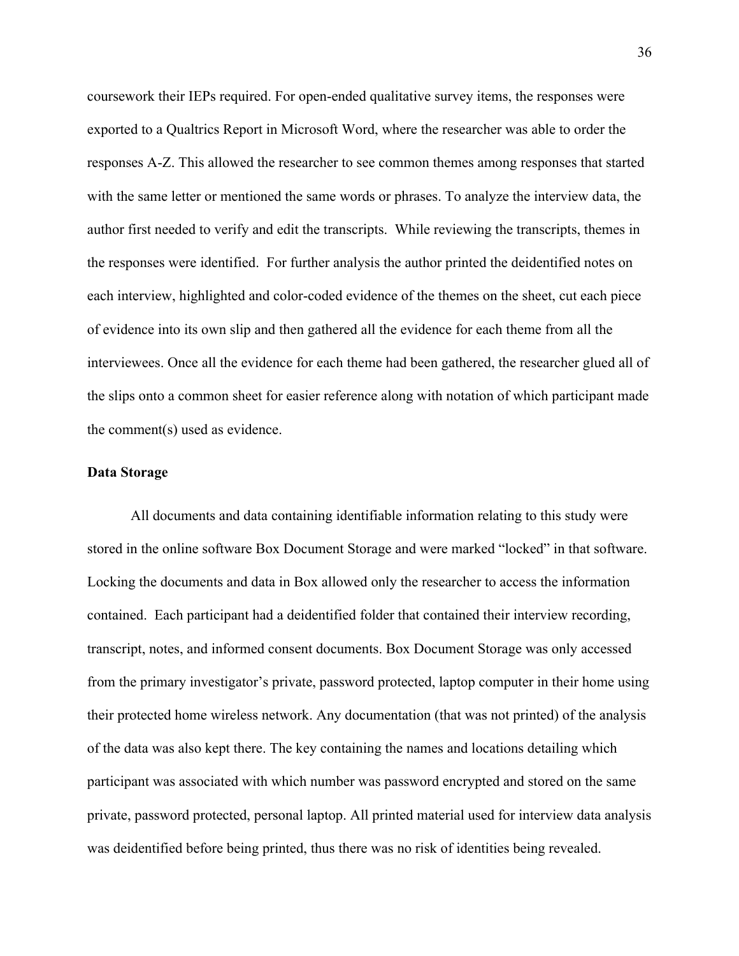coursework their IEPs required. For open-ended qualitative survey items, the responses were exported to a Qualtrics Report in Microsoft Word, where the researcher was able to order the responses A-Z. This allowed the researcher to see common themes among responses that started with the same letter or mentioned the same words or phrases. To analyze the interview data, the author first needed to verify and edit the transcripts. While reviewing the transcripts, themes in the responses were identified. For further analysis the author printed the deidentified notes on each interview, highlighted and color-coded evidence of the themes on the sheet, cut each piece of evidence into its own slip and then gathered all the evidence for each theme from all the interviewees. Once all the evidence for each theme had been gathered, the researcher glued all of the slips onto a common sheet for easier reference along with notation of which participant made the comment(s) used as evidence.

### **Data Storage**

All documents and data containing identifiable information relating to this study were stored in the online software Box Document Storage and were marked "locked" in that software. Locking the documents and data in Box allowed only the researcher to access the information contained. Each participant had a deidentified folder that contained their interview recording, transcript, notes, and informed consent documents. Box Document Storage was only accessed from the primary investigator's private, password protected, laptop computer in their home using their protected home wireless network. Any documentation (that was not printed) of the analysis of the data was also kept there. The key containing the names and locations detailing which participant was associated with which number was password encrypted and stored on the same private, password protected, personal laptop. All printed material used for interview data analysis was deidentified before being printed, thus there was no risk of identities being revealed.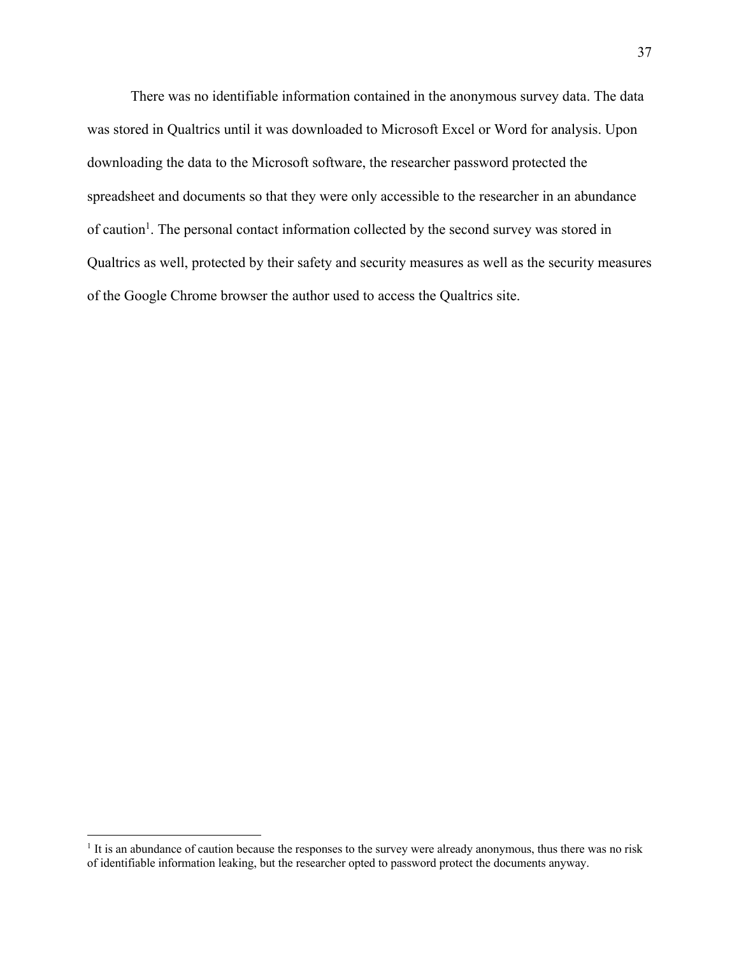There was no identifiable information contained in the anonymous survey data. The data was stored in Qualtrics until it was downloaded to Microsoft Excel or Word for analysis. Upon downloading the data to the Microsoft software, the researcher password protected the spreadsheet and documents so that they were only accessible to the researcher in an abundance of caution<sup>1</sup>. The personal contact information collected by the second survey was stored in Qualtrics as well, protected by their safety and security measures as well as the security measures of the Google Chrome browser the author used to access the Qualtrics site.

<sup>&</sup>lt;sup>1</sup> It is an abundance of caution because the responses to the survey were already anonymous, thus there was no risk of identifiable information leaking, but the researcher opted to password protect the documents anyway.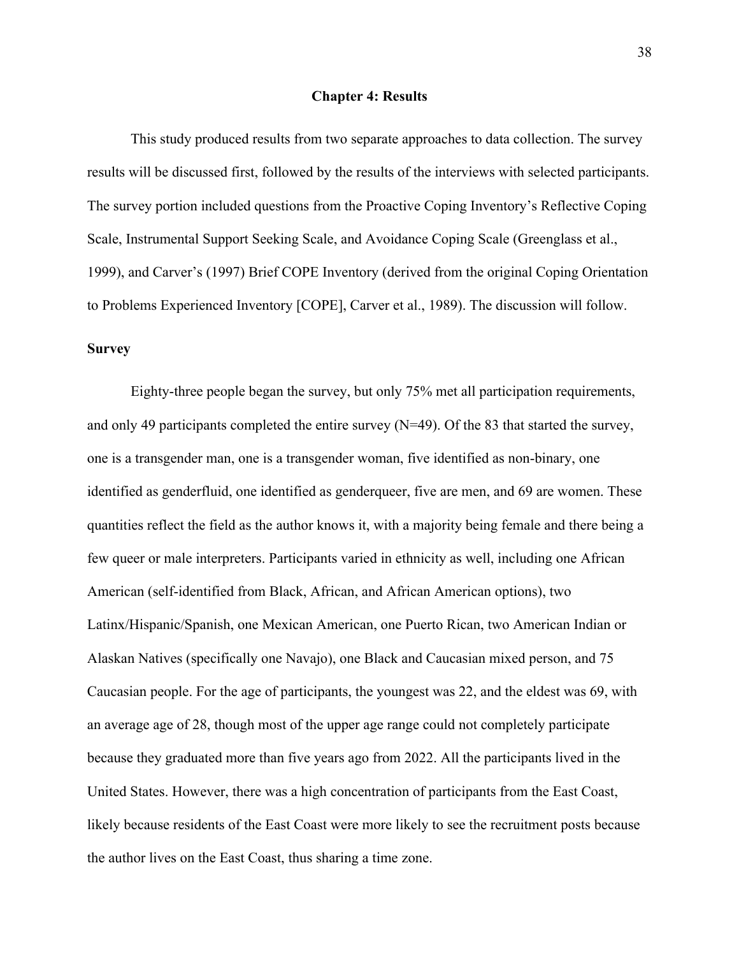#### **Chapter 4: Results**

This study produced results from two separate approaches to data collection. The survey results will be discussed first, followed by the results of the interviews with selected participants. The survey portion included questions from the Proactive Coping Inventory's Reflective Coping Scale, Instrumental Support Seeking Scale, and Avoidance Coping Scale (Greenglass et al., 1999), and Carver's (1997) Brief COPE Inventory (derived from the original Coping Orientation to Problems Experienced Inventory [COPE], Carver et al., 1989). The discussion will follow.

## **Survey**

Eighty-three people began the survey, but only 75% met all participation requirements, and only 49 participants completed the entire survey  $(N=49)$ . Of the 83 that started the survey, one is a transgender man, one is a transgender woman, five identified as non-binary, one identified as genderfluid, one identified as genderqueer, five are men, and 69 are women. These quantities reflect the field as the author knows it, with a majority being female and there being a few queer or male interpreters. Participants varied in ethnicity as well, including one African American (self-identified from Black, African, and African American options), two Latinx/Hispanic/Spanish, one Mexican American, one Puerto Rican, two American Indian or Alaskan Natives (specifically one Navajo), one Black and Caucasian mixed person, and 75 Caucasian people. For the age of participants, the youngest was 22, and the eldest was 69, with an average age of 28, though most of the upper age range could not completely participate because they graduated more than five years ago from 2022. All the participants lived in the United States. However, there was a high concentration of participants from the East Coast, likely because residents of the East Coast were more likely to see the recruitment posts because the author lives on the East Coast, thus sharing a time zone.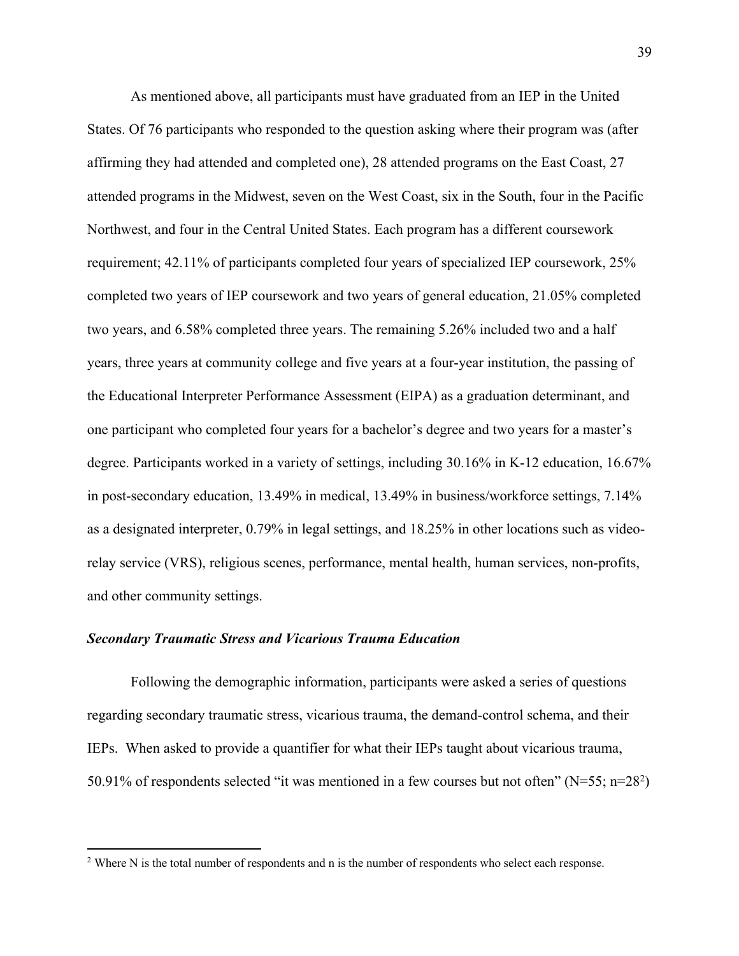As mentioned above, all participants must have graduated from an IEP in the United States. Of 76 participants who responded to the question asking where their program was (after affirming they had attended and completed one), 28 attended programs on the East Coast, 27 attended programs in the Midwest, seven on the West Coast, six in the South, four in the Pacific Northwest, and four in the Central United States. Each program has a different coursework requirement; 42.11% of participants completed four years of specialized IEP coursework, 25% completed two years of IEP coursework and two years of general education, 21.05% completed two years, and 6.58% completed three years. The remaining 5.26% included two and a half years, three years at community college and five years at a four-year institution, the passing of the Educational Interpreter Performance Assessment (EIPA) as a graduation determinant, and one participant who completed four years for a bachelor's degree and two years for a master's degree. Participants worked in a variety of settings, including 30.16% in K-12 education, 16.67% in post-secondary education, 13.49% in medical, 13.49% in business/workforce settings, 7.14% as a designated interpreter, 0.79% in legal settings, and 18.25% in other locations such as videorelay service (VRS), religious scenes, performance, mental health, human services, non-profits, and other community settings.

#### *Secondary Traumatic Stress and Vicarious Trauma Education*

Following the demographic information, participants were asked a series of questions regarding secondary traumatic stress, vicarious trauma, the demand-control schema, and their IEPs. When asked to provide a quantifier for what their IEPs taught about vicarious trauma, 50.91% of respondents selected "it was mentioned in a few courses but not often" ( $N=55$ ; n=28<sup>2</sup>)

<sup>&</sup>lt;sup>2</sup> Where N is the total number of respondents and n is the number of respondents who select each response.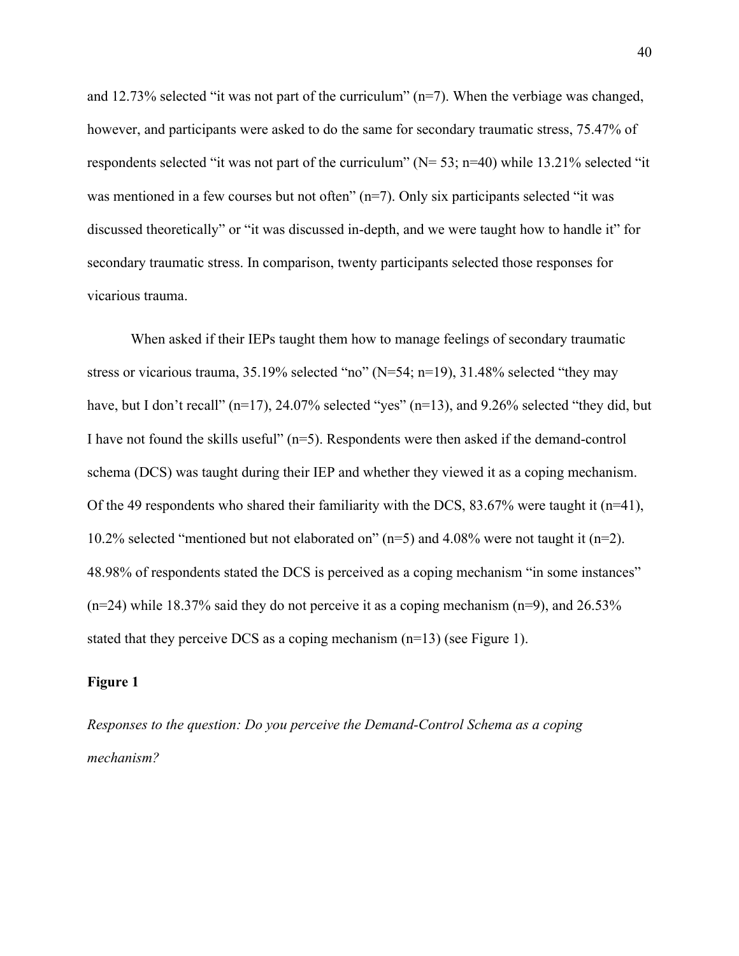and 12.73% selected "it was not part of the curriculum"  $(n=7)$ . When the verbiage was changed, however, and participants were asked to do the same for secondary traumatic stress, 75.47% of respondents selected "it was not part of the curriculum" ( $N= 53$ ;  $n=40$ ) while 13.21% selected "it was mentioned in a few courses but not often" (n=7). Only six participants selected "it was discussed theoretically" or "it was discussed in-depth, and we were taught how to handle it" for secondary traumatic stress. In comparison, twenty participants selected those responses for vicarious trauma.

When asked if their IEPs taught them how to manage feelings of secondary traumatic stress or vicarious trauma, 35.19% selected "no" (N=54; n=19), 31.48% selected "they may have, but I don't recall" (n=17), 24.07% selected "yes" (n=13), and 9.26% selected "they did, but I have not found the skills useful"  $(n=5)$ . Respondents were then asked if the demand-control schema (DCS) was taught during their IEP and whether they viewed it as a coping mechanism. Of the 49 respondents who shared their familiarity with the DCS, 83.67% were taught it ( $n=41$ ), 10.2% selected "mentioned but not elaborated on"  $(n=5)$  and 4.08% were not taught it  $(n=2)$ . 48.98% of respondents stated the DCS is perceived as a coping mechanism "in some instances"  $(n=24)$  while 18.37% said they do not perceive it as a coping mechanism  $(n=9)$ , and 26.53% stated that they perceive DCS as a coping mechanism (n=13) (see Figure 1).

### **Figure 1**

*Responses to the question: Do you perceive the Demand-Control Schema as a coping mechanism?*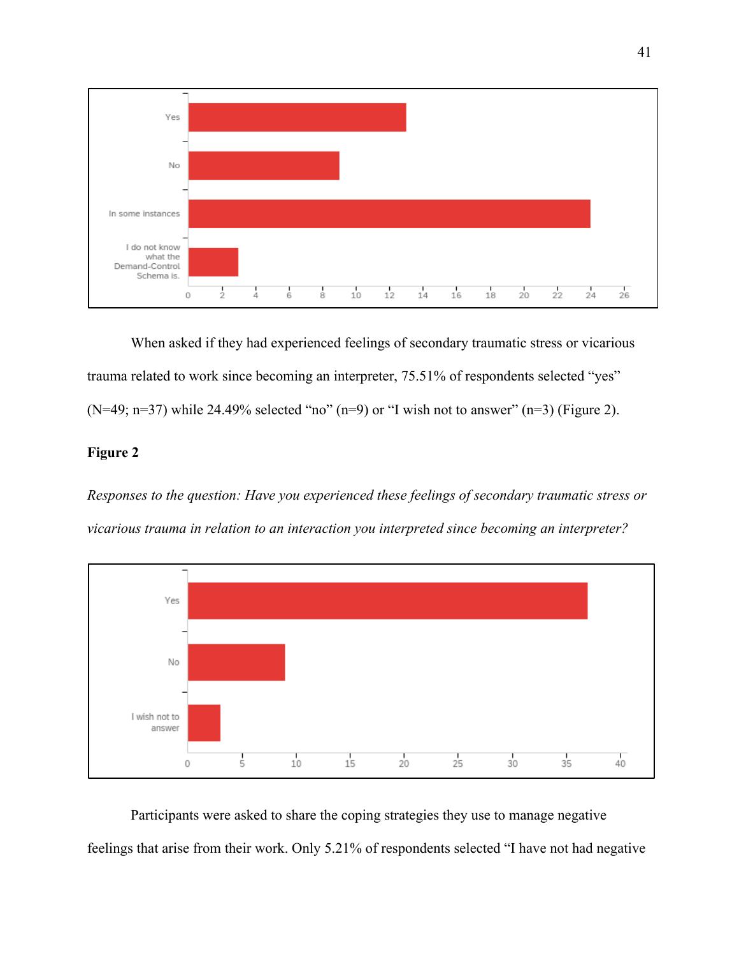

When asked if they had experienced feelings of secondary traumatic stress or vicarious trauma related to work since becoming an interpreter, 75.51% of respondents selected "yes"  $(N=49; n=37)$  while 24.49% selected "no"  $(n=9)$  or "I wish not to answer"  $(n=3)$  (Figure 2).

## **Figure 2**

*Responses to the question: Have you experienced these feelings of secondary traumatic stress or vicarious trauma in relation to an interaction you interpreted since becoming an interpreter?*



Participants were asked to share the coping strategies they use to manage negative feelings that arise from their work. Only 5.21% of respondents selected "I have not had negative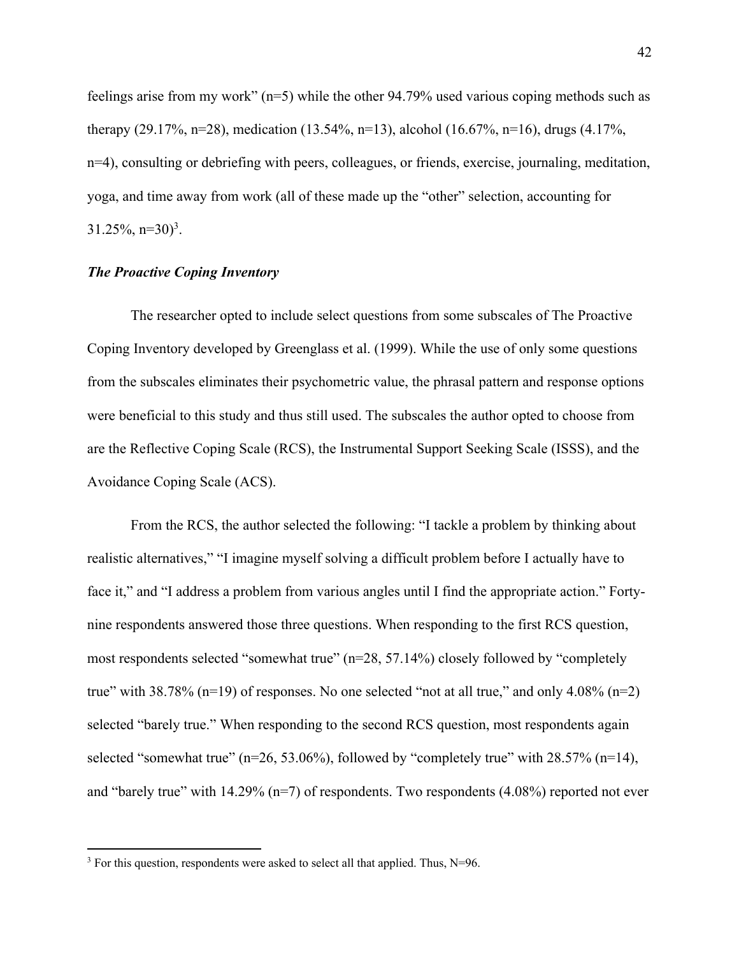feelings arise from my work" (n=5) while the other 94.79% used various coping methods such as therapy (29.17%, n=28), medication (13.54%, n=13), alcohol (16.67%, n=16), drugs (4.17%, n=4), consulting or debriefing with peers, colleagues, or friends, exercise, journaling, meditation, yoga, and time away from work (all of these made up the "other" selection, accounting for  $31.25\%, n=30$ <sup>3</sup>.

## *The Proactive Coping Inventory*

The researcher opted to include select questions from some subscales of The Proactive Coping Inventory developed by Greenglass et al. (1999). While the use of only some questions from the subscales eliminates their psychometric value, the phrasal pattern and response options were beneficial to this study and thus still used. The subscales the author opted to choose from are the Reflective Coping Scale (RCS), the Instrumental Support Seeking Scale (ISSS), and the Avoidance Coping Scale (ACS).

From the RCS, the author selected the following: "I tackle a problem by thinking about realistic alternatives," "I imagine myself solving a difficult problem before I actually have to face it," and "I address a problem from various angles until I find the appropriate action." Fortynine respondents answered those three questions. When responding to the first RCS question, most respondents selected "somewhat true" (n=28, 57.14%) closely followed by "completely true" with  $38.78\%$  (n=19) of responses. No one selected "not at all true," and only  $4.08\%$  (n=2) selected "barely true." When responding to the second RCS question, most respondents again selected "somewhat true" ( $n=26, 53.06\%$ ), followed by "completely true" with 28.57% ( $n=14$ ), and "barely true" with  $14.29\%$  (n=7) of respondents. Two respondents (4.08%) reported not ever

 $3$  For this question, respondents were asked to select all that applied. Thus, N=96.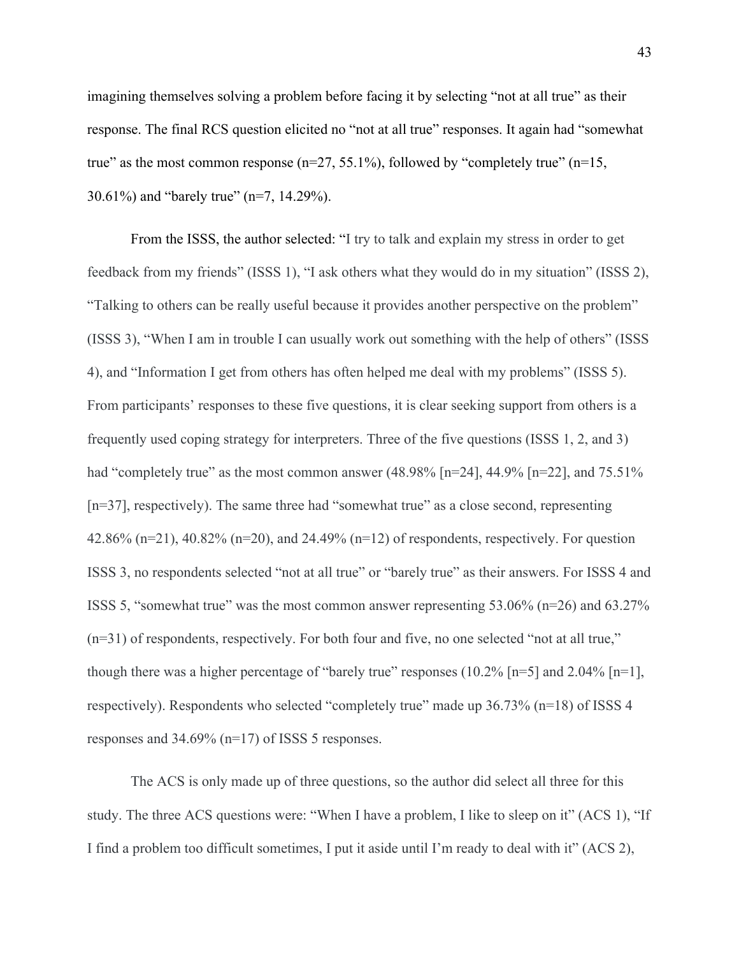imagining themselves solving a problem before facing it by selecting "not at all true" as their response. The final RCS question elicited no "not at all true" responses. It again had "somewhat true" as the most common response  $(n=27, 55.1\%)$ , followed by "completely true"  $(n=15,$ 30.61%) and "barely true" (n=7, 14.29%).

From the ISSS, the author selected: "I try to talk and explain my stress in order to get feedback from my friends" (ISSS 1), "I ask others what they would do in my situation" (ISSS 2), "Talking to others can be really useful because it provides another perspective on the problem" (ISSS 3), "When I am in trouble I can usually work out something with the help of others" (ISSS 4), and "Information I get from others has often helped me deal with my problems" (ISSS 5). From participants' responses to these five questions, it is clear seeking support from others is a frequently used coping strategy for interpreters. Three of the five questions (ISSS 1, 2, and 3) had "completely true" as the most common answer  $(48.98\%$  [n=24], 44.9% [n=22], and 75.51% [n=37], respectively). The same three had "somewhat true" as a close second, representing 42.86% (n=21), 40.82% (n=20), and 24.49% (n=12) of respondents, respectively. For question ISSS 3, no respondents selected "not at all true" or "barely true" as their answers. For ISSS 4 and ISSS 5, "somewhat true" was the most common answer representing 53.06% (n=26) and 63.27% (n=31) of respondents, respectively. For both four and five, no one selected "not at all true," though there was a higher percentage of "barely true" responses  $(10.2\%$  [n=5] and  $2.04\%$  [n=1], respectively). Respondents who selected "completely true" made up 36.73% (n=18) of ISSS 4 responses and 34.69% (n=17) of ISSS 5 responses.

The ACS is only made up of three questions, so the author did select all three for this study. The three ACS questions were: "When I have a problem, I like to sleep on it" (ACS 1), "If I find a problem too difficult sometimes, I put it aside until I'm ready to deal with it" (ACS 2),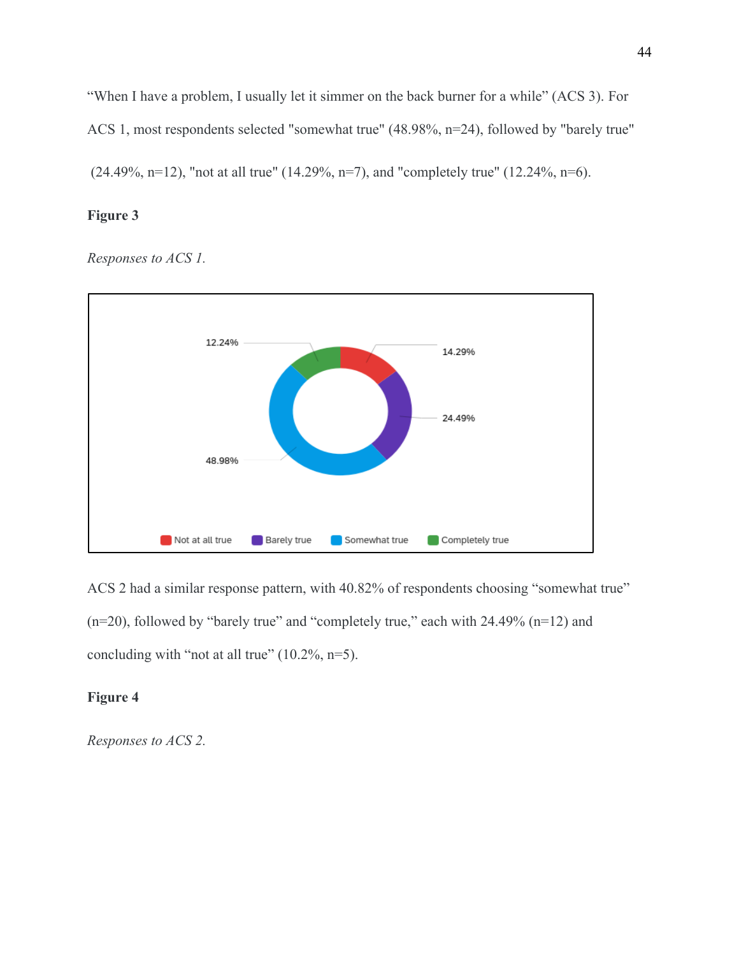"When I have a problem, I usually let it simmer on the back burner for a while" (ACS 3). For ACS 1, most respondents selected "somewhat true" (48.98%, n=24), followed by "barely true"  $(24.49\%, n=12)$ , "not at all true"  $(14.29\%, n=7)$ , and "completely true"  $(12.24\%, n=6)$ .

## **Figure 3**

*Responses to ACS 1.*



ACS 2 had a similar response pattern, with 40.82% of respondents choosing "somewhat true" (n=20), followed by "barely true" and "completely true," each with 24.49% (n=12) and concluding with "not at all true"  $(10.2\%, n=5)$ .

# **Figure 4**

*Responses to ACS 2.*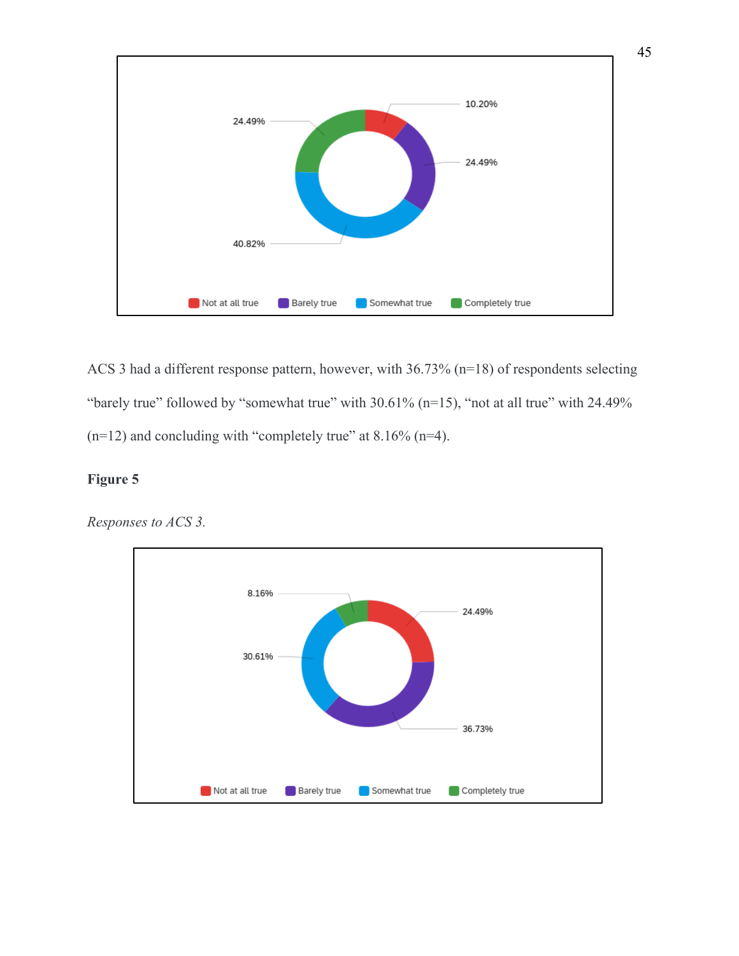

ACS 3 had a different response pattern, however, with 36.73% (n=18) of respondents selecting "barely true" followed by "somewhat true" with 30.61% (n=15), "not at all true" with 24.49%  $(n=12)$  and concluding with "completely true" at 8.16%  $(n=4)$ .

## **Figure 5**

*Responses to ACS 3.*

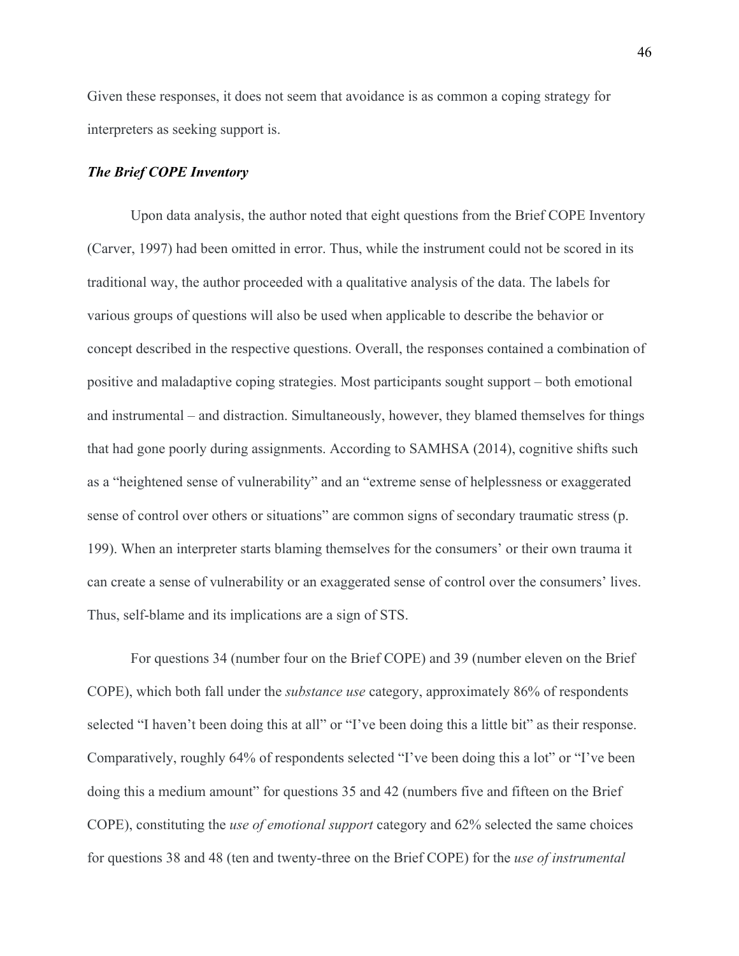Given these responses, it does not seem that avoidance is as common a coping strategy for interpreters as seeking support is.

### *The Brief COPE Inventory*

Upon data analysis, the author noted that eight questions from the Brief COPE Inventory (Carver, 1997) had been omitted in error. Thus, while the instrument could not be scored in its traditional way, the author proceeded with a qualitative analysis of the data. The labels for various groups of questions will also be used when applicable to describe the behavior or concept described in the respective questions. Overall, the responses contained a combination of positive and maladaptive coping strategies. Most participants sought support – both emotional and instrumental – and distraction. Simultaneously, however, they blamed themselves for things that had gone poorly during assignments. According to SAMHSA (2014), cognitive shifts such as a "heightened sense of vulnerability" and an "extreme sense of helplessness or exaggerated sense of control over others or situations" are common signs of secondary traumatic stress (p. 199). When an interpreter starts blaming themselves for the consumers' or their own trauma it can create a sense of vulnerability or an exaggerated sense of control over the consumers' lives. Thus, self-blame and its implications are a sign of STS.

For questions 34 (number four on the Brief COPE) and 39 (number eleven on the Brief COPE), which both fall under the *substance use* category, approximately 86% of respondents selected "I haven't been doing this at all" or "I've been doing this a little bit" as their response. Comparatively, roughly 64% of respondents selected "I've been doing this a lot" or "I've been doing this a medium amount" for questions 35 and 42 (numbers five and fifteen on the Brief COPE), constituting the *use of emotional support* category and 62% selected the same choices for questions 38 and 48 (ten and twenty-three on the Brief COPE) for the *use of instrumental*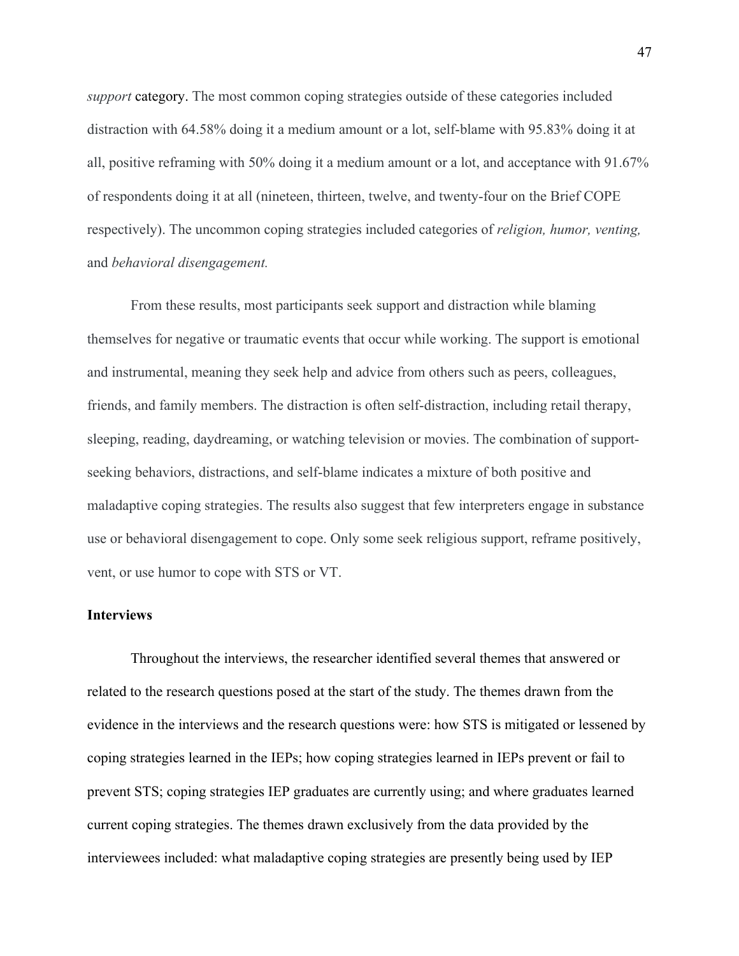*support* category. The most common coping strategies outside of these categories included distraction with 64.58% doing it a medium amount or a lot, self-blame with 95.83% doing it at all, positive reframing with 50% doing it a medium amount or a lot, and acceptance with 91.67% of respondents doing it at all (nineteen, thirteen, twelve, and twenty-four on the Brief COPE respectively). The uncommon coping strategies included categories of *religion, humor, venting,*  and *behavioral disengagement.*

From these results, most participants seek support and distraction while blaming themselves for negative or traumatic events that occur while working. The support is emotional and instrumental, meaning they seek help and advice from others such as peers, colleagues, friends, and family members. The distraction is often self-distraction, including retail therapy, sleeping, reading, daydreaming, or watching television or movies. The combination of supportseeking behaviors, distractions, and self-blame indicates a mixture of both positive and maladaptive coping strategies. The results also suggest that few interpreters engage in substance use or behavioral disengagement to cope. Only some seek religious support, reframe positively, vent, or use humor to cope with STS or VT.

### **Interviews**

Throughout the interviews, the researcher identified several themes that answered or related to the research questions posed at the start of the study. The themes drawn from the evidence in the interviews and the research questions were: how STS is mitigated or lessened by coping strategies learned in the IEPs; how coping strategies learned in IEPs prevent or fail to prevent STS; coping strategies IEP graduates are currently using; and where graduates learned current coping strategies. The themes drawn exclusively from the data provided by the interviewees included: what maladaptive coping strategies are presently being used by IEP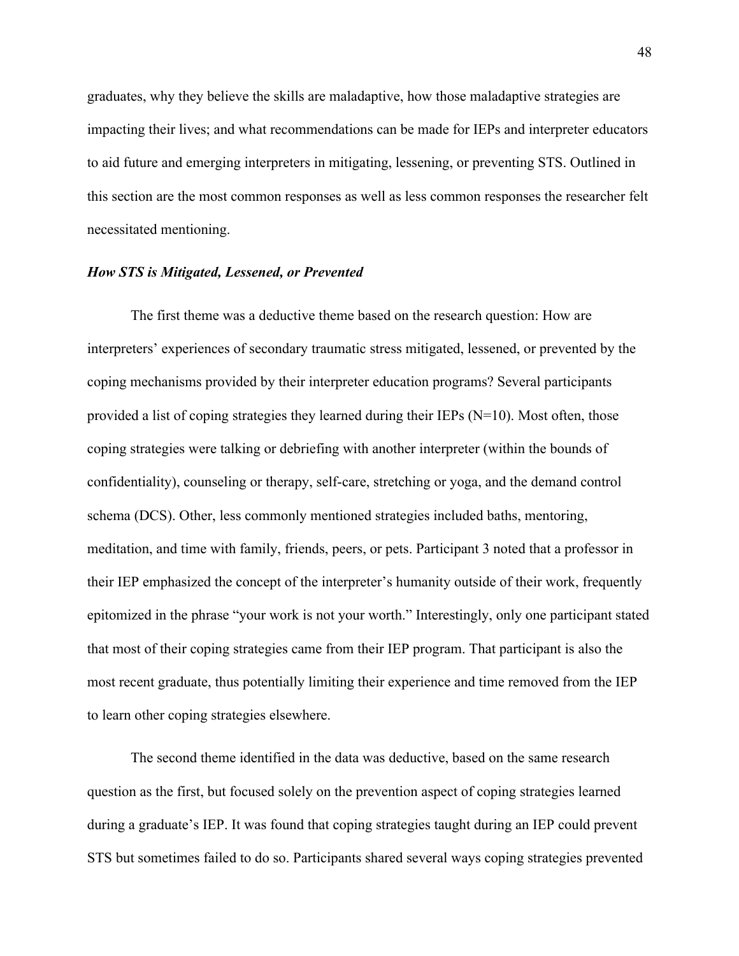graduates, why they believe the skills are maladaptive, how those maladaptive strategies are impacting their lives; and what recommendations can be made for IEPs and interpreter educators to aid future and emerging interpreters in mitigating, lessening, or preventing STS. Outlined in this section are the most common responses as well as less common responses the researcher felt necessitated mentioning.

### *How STS is Mitigated, Lessened, or Prevented*

The first theme was a deductive theme based on the research question: How are interpreters' experiences of secondary traumatic stress mitigated, lessened, or prevented by the coping mechanisms provided by their interpreter education programs? Several participants provided a list of coping strategies they learned during their IEPs  $(N=10)$ . Most often, those coping strategies were talking or debriefing with another interpreter (within the bounds of confidentiality), counseling or therapy, self-care, stretching or yoga, and the demand control schema (DCS). Other, less commonly mentioned strategies included baths, mentoring, meditation, and time with family, friends, peers, or pets. Participant 3 noted that a professor in their IEP emphasized the concept of the interpreter's humanity outside of their work, frequently epitomized in the phrase "your work is not your worth." Interestingly, only one participant stated that most of their coping strategies came from their IEP program. That participant is also the most recent graduate, thus potentially limiting their experience and time removed from the IEP to learn other coping strategies elsewhere.

The second theme identified in the data was deductive, based on the same research question as the first, but focused solely on the prevention aspect of coping strategies learned during a graduate's IEP. It was found that coping strategies taught during an IEP could prevent STS but sometimes failed to do so. Participants shared several ways coping strategies prevented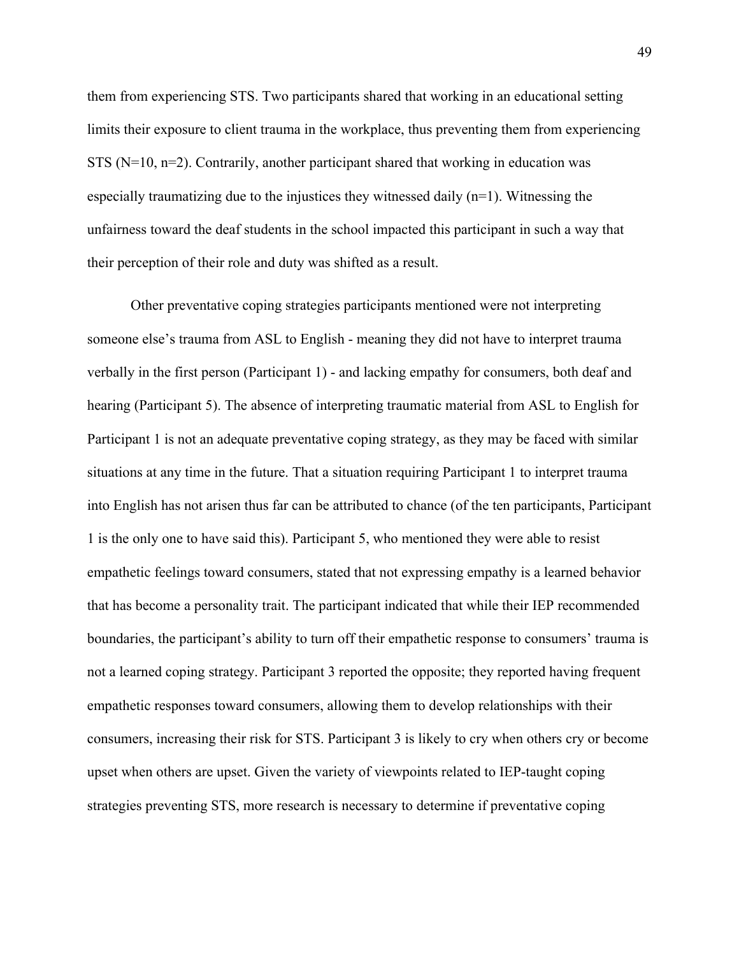them from experiencing STS. Two participants shared that working in an educational setting limits their exposure to client trauma in the workplace, thus preventing them from experiencing STS ( $N=10$ ,  $n=2$ ). Contrarily, another participant shared that working in education was especially traumatizing due to the injustices they witnessed daily  $(n=1)$ . Witnessing the unfairness toward the deaf students in the school impacted this participant in such a way that their perception of their role and duty was shifted as a result.

Other preventative coping strategies participants mentioned were not interpreting someone else's trauma from ASL to English - meaning they did not have to interpret trauma verbally in the first person (Participant 1) - and lacking empathy for consumers, both deaf and hearing (Participant 5). The absence of interpreting traumatic material from ASL to English for Participant 1 is not an adequate preventative coping strategy, as they may be faced with similar situations at any time in the future. That a situation requiring Participant 1 to interpret trauma into English has not arisen thus far can be attributed to chance (of the ten participants, Participant 1 is the only one to have said this). Participant 5, who mentioned they were able to resist empathetic feelings toward consumers, stated that not expressing empathy is a learned behavior that has become a personality trait. The participant indicated that while their IEP recommended boundaries, the participant's ability to turn off their empathetic response to consumers' trauma is not a learned coping strategy. Participant 3 reported the opposite; they reported having frequent empathetic responses toward consumers, allowing them to develop relationships with their consumers, increasing their risk for STS. Participant 3 is likely to cry when others cry or become upset when others are upset. Given the variety of viewpoints related to IEP-taught coping strategies preventing STS, more research is necessary to determine if preventative coping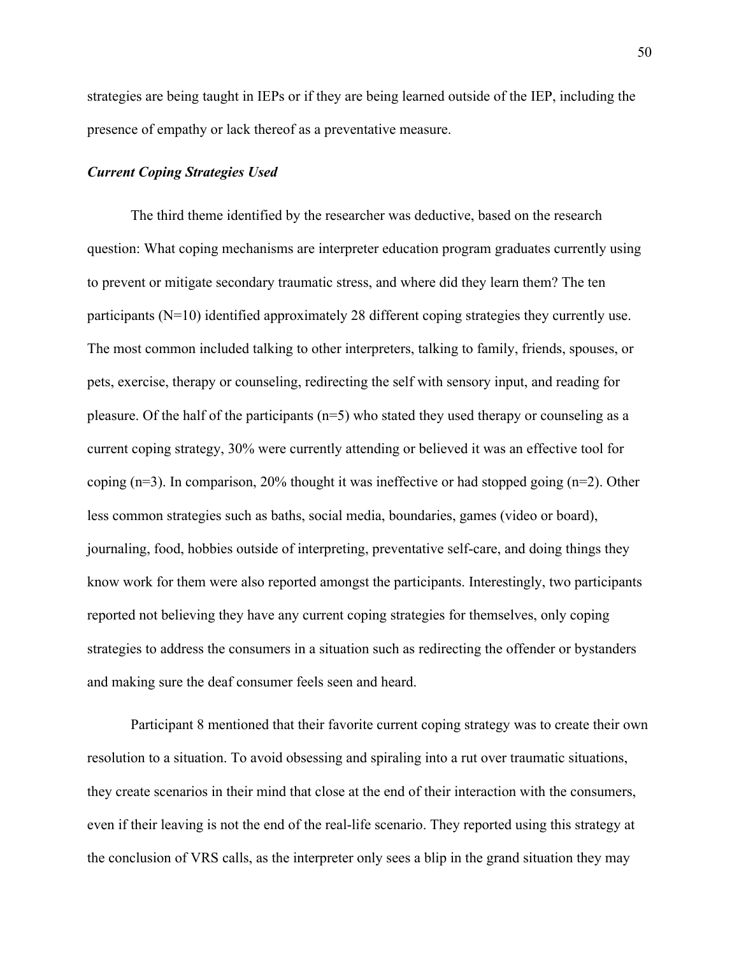strategies are being taught in IEPs or if they are being learned outside of the IEP, including the presence of empathy or lack thereof as a preventative measure.

## *Current Coping Strategies Used*

The third theme identified by the researcher was deductive, based on the research question: What coping mechanisms are interpreter education program graduates currently using to prevent or mitigate secondary traumatic stress, and where did they learn them? The ten participants (N=10) identified approximately 28 different coping strategies they currently use. The most common included talking to other interpreters, talking to family, friends, spouses, or pets, exercise, therapy or counseling, redirecting the self with sensory input, and reading for pleasure. Of the half of the participants  $(n=5)$  who stated they used therapy or counseling as a current coping strategy, 30% were currently attending or believed it was an effective tool for coping (n=3). In comparison, 20% thought it was ineffective or had stopped going (n=2). Other less common strategies such as baths, social media, boundaries, games (video or board), journaling, food, hobbies outside of interpreting, preventative self-care, and doing things they know work for them were also reported amongst the participants. Interestingly, two participants reported not believing they have any current coping strategies for themselves, only coping strategies to address the consumers in a situation such as redirecting the offender or bystanders and making sure the deaf consumer feels seen and heard.

Participant 8 mentioned that their favorite current coping strategy was to create their own resolution to a situation. To avoid obsessing and spiraling into a rut over traumatic situations, they create scenarios in their mind that close at the end of their interaction with the consumers, even if their leaving is not the end of the real-life scenario. They reported using this strategy at the conclusion of VRS calls, as the interpreter only sees a blip in the grand situation they may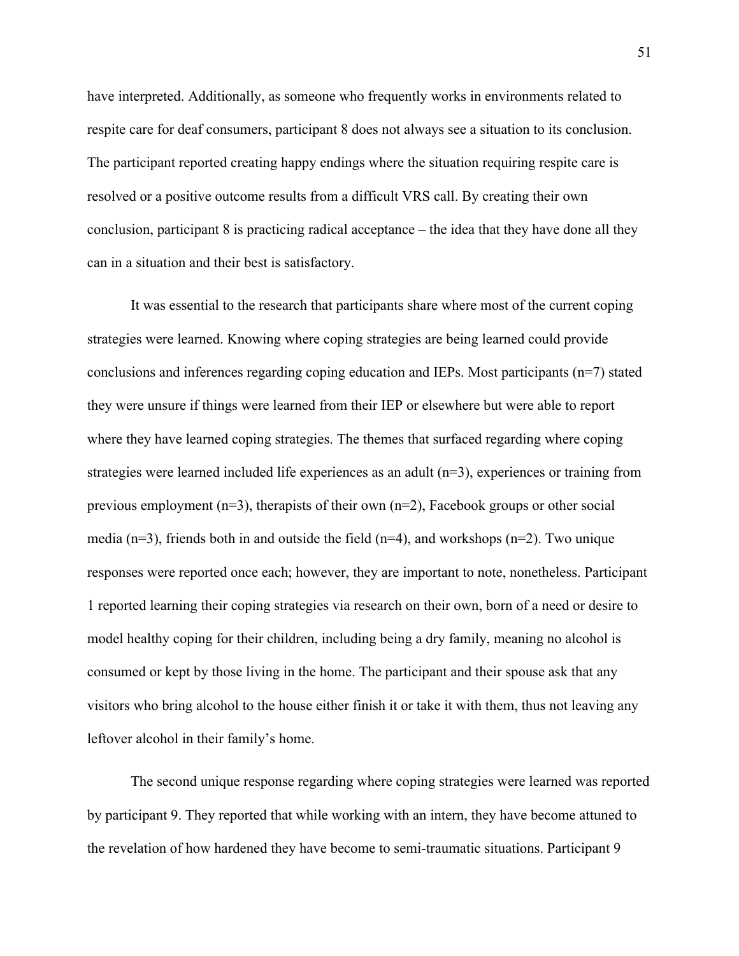have interpreted. Additionally, as someone who frequently works in environments related to respite care for deaf consumers, participant 8 does not always see a situation to its conclusion. The participant reported creating happy endings where the situation requiring respite care is resolved or a positive outcome results from a difficult VRS call. By creating their own conclusion, participant 8 is practicing radical acceptance – the idea that they have done all they can in a situation and their best is satisfactory.

It was essential to the research that participants share where most of the current coping strategies were learned. Knowing where coping strategies are being learned could provide conclusions and inferences regarding coping education and IEPs. Most participants (n=7) stated they were unsure if things were learned from their IEP or elsewhere but were able to report where they have learned coping strategies. The themes that surfaced regarding where coping strategies were learned included life experiences as an adult  $(n=3)$ , experiences or training from previous employment (n=3), therapists of their own (n=2), Facebook groups or other social media ( $n=3$ ), friends both in and outside the field ( $n=4$ ), and workshops ( $n=2$ ). Two unique responses were reported once each; however, they are important to note, nonetheless. Participant 1 reported learning their coping strategies via research on their own, born of a need or desire to model healthy coping for their children, including being a dry family, meaning no alcohol is consumed or kept by those living in the home. The participant and their spouse ask that any visitors who bring alcohol to the house either finish it or take it with them, thus not leaving any leftover alcohol in their family's home.

The second unique response regarding where coping strategies were learned was reported by participant 9. They reported that while working with an intern, they have become attuned to the revelation of how hardened they have become to semi-traumatic situations. Participant 9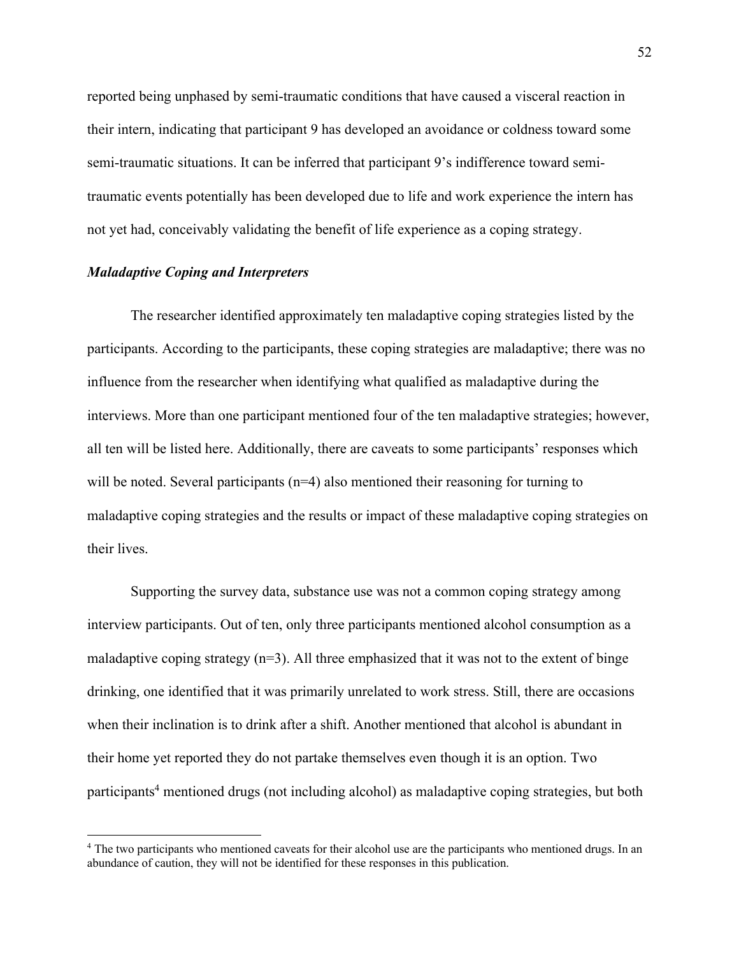reported being unphased by semi-traumatic conditions that have caused a visceral reaction in their intern, indicating that participant 9 has developed an avoidance or coldness toward some semi-traumatic situations. It can be inferred that participant 9's indifference toward semitraumatic events potentially has been developed due to life and work experience the intern has not yet had, conceivably validating the benefit of life experience as a coping strategy.

## *Maladaptive Coping and Interpreters*

The researcher identified approximately ten maladaptive coping strategies listed by the participants. According to the participants, these coping strategies are maladaptive; there was no influence from the researcher when identifying what qualified as maladaptive during the interviews. More than one participant mentioned four of the ten maladaptive strategies; however, all ten will be listed here. Additionally, there are caveats to some participants' responses which will be noted. Several participants  $(n=4)$  also mentioned their reasoning for turning to maladaptive coping strategies and the results or impact of these maladaptive coping strategies on their lives.

Supporting the survey data, substance use was not a common coping strategy among interview participants. Out of ten, only three participants mentioned alcohol consumption as a maladaptive coping strategy  $(n=3)$ . All three emphasized that it was not to the extent of binge drinking, one identified that it was primarily unrelated to work stress. Still, there are occasions when their inclination is to drink after a shift. Another mentioned that alcohol is abundant in their home yet reported they do not partake themselves even though it is an option. Two participants4 mentioned drugs (not including alcohol) as maladaptive coping strategies, but both

<sup>&</sup>lt;sup>4</sup> The two participants who mentioned caveats for their alcohol use are the participants who mentioned drugs. In an abundance of caution, they will not be identified for these responses in this publication.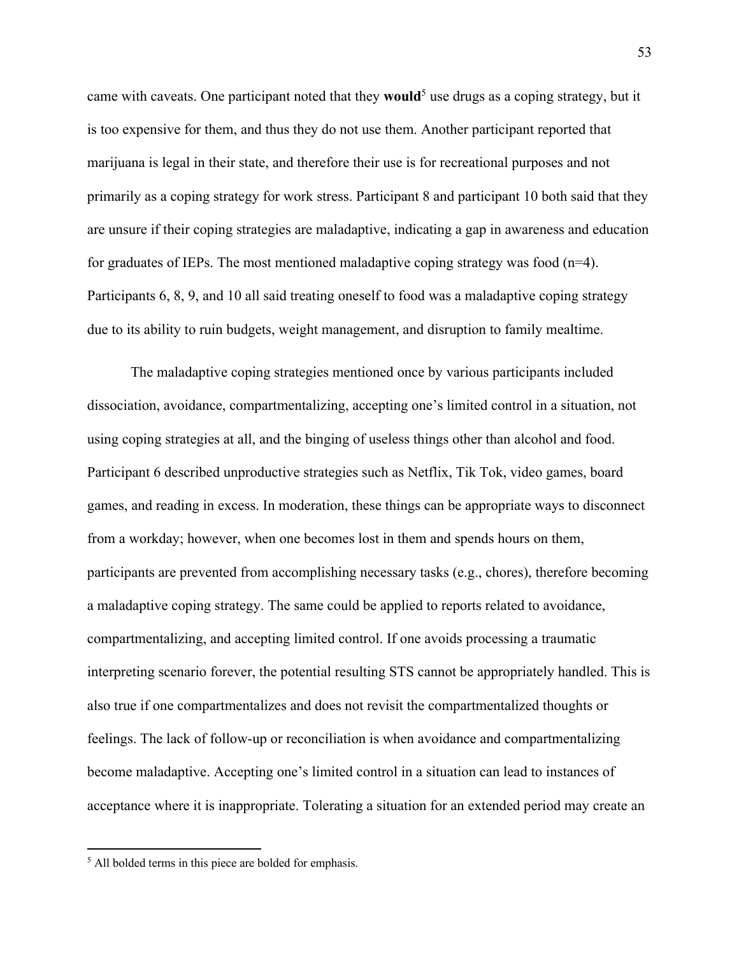came with caveats. One participant noted that they **would**<sup>5</sup> use drugs as a coping strategy, but it is too expensive for them, and thus they do not use them. Another participant reported that marijuana is legal in their state, and therefore their use is for recreational purposes and not primarily as a coping strategy for work stress. Participant 8 and participant 10 both said that they are unsure if their coping strategies are maladaptive, indicating a gap in awareness and education for graduates of IEPs. The most mentioned maladaptive coping strategy was food  $(n=4)$ . Participants 6, 8, 9, and 10 all said treating oneself to food was a maladaptive coping strategy due to its ability to ruin budgets, weight management, and disruption to family mealtime.

The maladaptive coping strategies mentioned once by various participants included dissociation, avoidance, compartmentalizing, accepting one's limited control in a situation, not using coping strategies at all, and the binging of useless things other than alcohol and food. Participant 6 described unproductive strategies such as Netflix, Tik Tok, video games, board games, and reading in excess. In moderation, these things can be appropriate ways to disconnect from a workday; however, when one becomes lost in them and spends hours on them, participants are prevented from accomplishing necessary tasks (e.g., chores), therefore becoming a maladaptive coping strategy. The same could be applied to reports related to avoidance, compartmentalizing, and accepting limited control. If one avoids processing a traumatic interpreting scenario forever, the potential resulting STS cannot be appropriately handled. This is also true if one compartmentalizes and does not revisit the compartmentalized thoughts or feelings. The lack of follow-up or reconciliation is when avoidance and compartmentalizing become maladaptive. Accepting one's limited control in a situation can lead to instances of acceptance where it is inappropriate. Tolerating a situation for an extended period may create an

<sup>&</sup>lt;sup>5</sup> All bolded terms in this piece are bolded for emphasis.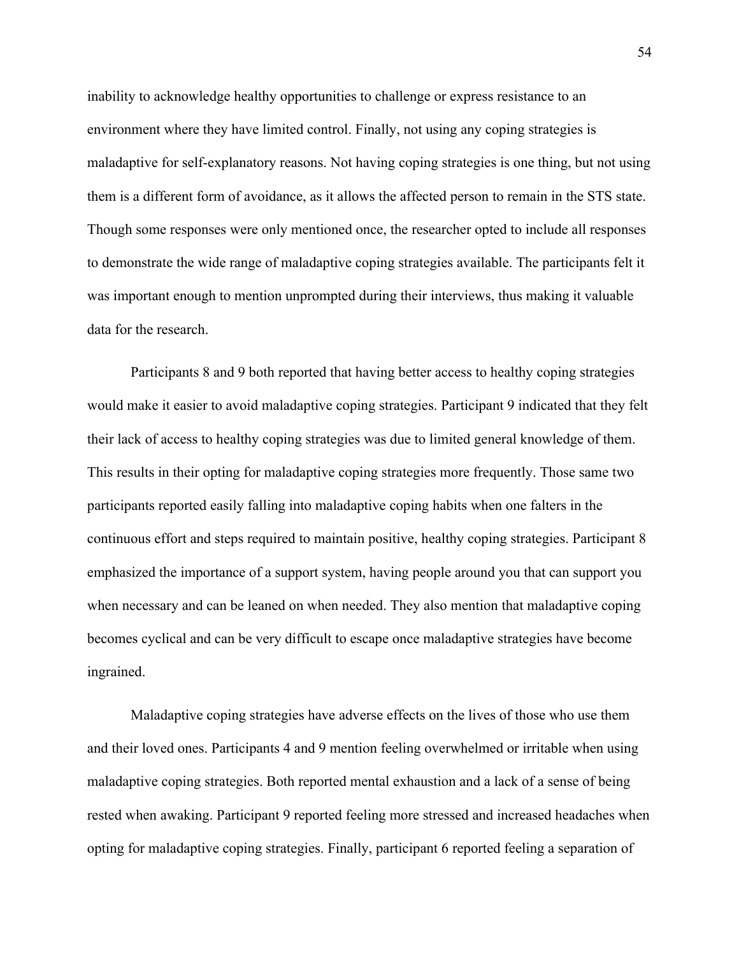inability to acknowledge healthy opportunities to challenge or express resistance to an environment where they have limited control. Finally, not using any coping strategies is maladaptive for self-explanatory reasons. Not having coping strategies is one thing, but not using them is a different form of avoidance, as it allows the affected person to remain in the STS state. Though some responses were only mentioned once, the researcher opted to include all responses to demonstrate the wide range of maladaptive coping strategies available. The participants felt it was important enough to mention unprompted during their interviews, thus making it valuable data for the research.

Participants 8 and 9 both reported that having better access to healthy coping strategies would make it easier to avoid maladaptive coping strategies. Participant 9 indicated that they felt their lack of access to healthy coping strategies was due to limited general knowledge of them. This results in their opting for maladaptive coping strategies more frequently. Those same two participants reported easily falling into maladaptive coping habits when one falters in the continuous effort and steps required to maintain positive, healthy coping strategies. Participant 8 emphasized the importance of a support system, having people around you that can support you when necessary and can be leaned on when needed. They also mention that maladaptive coping becomes cyclical and can be very difficult to escape once maladaptive strategies have become ingrained.

Maladaptive coping strategies have adverse effects on the lives of those who use them and their loved ones. Participants 4 and 9 mention feeling overwhelmed or irritable when using maladaptive coping strategies. Both reported mental exhaustion and a lack of a sense of being rested when awaking. Participant 9 reported feeling more stressed and increased headaches when opting for maladaptive coping strategies. Finally, participant 6 reported feeling a separation of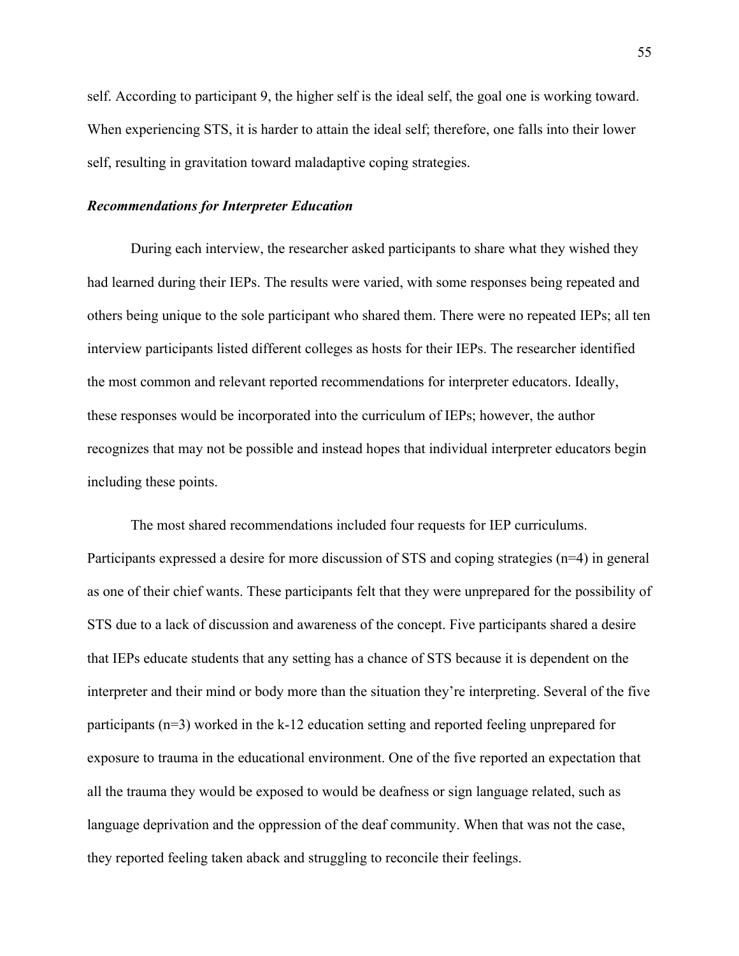self. According to participant 9, the higher self is the ideal self, the goal one is working toward. When experiencing STS, it is harder to attain the ideal self; therefore, one falls into their lower self, resulting in gravitation toward maladaptive coping strategies.

### *Recommendations for Interpreter Education*

During each interview, the researcher asked participants to share what they wished they had learned during their IEPs. The results were varied, with some responses being repeated and others being unique to the sole participant who shared them. There were no repeated IEPs; all ten interview participants listed different colleges as hosts for their IEPs. The researcher identified the most common and relevant reported recommendations for interpreter educators. Ideally, these responses would be incorporated into the curriculum of IEPs; however, the author recognizes that may not be possible and instead hopes that individual interpreter educators begin including these points.

The most shared recommendations included four requests for IEP curriculums. Participants expressed a desire for more discussion of STS and coping strategies (n=4) in general as one of their chief wants. These participants felt that they were unprepared for the possibility of STS due to a lack of discussion and awareness of the concept. Five participants shared a desire that IEPs educate students that any setting has a chance of STS because it is dependent on the interpreter and their mind or body more than the situation they're interpreting. Several of the five participants (n=3) worked in the k-12 education setting and reported feeling unprepared for exposure to trauma in the educational environment. One of the five reported an expectation that all the trauma they would be exposed to would be deafness or sign language related, such as language deprivation and the oppression of the deaf community. When that was not the case, they reported feeling taken aback and struggling to reconcile their feelings.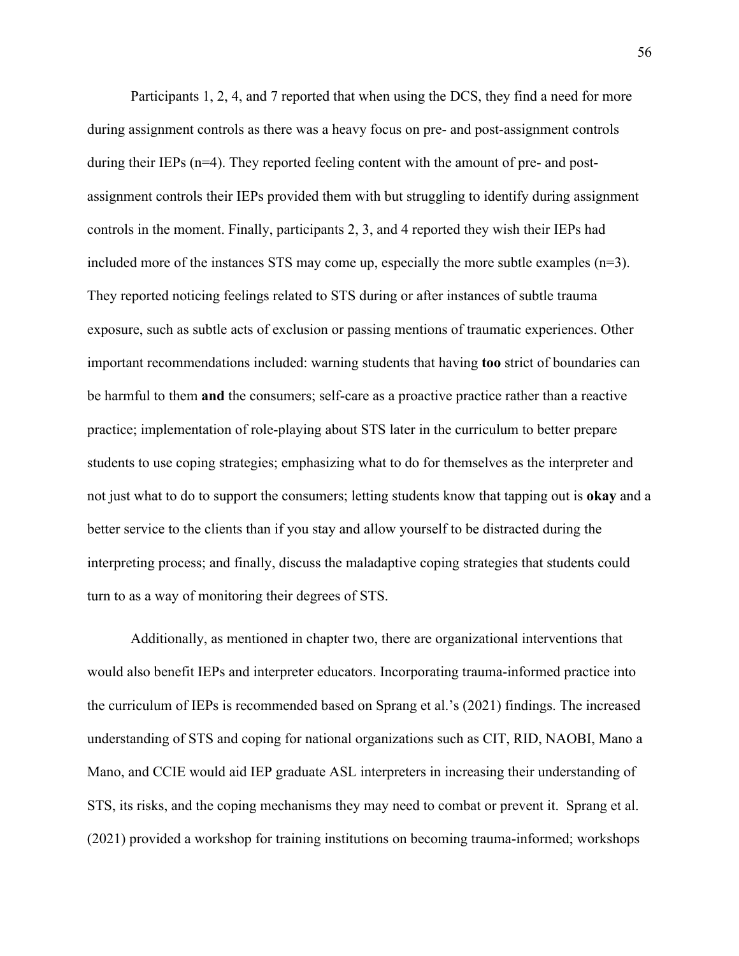Participants 1, 2, 4, and 7 reported that when using the DCS, they find a need for more during assignment controls as there was a heavy focus on pre- and post-assignment controls during their IEPs  $(n=4)$ . They reported feeling content with the amount of pre- and postassignment controls their IEPs provided them with but struggling to identify during assignment controls in the moment. Finally, participants 2, 3, and 4 reported they wish their IEPs had included more of the instances STS may come up, especially the more subtle examples  $(n=3)$ . They reported noticing feelings related to STS during or after instances of subtle trauma exposure, such as subtle acts of exclusion or passing mentions of traumatic experiences. Other important recommendations included: warning students that having **too** strict of boundaries can be harmful to them **and** the consumers; self-care as a proactive practice rather than a reactive practice; implementation of role-playing about STS later in the curriculum to better prepare students to use coping strategies; emphasizing what to do for themselves as the interpreter and not just what to do to support the consumers; letting students know that tapping out is **okay** and a better service to the clients than if you stay and allow yourself to be distracted during the interpreting process; and finally, discuss the maladaptive coping strategies that students could turn to as a way of monitoring their degrees of STS.

Additionally, as mentioned in chapter two, there are organizational interventions that would also benefit IEPs and interpreter educators. Incorporating trauma-informed practice into the curriculum of IEPs is recommended based on Sprang et al.'s (2021) findings. The increased understanding of STS and coping for national organizations such as CIT, RID, NAOBI, Mano a Mano, and CCIE would aid IEP graduate ASL interpreters in increasing their understanding of STS, its risks, and the coping mechanisms they may need to combat or prevent it. Sprang et al. (2021) provided a workshop for training institutions on becoming trauma-informed; workshops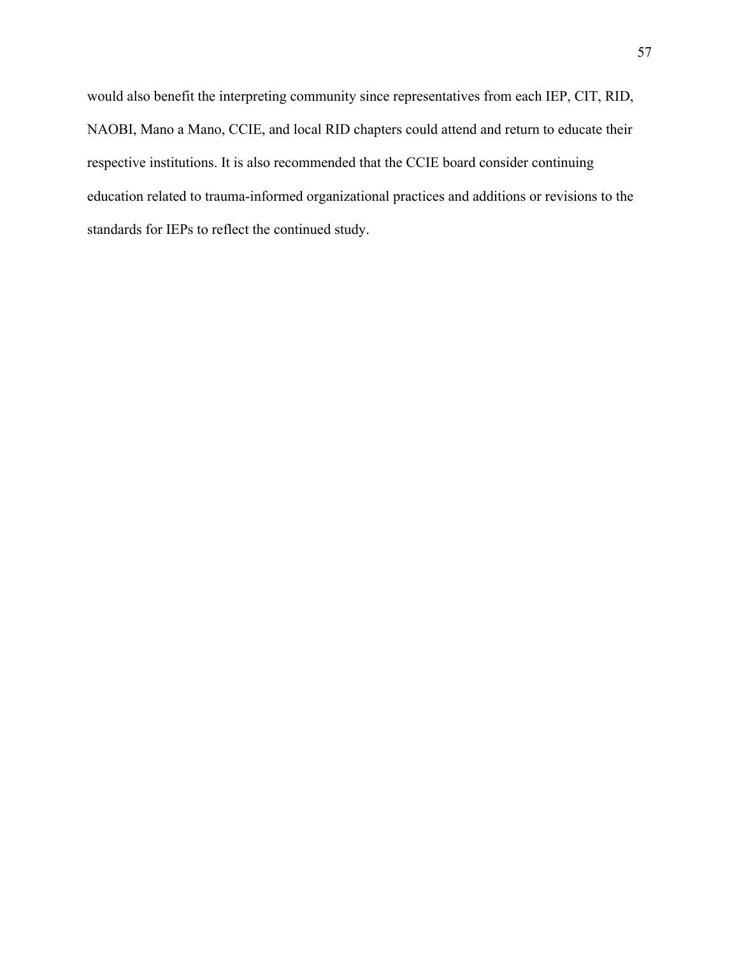would also benefit the interpreting community since representatives from each IEP, CIT, RID, NAOBI, Mano a Mano, CCIE, and local RID chapters could attend and return to educate their respective institutions. It is also recommended that the CCIE board consider continuing education related to trauma-informed organizational practices and additions or revisions to the standards for IEPs to reflect the continued study.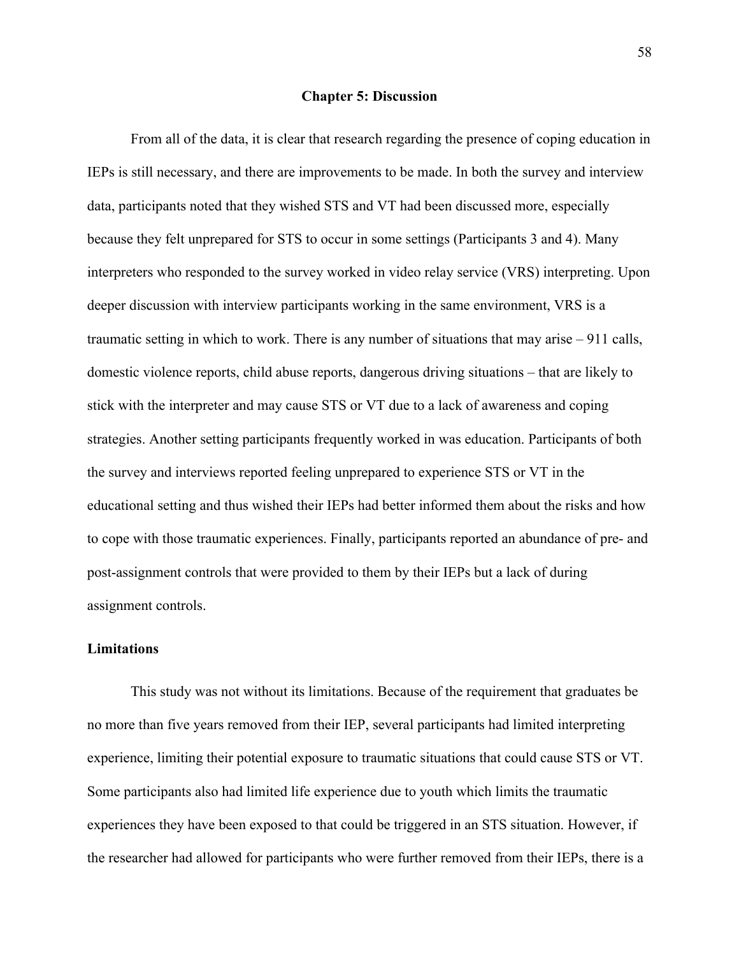#### **Chapter 5: Discussion**

From all of the data, it is clear that research regarding the presence of coping education in IEPs is still necessary, and there are improvements to be made. In both the survey and interview data, participants noted that they wished STS and VT had been discussed more, especially because they felt unprepared for STS to occur in some settings (Participants 3 and 4). Many interpreters who responded to the survey worked in video relay service (VRS) interpreting. Upon deeper discussion with interview participants working in the same environment, VRS is a traumatic setting in which to work. There is any number of situations that may arise – 911 calls, domestic violence reports, child abuse reports, dangerous driving situations – that are likely to stick with the interpreter and may cause STS or VT due to a lack of awareness and coping strategies. Another setting participants frequently worked in was education. Participants of both the survey and interviews reported feeling unprepared to experience STS or VT in the educational setting and thus wished their IEPs had better informed them about the risks and how to cope with those traumatic experiences. Finally, participants reported an abundance of pre- and post-assignment controls that were provided to them by their IEPs but a lack of during assignment controls.

### **Limitations**

This study was not without its limitations. Because of the requirement that graduates be no more than five years removed from their IEP, several participants had limited interpreting experience, limiting their potential exposure to traumatic situations that could cause STS or VT. Some participants also had limited life experience due to youth which limits the traumatic experiences they have been exposed to that could be triggered in an STS situation. However, if the researcher had allowed for participants who were further removed from their IEPs, there is a

58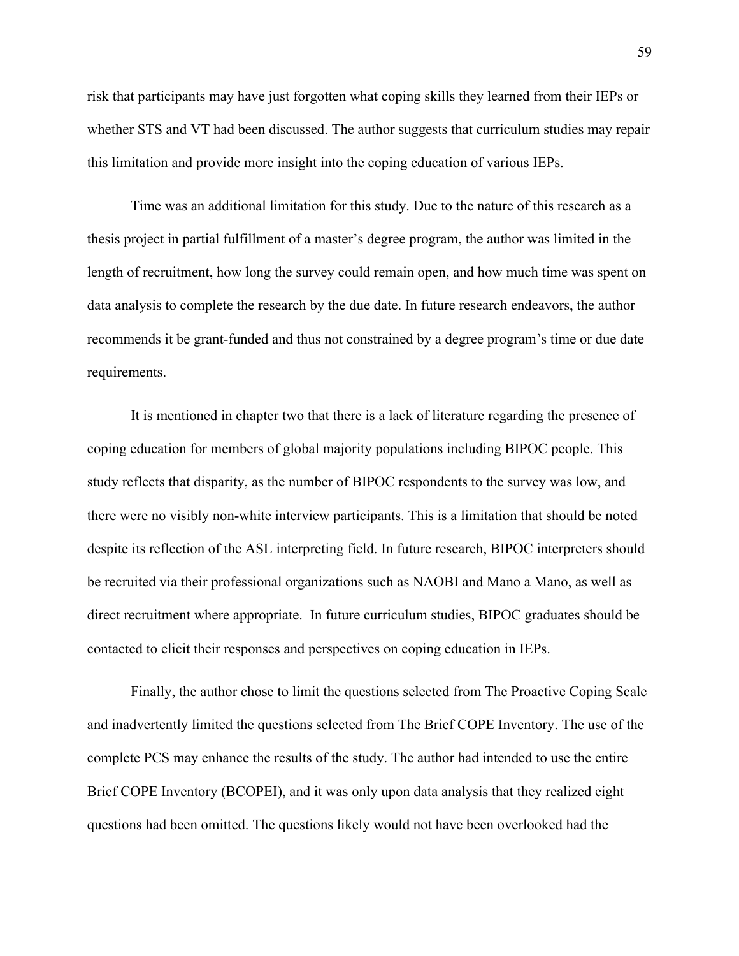risk that participants may have just forgotten what coping skills they learned from their IEPs or whether STS and VT had been discussed. The author suggests that curriculum studies may repair this limitation and provide more insight into the coping education of various IEPs.

Time was an additional limitation for this study. Due to the nature of this research as a thesis project in partial fulfillment of a master's degree program, the author was limited in the length of recruitment, how long the survey could remain open, and how much time was spent on data analysis to complete the research by the due date. In future research endeavors, the author recommends it be grant-funded and thus not constrained by a degree program's time or due date requirements.

It is mentioned in chapter two that there is a lack of literature regarding the presence of coping education for members of global majority populations including BIPOC people. This study reflects that disparity, as the number of BIPOC respondents to the survey was low, and there were no visibly non-white interview participants. This is a limitation that should be noted despite its reflection of the ASL interpreting field. In future research, BIPOC interpreters should be recruited via their professional organizations such as NAOBI and Mano a Mano, as well as direct recruitment where appropriate. In future curriculum studies, BIPOC graduates should be contacted to elicit their responses and perspectives on coping education in IEPs.

Finally, the author chose to limit the questions selected from The Proactive Coping Scale and inadvertently limited the questions selected from The Brief COPE Inventory. The use of the complete PCS may enhance the results of the study. The author had intended to use the entire Brief COPE Inventory (BCOPEI), and it was only upon data analysis that they realized eight questions had been omitted. The questions likely would not have been overlooked had the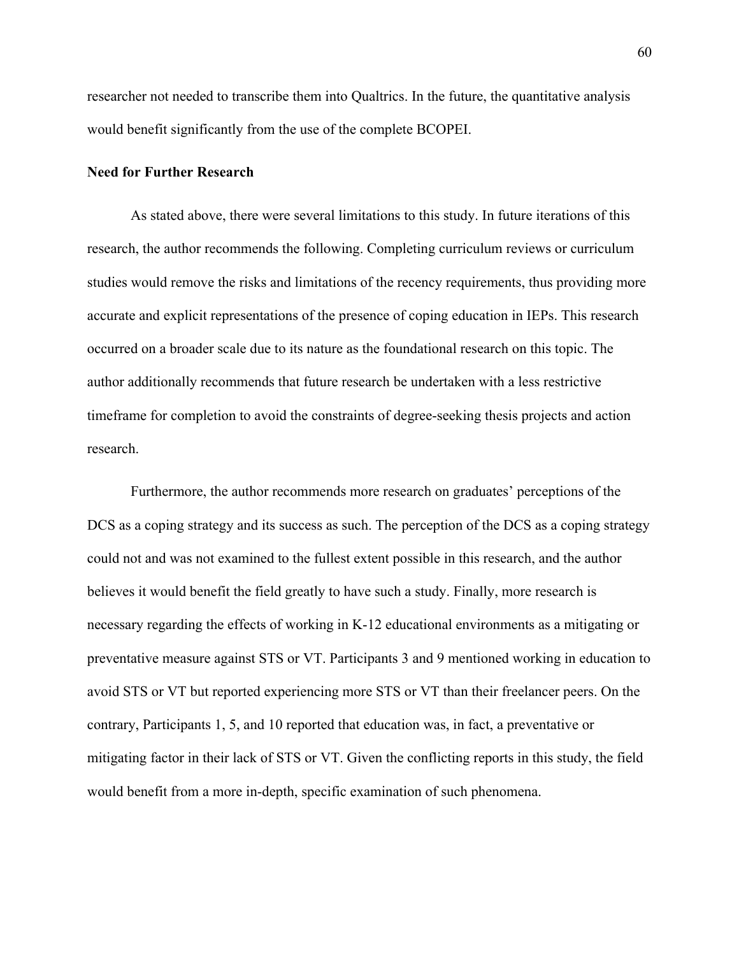researcher not needed to transcribe them into Qualtrics. In the future, the quantitative analysis would benefit significantly from the use of the complete BCOPEI.

#### **Need for Further Research**

As stated above, there were several limitations to this study. In future iterations of this research, the author recommends the following. Completing curriculum reviews or curriculum studies would remove the risks and limitations of the recency requirements, thus providing more accurate and explicit representations of the presence of coping education in IEPs. This research occurred on a broader scale due to its nature as the foundational research on this topic. The author additionally recommends that future research be undertaken with a less restrictive timeframe for completion to avoid the constraints of degree-seeking thesis projects and action research.

Furthermore, the author recommends more research on graduates' perceptions of the DCS as a coping strategy and its success as such. The perception of the DCS as a coping strategy could not and was not examined to the fullest extent possible in this research, and the author believes it would benefit the field greatly to have such a study. Finally, more research is necessary regarding the effects of working in K-12 educational environments as a mitigating or preventative measure against STS or VT. Participants 3 and 9 mentioned working in education to avoid STS or VT but reported experiencing more STS or VT than their freelancer peers. On the contrary, Participants 1, 5, and 10 reported that education was, in fact, a preventative or mitigating factor in their lack of STS or VT. Given the conflicting reports in this study, the field would benefit from a more in-depth, specific examination of such phenomena.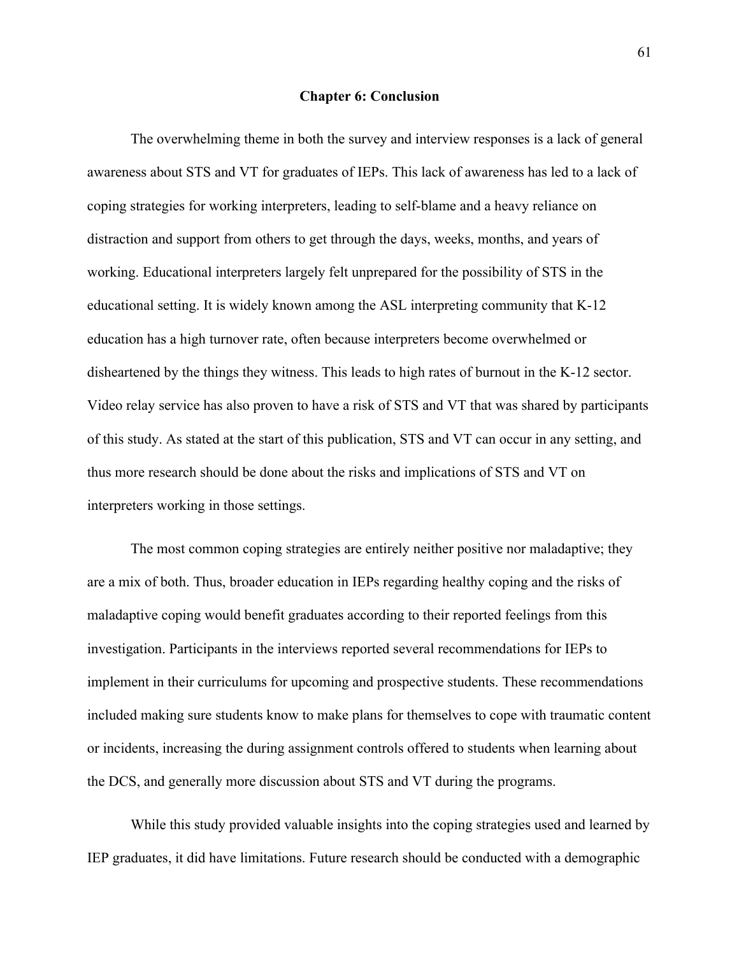#### **Chapter 6: Conclusion**

The overwhelming theme in both the survey and interview responses is a lack of general awareness about STS and VT for graduates of IEPs. This lack of awareness has led to a lack of coping strategies for working interpreters, leading to self-blame and a heavy reliance on distraction and support from others to get through the days, weeks, months, and years of working. Educational interpreters largely felt unprepared for the possibility of STS in the educational setting. It is widely known among the ASL interpreting community that K-12 education has a high turnover rate, often because interpreters become overwhelmed or disheartened by the things they witness. This leads to high rates of burnout in the K-12 sector. Video relay service has also proven to have a risk of STS and VT that was shared by participants of this study. As stated at the start of this publication, STS and VT can occur in any setting, and thus more research should be done about the risks and implications of STS and VT on interpreters working in those settings.

The most common coping strategies are entirely neither positive nor maladaptive; they are a mix of both. Thus, broader education in IEPs regarding healthy coping and the risks of maladaptive coping would benefit graduates according to their reported feelings from this investigation. Participants in the interviews reported several recommendations for IEPs to implement in their curriculums for upcoming and prospective students. These recommendations included making sure students know to make plans for themselves to cope with traumatic content or incidents, increasing the during assignment controls offered to students when learning about the DCS, and generally more discussion about STS and VT during the programs.

While this study provided valuable insights into the coping strategies used and learned by IEP graduates, it did have limitations. Future research should be conducted with a demographic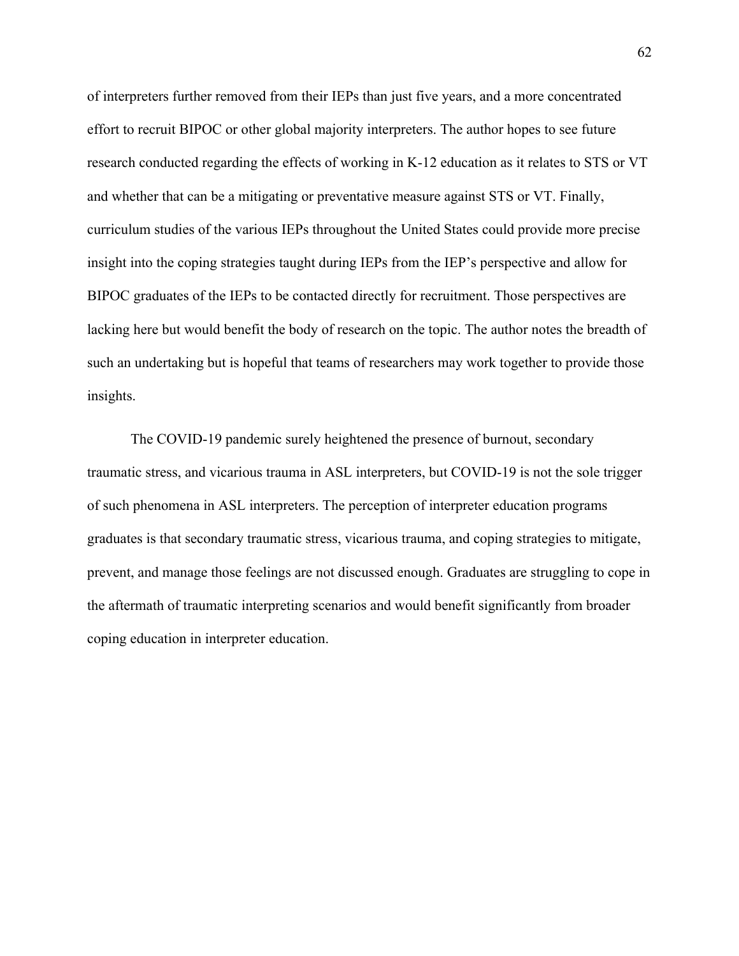of interpreters further removed from their IEPs than just five years, and a more concentrated effort to recruit BIPOC or other global majority interpreters. The author hopes to see future research conducted regarding the effects of working in K-12 education as it relates to STS or VT and whether that can be a mitigating or preventative measure against STS or VT. Finally, curriculum studies of the various IEPs throughout the United States could provide more precise insight into the coping strategies taught during IEPs from the IEP's perspective and allow for BIPOC graduates of the IEPs to be contacted directly for recruitment. Those perspectives are lacking here but would benefit the body of research on the topic. The author notes the breadth of such an undertaking but is hopeful that teams of researchers may work together to provide those insights.

The COVID-19 pandemic surely heightened the presence of burnout, secondary traumatic stress, and vicarious trauma in ASL interpreters, but COVID-19 is not the sole trigger of such phenomena in ASL interpreters. The perception of interpreter education programs graduates is that secondary traumatic stress, vicarious trauma, and coping strategies to mitigate, prevent, and manage those feelings are not discussed enough. Graduates are struggling to cope in the aftermath of traumatic interpreting scenarios and would benefit significantly from broader coping education in interpreter education.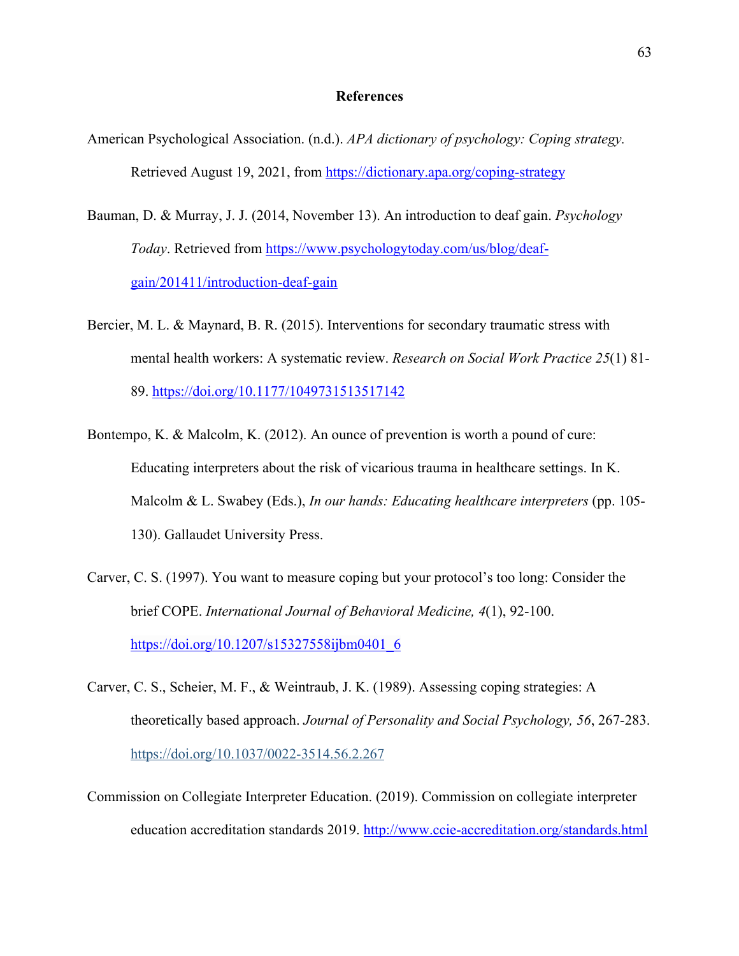### **References**

- American Psychological Association. (n.d.). *APA dictionary of psychology: Coping strategy.* Retrieved August 19, 2021, from https://dictionary.apa.org/coping-strategy
- Bauman, D. & Murray, J. J. (2014, November 13). An introduction to deaf gain. *Psychology Today*. Retrieved from https://www.psychologytoday.com/us/blog/deafgain/201411/introduction-deaf-gain
- Bercier, M. L. & Maynard, B. R. (2015). Interventions for secondary traumatic stress with mental health workers: A systematic review. *Research on Social Work Practice 25*(1) 81- 89. https://doi.org/10.1177/1049731513517142
- Bontempo, K. & Malcolm, K. (2012). An ounce of prevention is worth a pound of cure: Educating interpreters about the risk of vicarious trauma in healthcare settings. In K. Malcolm & L. Swabey (Eds.), *In our hands: Educating healthcare interpreters* (pp. 105- 130). Gallaudet University Press.
- Carver, C. S. (1997). You want to measure coping but your protocol's too long: Consider the brief COPE. *International Journal of Behavioral Medicine, 4*(1), 92-100. https://doi.org/10.1207/s15327558ijbm0401\_6
- Carver, C. S., Scheier, M. F., & Weintraub, J. K. (1989). Assessing coping strategies: A theoretically based approach. *Journal of Personality and Social Psychology, 56*, 267-283. https://doi.org/10.1037/0022-3514.56.2.267
- Commission on Collegiate Interpreter Education. (2019). Commission on collegiate interpreter education accreditation standards 2019. http://www.ccie-accreditation.org/standards.html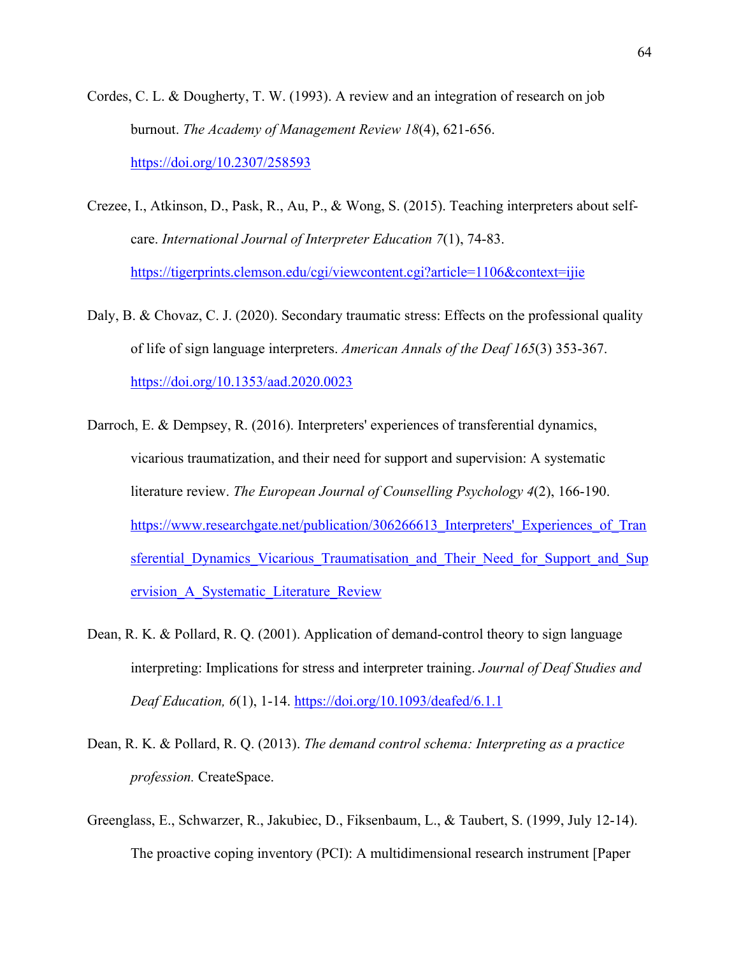- Cordes, C. L. & Dougherty, T. W. (1993). A review and an integration of research on job burnout. *The Academy of Management Review 18*(4), 621-656. https://doi.org/10.2307/258593
- Crezee, I., Atkinson, D., Pask, R., Au, P., & Wong, S. (2015). Teaching interpreters about selfcare. *International Journal of Interpreter Education 7*(1), 74-83. https://tigerprints.clemson.edu/cgi/viewcontent.cgi?article=1106&context=ijie
- Daly, B. & Chovaz, C. J. (2020). Secondary traumatic stress: Effects on the professional quality of life of sign language interpreters. *American Annals of the Deaf 165*(3) 353-367. https://doi.org/10.1353/aad.2020.0023
- Darroch, E. & Dempsey, R. (2016). Interpreters' experiences of transferential dynamics, vicarious traumatization, and their need for support and supervision: A systematic literature review. *The European Journal of Counselling Psychology 4*(2), 166-190. https://www.researchgate.net/publication/306266613 Interpreters' Experiences of Tran sferential Dynamics Vicarious Traumatisation and Their Need for Support and Sup ervision\_A\_Systematic\_Literature\_Review
- Dean, R. K. & Pollard, R. Q. (2001). Application of demand-control theory to sign language interpreting: Implications for stress and interpreter training. *Journal of Deaf Studies and Deaf Education, 6*(1), 1-14. https://doi.org/10.1093/deafed/6.1.1
- Dean, R. K. & Pollard, R. Q. (2013). *The demand control schema: Interpreting as a practice profession.* CreateSpace.
- Greenglass, E., Schwarzer, R., Jakubiec, D., Fiksenbaum, L., & Taubert, S. (1999, July 12-14). The proactive coping inventory (PCI): A multidimensional research instrument [Paper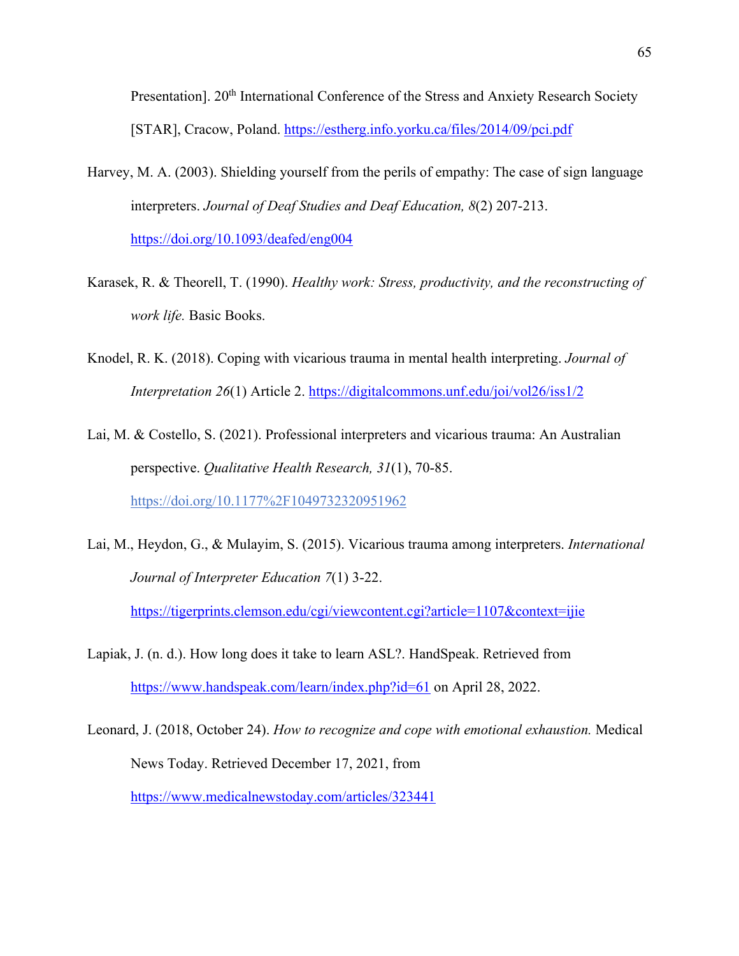Presentation]. 20<sup>th</sup> International Conference of the Stress and Anxiety Research Society [STAR], Cracow, Poland. https://estherg.info.yorku.ca/files/2014/09/pci.pdf

- Harvey, M. A. (2003). Shielding yourself from the perils of empathy: The case of sign language interpreters. *Journal of Deaf Studies and Deaf Education, 8*(2) 207-213. https://doi.org/10.1093/deafed/eng004
- Karasek, R. & Theorell, T. (1990). *Healthy work: Stress, productivity, and the reconstructing of work life.* Basic Books.
- Knodel, R. K. (2018). Coping with vicarious trauma in mental health interpreting. *Journal of Interpretation 26*(1) Article 2. https://digitalcommons.unf.edu/joi/vol26/iss1/2
- Lai, M. & Costello, S. (2021). Professional interpreters and vicarious trauma: An Australian perspective. *Qualitative Health Research, 31*(1), 70-85. https://doi.org/10.1177%2F1049732320951962
- Lai, M., Heydon, G., & Mulayim, S. (2015). Vicarious trauma among interpreters. *International Journal of Interpreter Education 7*(1) 3-22. https://tigerprints.clemson.edu/cgi/viewcontent.cgi?article=1107&context=ijie
- Lapiak, J. (n. d.). How long does it take to learn ASL?. HandSpeak. Retrieved from https://www.handspeak.com/learn/index.php?id=61 on April 28, 2022.
- Leonard, J. (2018, October 24). *How to recognize and cope with emotional exhaustion.* Medical News Today. Retrieved December 17, 2021, from https://www.medicalnewstoday.com/articles/323441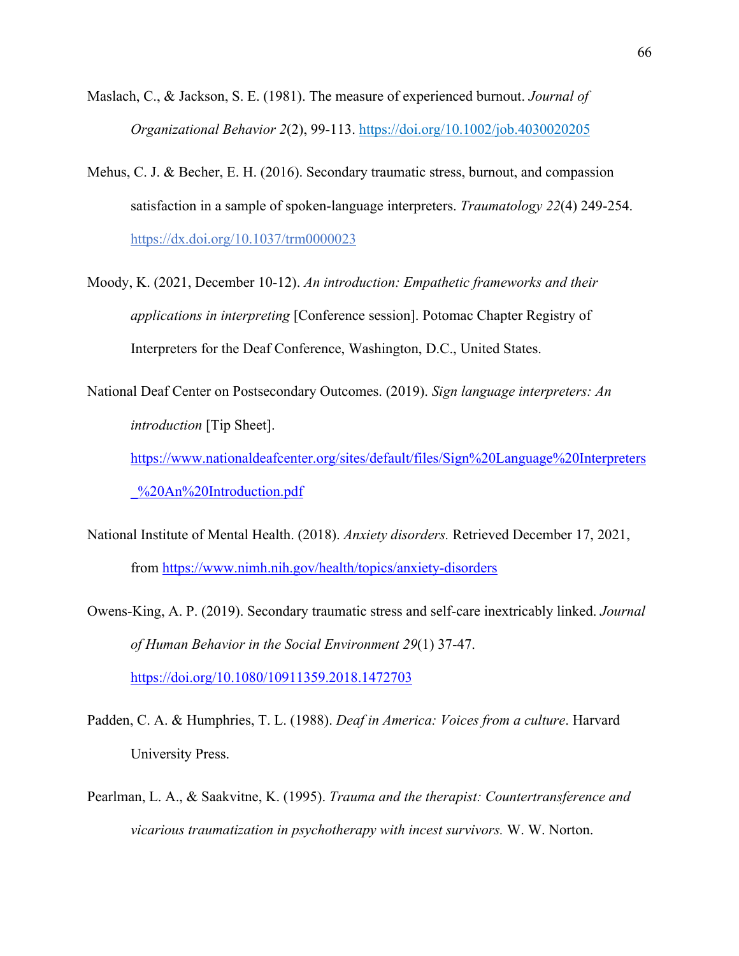- Maslach, C., & Jackson, S. E. (1981). The measure of experienced burnout. *Journal of Organizational Behavior 2*(2), 99-113. https://doi.org/10.1002/job.4030020205
- Mehus, C. J. & Becher, E. H. (2016). Secondary traumatic stress, burnout, and compassion satisfaction in a sample of spoken-language interpreters. *Traumatology 22*(4) 249-254. https://dx.doi.org/10.1037/trm0000023
- Moody, K. (2021, December 10-12). *An introduction: Empathetic frameworks and their applications in interpreting* [Conference session]. Potomac Chapter Registry of Interpreters for the Deaf Conference, Washington, D.C., United States.
- National Deaf Center on Postsecondary Outcomes. (2019). *Sign language interpreters: An introduction* [Tip Sheet]. https://www.nationaldeafcenter.org/sites/default/files/Sign%20Language%20Interpreters \_%20An%20Introduction.pdf
- National Institute of Mental Health. (2018). *Anxiety disorders.* Retrieved December 17, 2021, from https://www.nimh.nih.gov/health/topics/anxiety-disorders
- Owens-King, A. P. (2019). Secondary traumatic stress and self-care inextricably linked. *Journal of Human Behavior in the Social Environment 29*(1) 37-47. https://doi.org/10.1080/10911359.2018.1472703
- Padden, C. A. & Humphries, T. L. (1988). *Deaf in America: Voices from a culture*. Harvard University Press.
- Pearlman, L. A., & Saakvitne, K. (1995). *Trauma and the therapist: Countertransference and vicarious traumatization in psychotherapy with incest survivors.* W. W. Norton.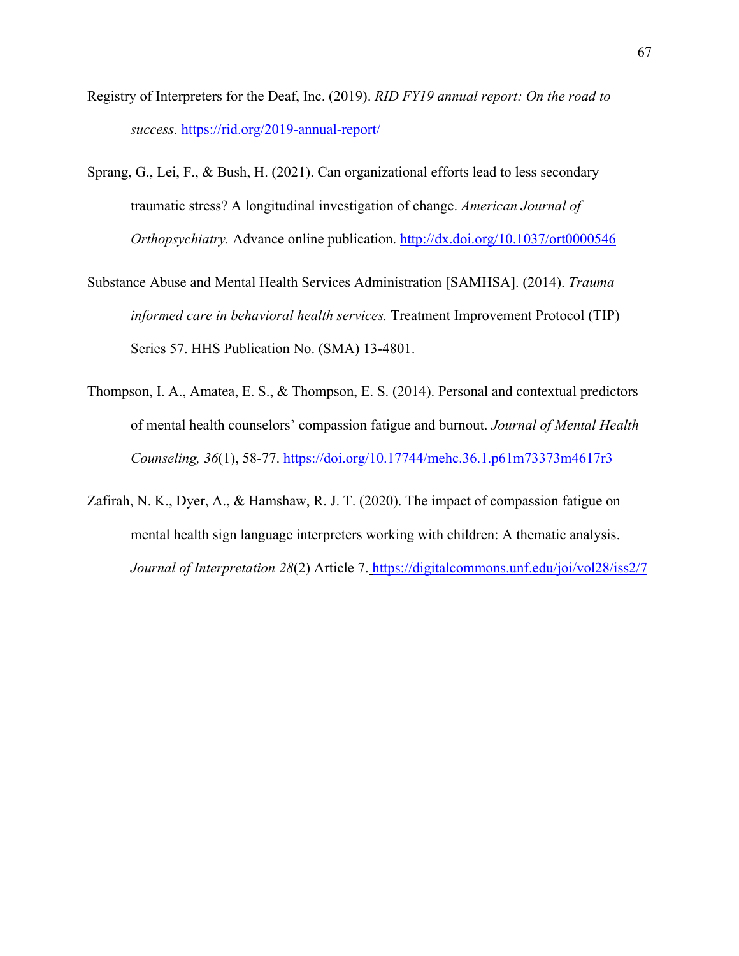- Registry of Interpreters for the Deaf, Inc. (2019). *RID FY19 annual report: On the road to success.* https://rid.org/2019-annual-report/
- Sprang, G., Lei, F., & Bush, H. (2021). Can organizational efforts lead to less secondary traumatic stress? A longitudinal investigation of change. *American Journal of Orthopsychiatry.* Advance online publication. http://dx.doi.org/10.1037/ort0000546
- Substance Abuse and Mental Health Services Administration [SAMHSA]. (2014). *Trauma informed care in behavioral health services.* Treatment Improvement Protocol (TIP) Series 57. HHS Publication No. (SMA) 13-4801.
- Thompson, I. A., Amatea, E. S., & Thompson, E. S. (2014). Personal and contextual predictors of mental health counselors' compassion fatigue and burnout. *Journal of Mental Health Counseling, 36*(1), 58-77. https://doi.org/10.17744/mehc.36.1.p61m73373m4617r3
- Zafirah, N. K., Dyer, A., & Hamshaw, R. J. T. (2020). The impact of compassion fatigue on mental health sign language interpreters working with children: A thematic analysis. *Journal of Interpretation 28*(2) Article 7. https://digitalcommons.unf.edu/joi/vol28/iss2/7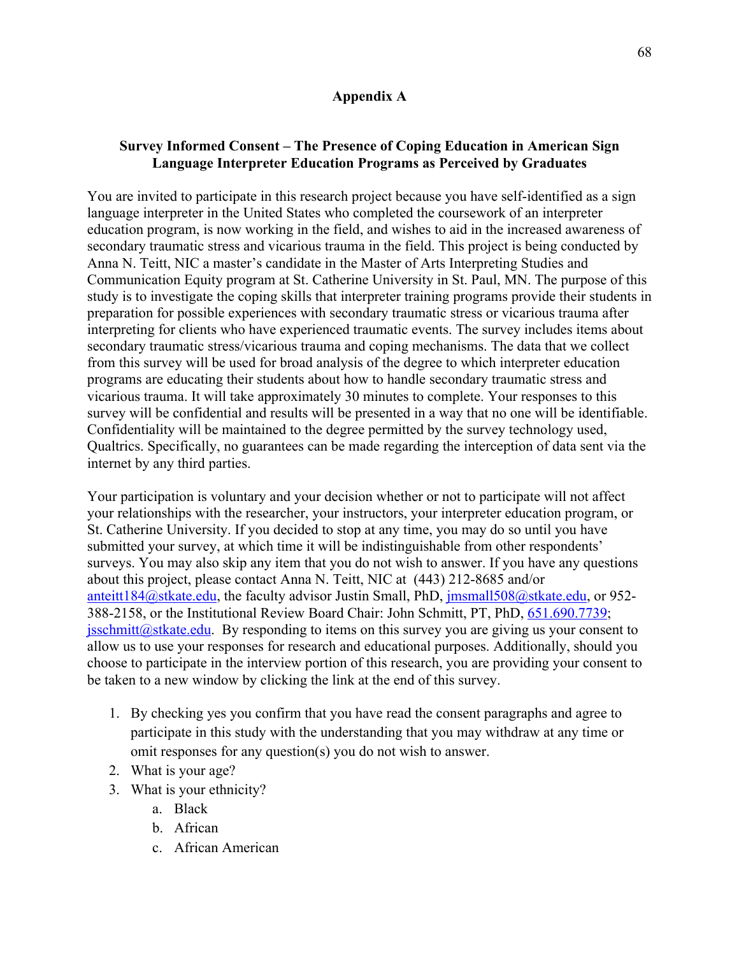## **Appendix A**

# **Survey Informed Consent – The Presence of Coping Education in American Sign Language Interpreter Education Programs as Perceived by Graduates**

You are invited to participate in this research project because you have self-identified as a sign language interpreter in the United States who completed the coursework of an interpreter education program, is now working in the field, and wishes to aid in the increased awareness of secondary traumatic stress and vicarious trauma in the field. This project is being conducted by Anna N. Teitt, NIC a master's candidate in the Master of Arts Interpreting Studies and Communication Equity program at St. Catherine University in St. Paul, MN. The purpose of this study is to investigate the coping skills that interpreter training programs provide their students in preparation for possible experiences with secondary traumatic stress or vicarious trauma after interpreting for clients who have experienced traumatic events. The survey includes items about secondary traumatic stress/vicarious trauma and coping mechanisms. The data that we collect from this survey will be used for broad analysis of the degree to which interpreter education programs are educating their students about how to handle secondary traumatic stress and vicarious trauma. It will take approximately 30 minutes to complete. Your responses to this survey will be confidential and results will be presented in a way that no one will be identifiable. Confidentiality will be maintained to the degree permitted by the survey technology used, Qualtrics. Specifically, no guarantees can be made regarding the interception of data sent via the internet by any third parties.

Your participation is voluntary and your decision whether or not to participate will not affect your relationships with the researcher, your instructors, your interpreter education program, or St. Catherine University. If you decided to stop at any time, you may do so until you have submitted your survey, at which time it will be indistinguishable from other respondents' surveys. You may also skip any item that you do not wish to answer. If you have any questions about this project, please contact Anna N. Teitt, NIC at (443) 212-8685 and/or anteitt184@stkate.edu, the faculty advisor Justin Small, PhD, jmsmall508@stkate.edu, or 952-388-2158, or the Institutional Review Board Chair: John Schmitt, PT, PhD, 651.690.7739; jsschmitt@stkate.edu. By responding to items on this survey you are giving us your consent to allow us to use your responses for research and educational purposes. Additionally, should you choose to participate in the interview portion of this research, you are providing your consent to be taken to a new window by clicking the link at the end of this survey.

- 1. By checking yes you confirm that you have read the consent paragraphs and agree to participate in this study with the understanding that you may withdraw at any time or omit responses for any question(s) you do not wish to answer.
- 2. What is your age?
- 3. What is your ethnicity?
	- a. Black
	- b. African
	- c. African American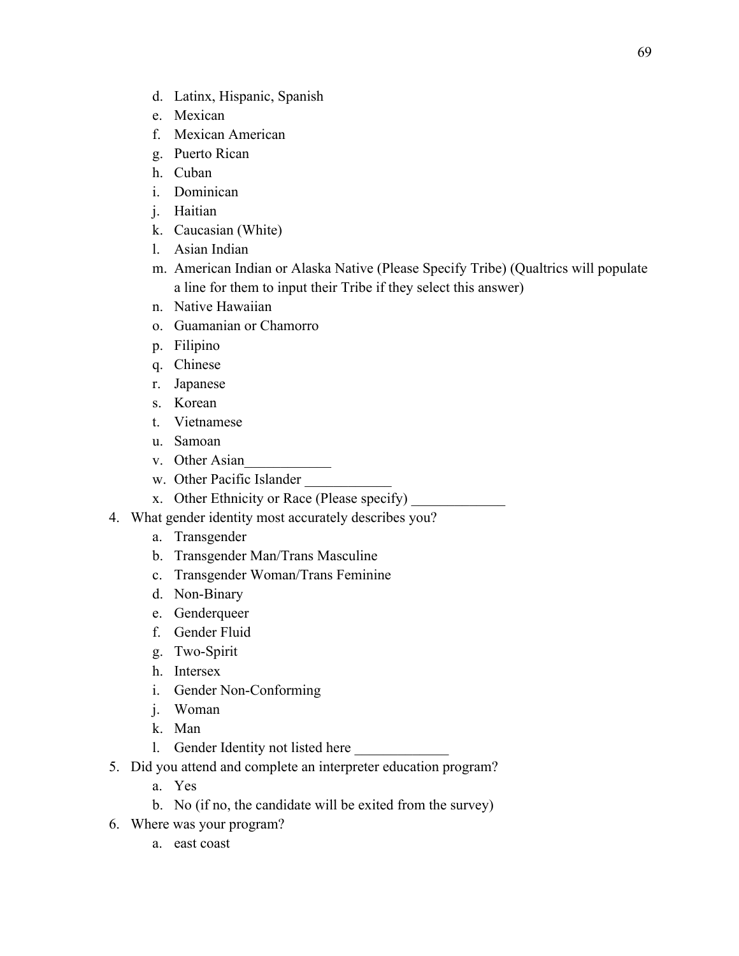- d. Latinx, Hispanic, Spanish
- e. Mexican
- f. Mexican American
- g. Puerto Rican
- h. Cuban
- i. Dominican
- j. Haitian
- k. Caucasian (White)
- l. Asian Indian
- m. American Indian or Alaska Native (Please Specify Tribe) (Qualtrics will populate a line for them to input their Tribe if they select this answer)
- n. Native Hawaiian
- o. Guamanian or Chamorro
- p. Filipino
- q. Chinese
- r. Japanese
- s. Korean
- t. Vietnamese
- u. Samoan
- v. Other Asian
- w. Other Pacific Islander
- x. Other Ethnicity or Race (Please specify)
- 4. What gender identity most accurately describes you?
	- a. Transgender
	- b. Transgender Man/Trans Masculine
	- c. Transgender Woman/Trans Feminine
	- d. Non-Binary
	- e. Genderqueer
	- f. Gender Fluid
	- g. Two-Spirit
	- h. Intersex
	- i. Gender Non-Conforming
	- j. Woman
	- k. Man
	- 1. Gender Identity not listed here
- 5. Did you attend and complete an interpreter education program?
	- a. Yes
	- b. No (if no, the candidate will be exited from the survey)
- 6. Where was your program?
	- a. east coast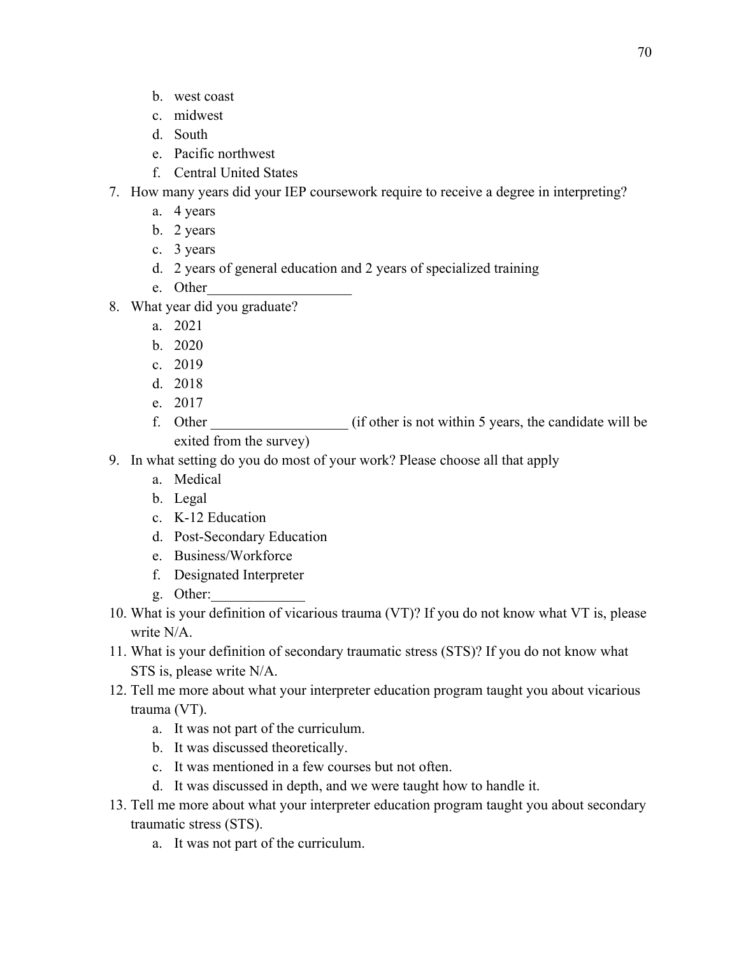- b. west coast
- c. midwest
- d. South
- e. Pacific northwest
- f. Central United States

# 7. How many years did your IEP coursework require to receive a degree in interpreting?

- a. 4 years
- b. 2 years
- c. 3 years
- d. 2 years of general education and 2 years of specialized training
- e. Other
- 8. What year did you graduate?
	- a. 2021
	- b. 2020
	- c. 2019
	- d. 2018
	- e. 2017
	- f. Other  $\qquad$  (if other is not within 5 years, the candidate will be exited from the survey)
- 9. In what setting do you do most of your work? Please choose all that apply
	- a. Medical
	- b. Legal
	- c. K-12 Education
	- d. Post-Secondary Education
	- e. Business/Workforce
	- f. Designated Interpreter
	- g. Other:
- 10. What is your definition of vicarious trauma (VT)? If you do not know what VT is, please write N/A.
- 11. What is your definition of secondary traumatic stress (STS)? If you do not know what STS is, please write N/A.
- 12. Tell me more about what your interpreter education program taught you about vicarious trauma (VT).
	- a. It was not part of the curriculum.
	- b. It was discussed theoretically.
	- c. It was mentioned in a few courses but not often.
	- d. It was discussed in depth, and we were taught how to handle it.
- 13. Tell me more about what your interpreter education program taught you about secondary traumatic stress (STS).
	- a. It was not part of the curriculum.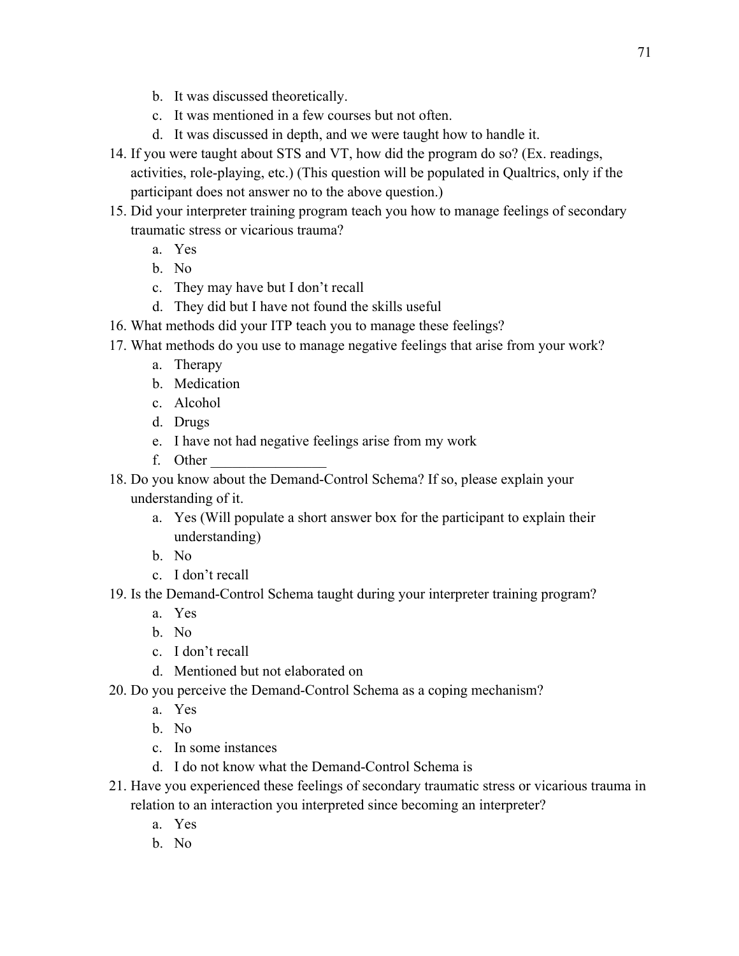- b. It was discussed theoretically.
- c. It was mentioned in a few courses but not often.
- d. It was discussed in depth, and we were taught how to handle it.
- 14. If you were taught about STS and VT, how did the program do so? (Ex. readings, activities, role-playing, etc.) (This question will be populated in Qualtrics, only if the participant does not answer no to the above question.)
- 15. Did your interpreter training program teach you how to manage feelings of secondary traumatic stress or vicarious trauma?
	- a. Yes
	- b. No
	- c. They may have but I don't recall
	- d. They did but I have not found the skills useful
- 16. What methods did your ITP teach you to manage these feelings?
- 17. What methods do you use to manage negative feelings that arise from your work?
	- a. Therapy
	- b. Medication
	- c. Alcohol
	- d. Drugs
	- e. I have not had negative feelings arise from my work
	- f. Other \_\_\_\_\_\_\_\_\_\_\_\_\_\_\_\_
- 18. Do you know about the Demand-Control Schema? If so, please explain your understanding of it.
	- a. Yes (Will populate a short answer box for the participant to explain their understanding)
	- b. No
	- c. I don't recall
- 19. Is the Demand-Control Schema taught during your interpreter training program?
	- a. Yes
	- b. No
	- c. I don't recall
	- d. Mentioned but not elaborated on
- 20. Do you perceive the Demand-Control Schema as a coping mechanism?
	- a. Yes
	- b. No
	- c. In some instances
	- d. I do not know what the Demand-Control Schema is
- 21. Have you experienced these feelings of secondary traumatic stress or vicarious trauma in relation to an interaction you interpreted since becoming an interpreter?
	- a. Yes
	- b. No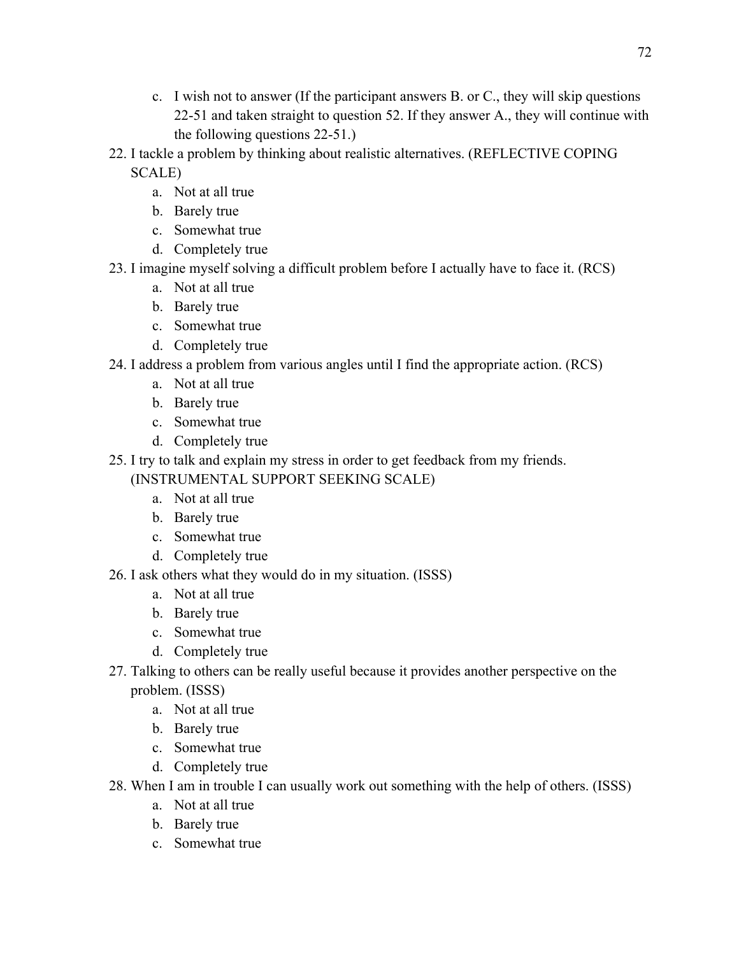- c. I wish not to answer (If the participant answers B. or C., they will skip questions 22-51 and taken straight to question 52. If they answer A., they will continue with the following questions 22-51.)
- 22. I tackle a problem by thinking about realistic alternatives. (REFLECTIVE COPING SCALE)
	- a. Not at all true
	- b. Barely true
	- c. Somewhat true
	- d. Completely true
- 23. I imagine myself solving a difficult problem before I actually have to face it. (RCS)
	- a. Not at all true
	- b. Barely true
	- c. Somewhat true
	- d. Completely true
- 24. I address a problem from various angles until I find the appropriate action. (RCS)
	- a. Not at all true
	- b. Barely true
	- c. Somewhat true
	- d. Completely true
- 25. I try to talk and explain my stress in order to get feedback from my friends. (INSTRUMENTAL SUPPORT SEEKING SCALE)
	- a. Not at all true
	- b. Barely true
	- c. Somewhat true
	- d. Completely true
- 26. I ask others what they would do in my situation. (ISSS)
	- a. Not at all true
	- b. Barely true
	- c. Somewhat true
	- d. Completely true
- 27. Talking to others can be really useful because it provides another perspective on the problem. (ISSS)
	- a. Not at all true
	- b. Barely true
	- c. Somewhat true
	- d. Completely true
- 28. When I am in trouble I can usually work out something with the help of others. (ISSS)
	- a. Not at all true
	- b. Barely true
	- c. Somewhat true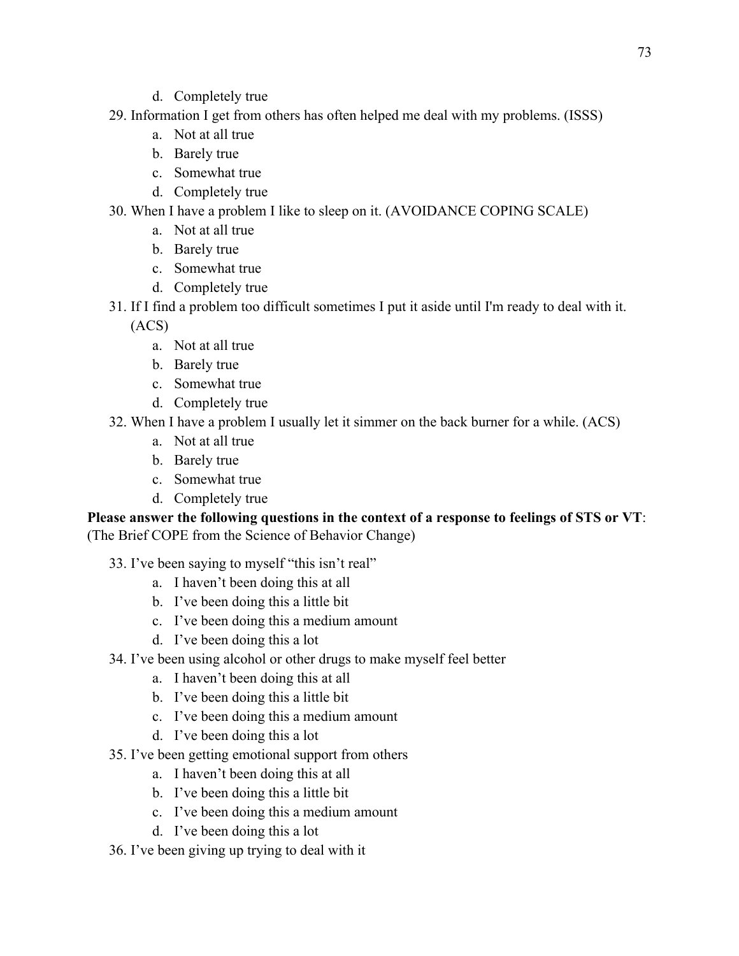- d. Completely true
- 29. Information I get from others has often helped me deal with my problems. (ISSS)
	- a. Not at all true
	- b. Barely true
	- c. Somewhat true
	- d. Completely true
- 30. When I have a problem I like to sleep on it. (AVOIDANCE COPING SCALE)
	- a. Not at all true
	- b. Barely true
	- c. Somewhat true
	- d. Completely true
- 31. If I find a problem too difficult sometimes I put it aside until I'm ready to deal with it. (ACS)
	- a. Not at all true
	- b. Barely true
	- c. Somewhat true
	- d. Completely true
- 32. When I have a problem I usually let it simmer on the back burner for a while. (ACS)
	- a. Not at all true
	- b. Barely true
	- c. Somewhat true
	- d. Completely true

## **Please answer the following questions in the context of a response to feelings of STS or VT**: (The Brief COPE from the Science of Behavior Change)

- 33. I've been saying to myself "this isn't real"
	- a. I haven't been doing this at all
	- b. I've been doing this a little bit
	- c. I've been doing this a medium amount
	- d. I've been doing this a lot
- 34. I've been using alcohol or other drugs to make myself feel better
	- a. I haven't been doing this at all
	- b. I've been doing this a little bit
	- c. I've been doing this a medium amount
	- d. I've been doing this a lot
- 35. I've been getting emotional support from others
	- a. I haven't been doing this at all
	- b. I've been doing this a little bit
	- c. I've been doing this a medium amount
	- d. I've been doing this a lot
- 36. I've been giving up trying to deal with it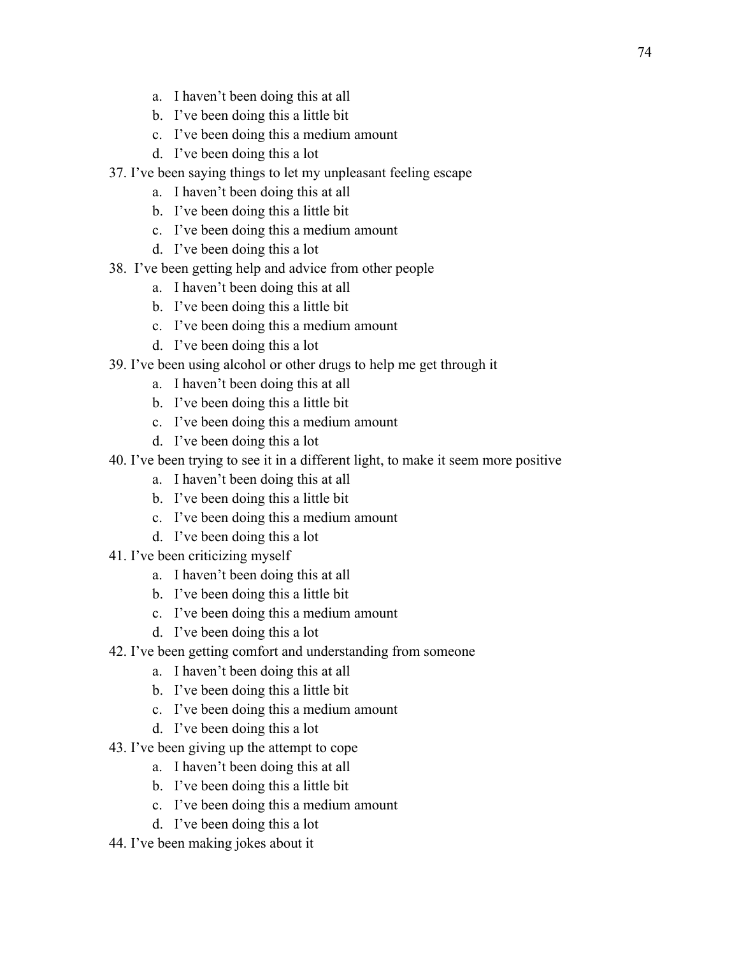- a. I haven't been doing this at all
- b. I've been doing this a little bit
- c. I've been doing this a medium amount
- d. I've been doing this a lot
- 37. I've been saying things to let my unpleasant feeling escape
	- a. I haven't been doing this at all
	- b. I've been doing this a little bit
	- c. I've been doing this a medium amount
	- d. I've been doing this a lot
- 38. I've been getting help and advice from other people
	- a. I haven't been doing this at all
	- b. I've been doing this a little bit
	- c. I've been doing this a medium amount
	- d. I've been doing this a lot
- 39. I've been using alcohol or other drugs to help me get through it
	- a. I haven't been doing this at all
	- b. I've been doing this a little bit
	- c. I've been doing this a medium amount
	- d. I've been doing this a lot
- 40. I've been trying to see it in a different light, to make it seem more positive
	- a. I haven't been doing this at all
	- b. I've been doing this a little bit
	- c. I've been doing this a medium amount
	- d. I've been doing this a lot
- 41. I've been criticizing myself
	- a. I haven't been doing this at all
	- b. I've been doing this a little bit
	- c. I've been doing this a medium amount
	- d. I've been doing this a lot
- 42. I've been getting comfort and understanding from someone
	- a. I haven't been doing this at all
	- b. I've been doing this a little bit
	- c. I've been doing this a medium amount
	- d. I've been doing this a lot
- 43. I've been giving up the attempt to cope
	- a. I haven't been doing this at all
	- b. I've been doing this a little bit
	- c. I've been doing this a medium amount
	- d. I've been doing this a lot
- 44. I've been making jokes about it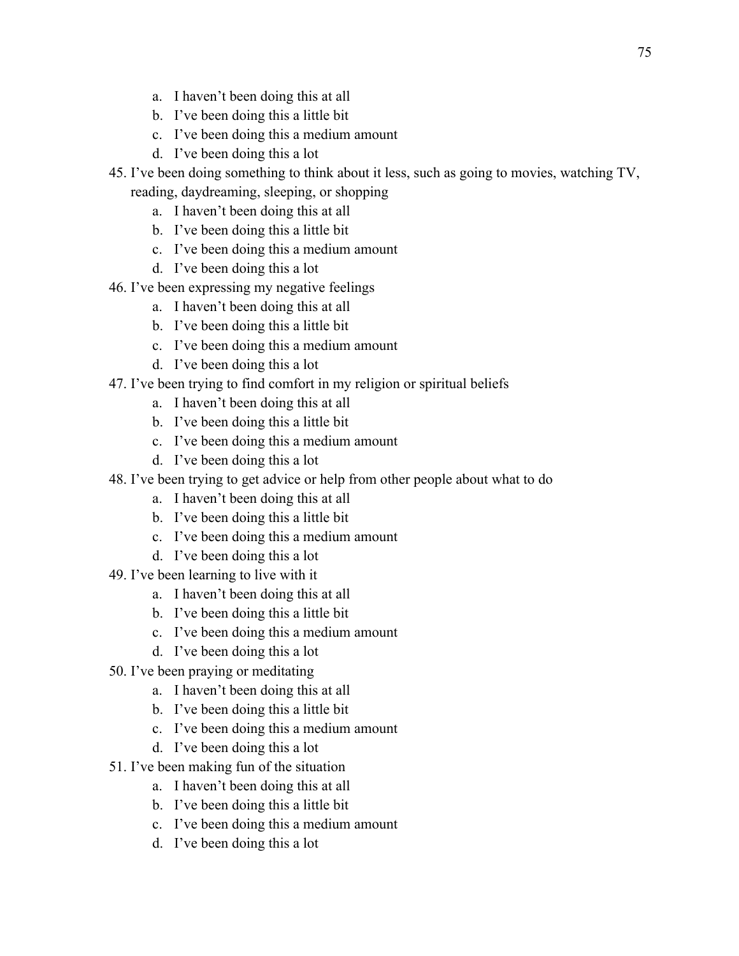- a. I haven't been doing this at all
- b. I've been doing this a little bit
- c. I've been doing this a medium amount
- d. I've been doing this a lot
- 45. I've been doing something to think about it less, such as going to movies, watching TV, reading, daydreaming, sleeping, or shopping
	- a. I haven't been doing this at all
	- b. I've been doing this a little bit
	- c. I've been doing this a medium amount
	- d. I've been doing this a lot
- 46. I've been expressing my negative feelings
	- a. I haven't been doing this at all
	- b. I've been doing this a little bit
	- c. I've been doing this a medium amount
	- d. I've been doing this a lot
- 47. I've been trying to find comfort in my religion or spiritual beliefs
	- a. I haven't been doing this at all
	- b. I've been doing this a little bit
	- c. I've been doing this a medium amount
	- d. I've been doing this a lot
- 48. I've been trying to get advice or help from other people about what to do
	- a. I haven't been doing this at all
	- b. I've been doing this a little bit
	- c. I've been doing this a medium amount
	- d. I've been doing this a lot
- 49. I've been learning to live with it
	- a. I haven't been doing this at all
	- b. I've been doing this a little bit
	- c. I've been doing this a medium amount
	- d. I've been doing this a lot
- 50. I've been praying or meditating
	- a. I haven't been doing this at all
	- b. I've been doing this a little bit
	- c. I've been doing this a medium amount
	- d. I've been doing this a lot
- 51. I've been making fun of the situation
	- a. I haven't been doing this at all
	- b. I've been doing this a little bit
	- c. I've been doing this a medium amount
	- d. I've been doing this a lot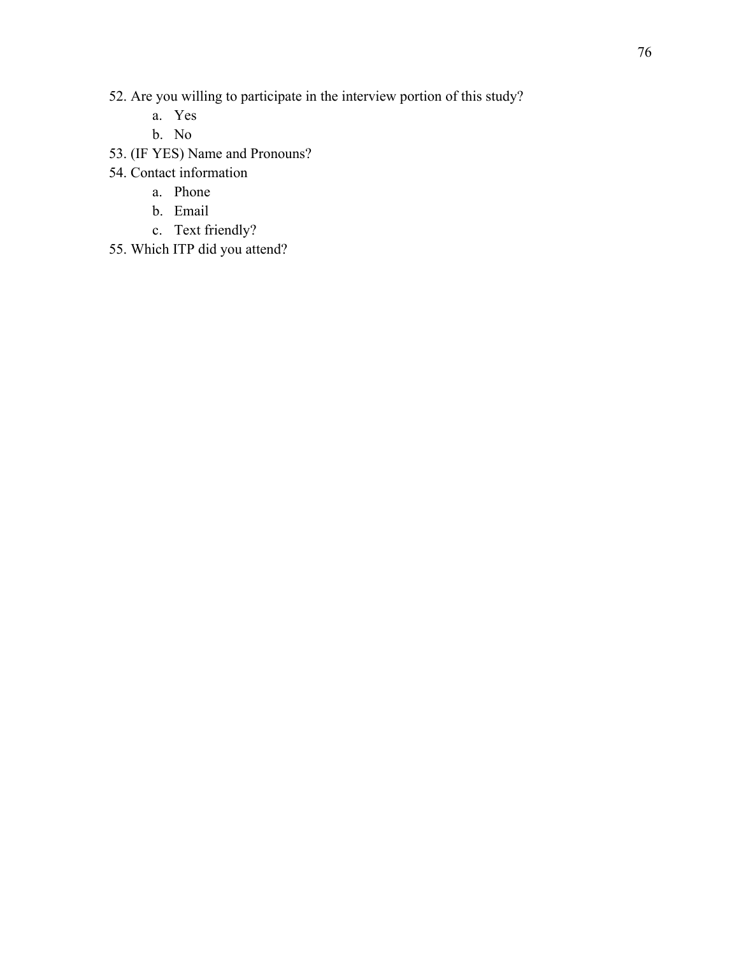- 52. Are you willing to participate in the interview portion of this study?
	- a. Yes
	- b. No
- 53. (IF YES) Name and Pronouns?
- 54. Contact information
	- a. Phone
	- b. Email
	- c. Text friendly?
- 55. Which ITP did you attend?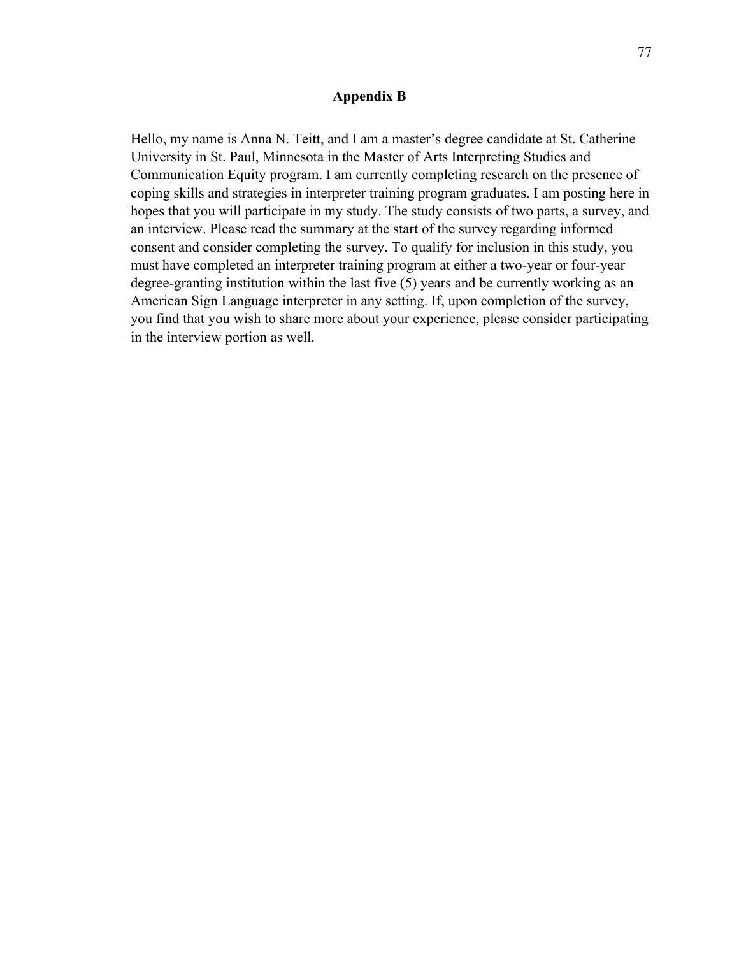#### **Appendix B**

Hello, my name is Anna N. Teitt, and I am a master's degree candidate at St. Catherine University in St. Paul, Minnesota in the Master of Arts Interpreting Studies and Communication Equity program. I am currently completing research on the presence of coping skills and strategies in interpreter training program graduates. I am posting here in hopes that you will participate in my study. The study consists of two parts, a survey, and an interview. Please read the summary at the start of the survey regarding informed consent and consider completing the survey. To qualify for inclusion in this study, you must have completed an interpreter training program at either a two-year or four-year degree-granting institution within the last five (5) years and be currently working as an American Sign Language interpreter in any setting. If, upon completion of the survey, you find that you wish to share more about your experience, please consider participating in the interview portion as well.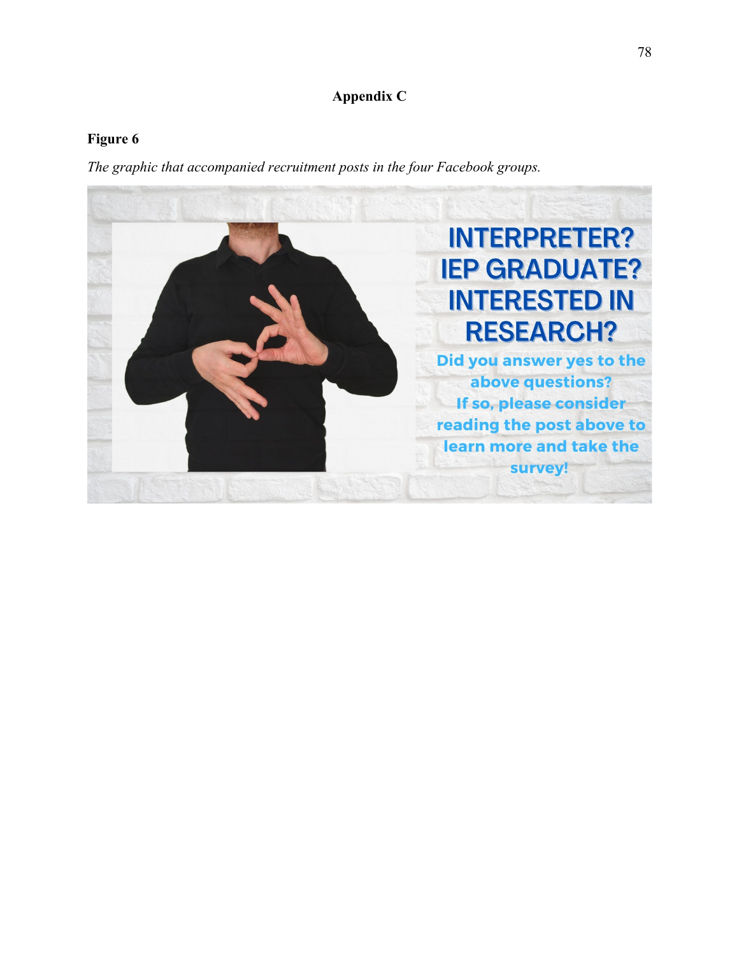# **Appendix C**

## **Figure 6**

*The graphic that accompanied recruitment posts in the four Facebook groups.*

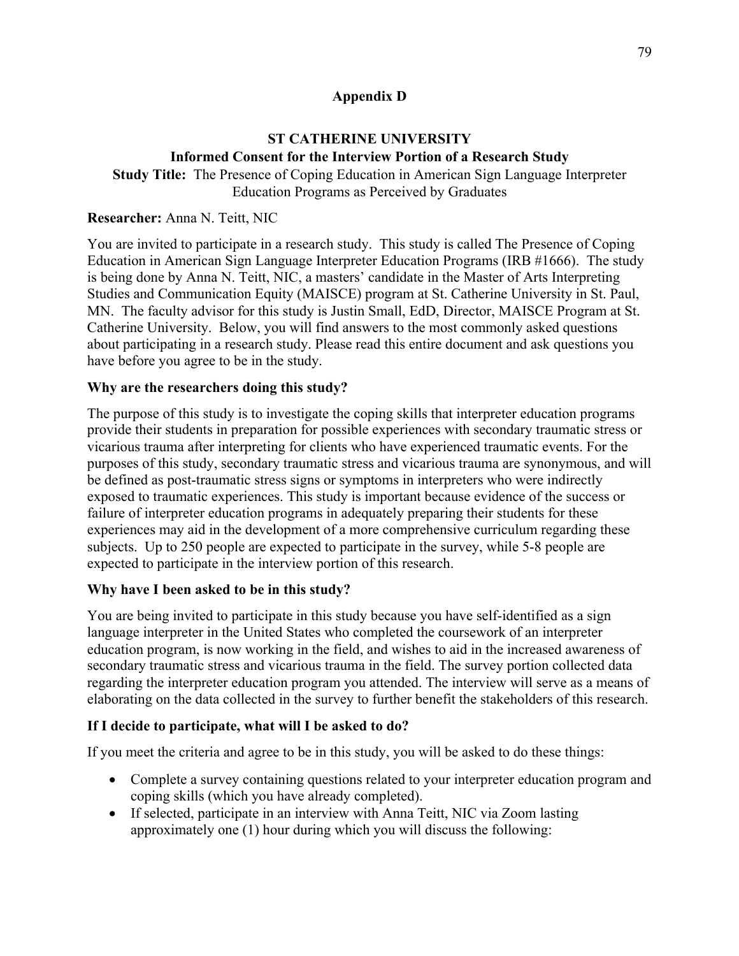## **Appendix D**

## **ST CATHERINE UNIVERSITY**

## **Informed Consent for the Interview Portion of a Research Study**

**Study Title:** The Presence of Coping Education in American Sign Language Interpreter Education Programs as Perceived by Graduates

## **Researcher:** Anna N. Teitt, NIC

You are invited to participate in a research study. This study is called The Presence of Coping Education in American Sign Language Interpreter Education Programs (IRB #1666). The study is being done by Anna N. Teitt, NIC, a masters' candidate in the Master of Arts Interpreting Studies and Communication Equity (MAISCE) program at St. Catherine University in St. Paul, MN. The faculty advisor for this study is Justin Small, EdD, Director, MAISCE Program at St. Catherine University. Below, you will find answers to the most commonly asked questions about participating in a research study. Please read this entire document and ask questions you have before you agree to be in the study.

## **Why are the researchers doing this study?**

The purpose of this study is to investigate the coping skills that interpreter education programs provide their students in preparation for possible experiences with secondary traumatic stress or vicarious trauma after interpreting for clients who have experienced traumatic events. For the purposes of this study, secondary traumatic stress and vicarious trauma are synonymous, and will be defined as post-traumatic stress signs or symptoms in interpreters who were indirectly exposed to traumatic experiences. This study is important because evidence of the success or failure of interpreter education programs in adequately preparing their students for these experiences may aid in the development of a more comprehensive curriculum regarding these subjects. Up to 250 people are expected to participate in the survey, while 5-8 people are expected to participate in the interview portion of this research.

## **Why have I been asked to be in this study?**

You are being invited to participate in this study because you have self-identified as a sign language interpreter in the United States who completed the coursework of an interpreter education program, is now working in the field, and wishes to aid in the increased awareness of secondary traumatic stress and vicarious trauma in the field. The survey portion collected data regarding the interpreter education program you attended. The interview will serve as a means of elaborating on the data collected in the survey to further benefit the stakeholders of this research.

## **If I decide to participate, what will I be asked to do?**

If you meet the criteria and agree to be in this study, you will be asked to do these things:

- Complete a survey containing questions related to your interpreter education program and coping skills (which you have already completed).
- If selected, participate in an interview with Anna Teitt, NIC via Zoom lasting approximately one (1) hour during which you will discuss the following: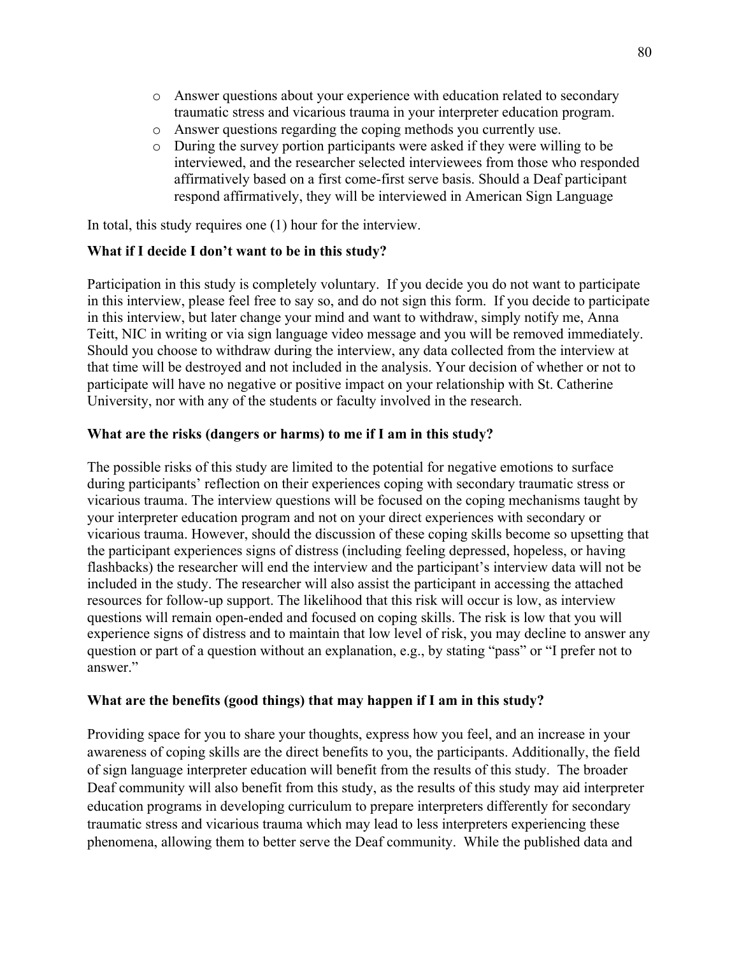- o Answer questions about your experience with education related to secondary traumatic stress and vicarious trauma in your interpreter education program.
- o Answer questions regarding the coping methods you currently use.
- o During the survey portion participants were asked if they were willing to be interviewed, and the researcher selected interviewees from those who responded affirmatively based on a first come-first serve basis. Should a Deaf participant respond affirmatively, they will be interviewed in American Sign Language

In total, this study requires one (1) hour for the interview.

#### **What if I decide I don't want to be in this study?**

Participation in this study is completely voluntary. If you decide you do not want to participate in this interview, please feel free to say so, and do not sign this form. If you decide to participate in this interview, but later change your mind and want to withdraw, simply notify me, Anna Teitt, NIC in writing or via sign language video message and you will be removed immediately. Should you choose to withdraw during the interview, any data collected from the interview at that time will be destroyed and not included in the analysis. Your decision of whether or not to participate will have no negative or positive impact on your relationship with St. Catherine University, nor with any of the students or faculty involved in the research.

#### **What are the risks (dangers or harms) to me if I am in this study?**

The possible risks of this study are limited to the potential for negative emotions to surface during participants' reflection on their experiences coping with secondary traumatic stress or vicarious trauma. The interview questions will be focused on the coping mechanisms taught by your interpreter education program and not on your direct experiences with secondary or vicarious trauma. However, should the discussion of these coping skills become so upsetting that the participant experiences signs of distress (including feeling depressed, hopeless, or having flashbacks) the researcher will end the interview and the participant's interview data will not be included in the study. The researcher will also assist the participant in accessing the attached resources for follow-up support. The likelihood that this risk will occur is low, as interview questions will remain open-ended and focused on coping skills. The risk is low that you will experience signs of distress and to maintain that low level of risk, you may decline to answer any question or part of a question without an explanation, e.g., by stating "pass" or "I prefer not to answer."

#### **What are the benefits (good things) that may happen if I am in this study?**

Providing space for you to share your thoughts, express how you feel, and an increase in your awareness of coping skills are the direct benefits to you, the participants. Additionally, the field of sign language interpreter education will benefit from the results of this study. The broader Deaf community will also benefit from this study, as the results of this study may aid interpreter education programs in developing curriculum to prepare interpreters differently for secondary traumatic stress and vicarious trauma which may lead to less interpreters experiencing these phenomena, allowing them to better serve the Deaf community. While the published data and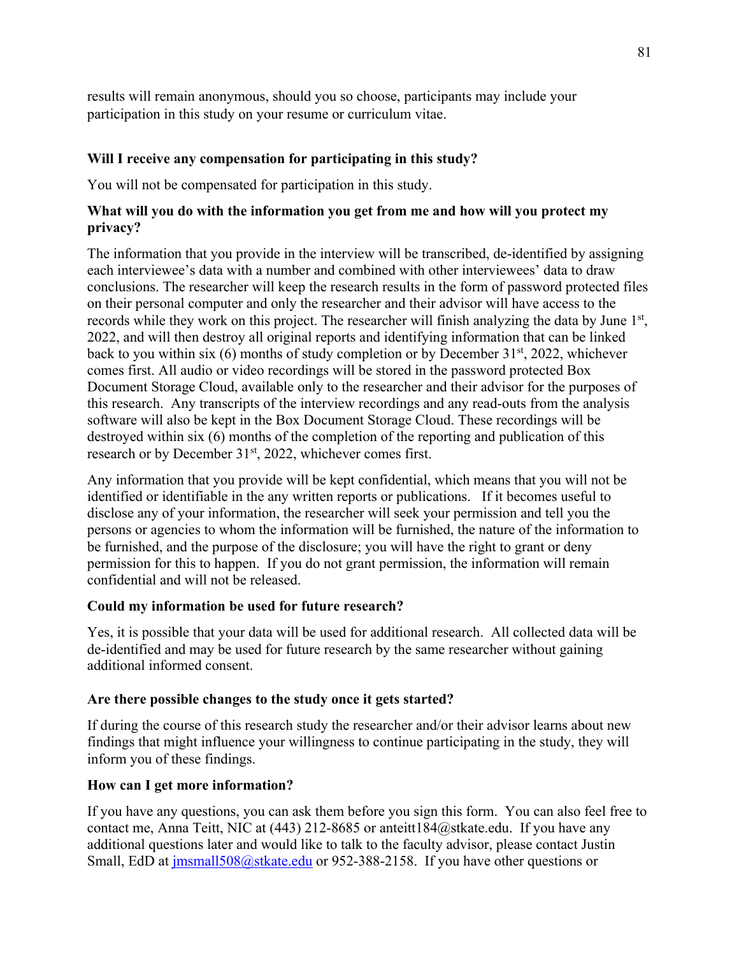results will remain anonymous, should you so choose, participants may include your participation in this study on your resume or curriculum vitae.

### **Will I receive any compensation for participating in this study?**

You will not be compensated for participation in this study.

### **What will you do with the information you get from me and how will you protect my privacy?**

The information that you provide in the interview will be transcribed, de-identified by assigning each interviewee's data with a number and combined with other interviewees' data to draw conclusions. The researcher will keep the research results in the form of password protected files on their personal computer and only the researcher and their advisor will have access to the records while they work on this project. The researcher will finish analyzing the data by June 1<sup>st</sup>, 2022, and will then destroy all original reports and identifying information that can be linked back to you within six (6) months of study completion or by December  $31<sup>st</sup>$ , 2022, whichever comes first. All audio or video recordings will be stored in the password protected Box Document Storage Cloud, available only to the researcher and their advisor for the purposes of this research. Any transcripts of the interview recordings and any read-outs from the analysis software will also be kept in the Box Document Storage Cloud. These recordings will be destroyed within six (6) months of the completion of the reporting and publication of this research or by December 31<sup>st</sup>, 2022, whichever comes first.

Any information that you provide will be kept confidential, which means that you will not be identified or identifiable in the any written reports or publications. If it becomes useful to disclose any of your information, the researcher will seek your permission and tell you the persons or agencies to whom the information will be furnished, the nature of the information to be furnished, and the purpose of the disclosure; you will have the right to grant or deny permission for this to happen. If you do not grant permission, the information will remain confidential and will not be released.

#### **Could my information be used for future research?**

Yes, it is possible that your data will be used for additional research. All collected data will be de-identified and may be used for future research by the same researcher without gaining additional informed consent.

#### **Are there possible changes to the study once it gets started?**

If during the course of this research study the researcher and/or their advisor learns about new findings that might influence your willingness to continue participating in the study, they will inform you of these findings.

## **How can I get more information?**

If you have any questions, you can ask them before you sign this form. You can also feel free to contact me, Anna Teitt, NIC at (443) 212-8685 or anteitt184@stkate.edu. If you have any additional questions later and would like to talk to the faculty advisor, please contact Justin Small, EdD at  $\frac{\text{imsmall508}}{a}$ stkate.edu or 952-388-2158. If you have other questions or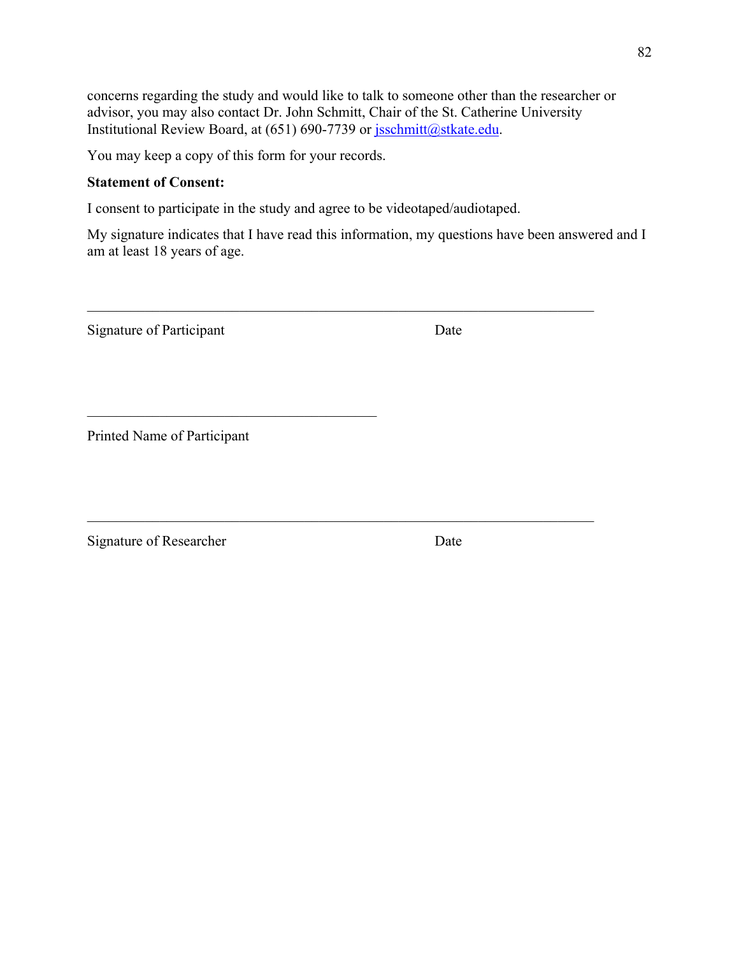concerns regarding the study and would like to talk to someone other than the researcher or advisor, you may also contact Dr. John Schmitt, Chair of the St. Catherine University Institutional Review Board, at (651) 690-7739 or jsschmitt@stkate.edu.

You may keep a copy of this form for your records.

### **Statement of Consent:**

I consent to participate in the study and agree to be videotaped/audiotaped.

My signature indicates that I have read this information, my questions have been answered and I am at least 18 years of age.

Signature of Participant Date

Printed Name of Participant

Signature of Researcher Date